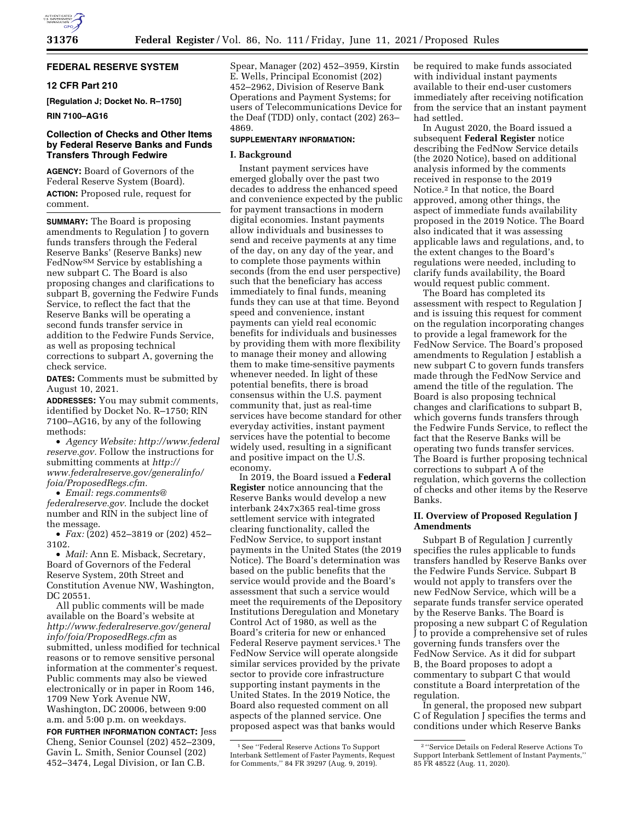

# **FEDERAL RESERVE SYSTEM**

## **12 CFR Part 210**

**[Regulation J; Docket No. R–1750] RIN 7100–AG16** 

# **Collection of Checks and Other Items by Federal Reserve Banks and Funds Transfers Through Fedwire**

**AGENCY:** Board of Governors of the Federal Reserve System (Board). **ACTION:** Proposed rule, request for comment.

**SUMMARY:** The Board is proposing amendments to Regulation J to govern funds transfers through the Federal Reserve Banks' (Reserve Banks) new FedNowSM Service by establishing a new subpart C. The Board is also proposing changes and clarifications to subpart B, governing the Fedwire Funds Service, to reflect the fact that the Reserve Banks will be operating a second funds transfer service in addition to the Fedwire Funds Service, as well as proposing technical corrections to subpart A, governing the check service.

**DATES:** Comments must be submitted by August 10, 2021.

**ADDRESSES:** You may submit comments, identified by Docket No. R–1750; RIN 7100–AG16, by any of the following methods:

• *Agency Website: [http://www.federal](http://www.federalreserve.gov) [reserve.gov.](http://www.federalreserve.gov)* Follow the instructions for submitting comments at *[http://](http://www.federalreserve.gov/generalinfo/foia/ProposedRegs.cfm) [www.federalreserve.gov/generalinfo/](http://www.federalreserve.gov/generalinfo/foia/ProposedRegs.cfm)  [foia/ProposedRegs.cfm.](http://www.federalreserve.gov/generalinfo/foia/ProposedRegs.cfm)* 

• *Email: [regs.comments@](mailto:regs.comments@federalreserve.gov) [federalreserve.gov.](mailto:regs.comments@federalreserve.gov)* Include the docket number and RIN in the subject line of the message.

• *Fax:* (202) 452–3819 or (202) 452– 3102.

• *Mail:* Ann E. Misback, Secretary, Board of Governors of the Federal Reserve System, 20th Street and Constitution Avenue NW, Washington, DC 20551.

All public comments will be made available on the Board's website at *[http://www.federalreserve.gov/general](http://www.federalreserve.gov/generalinfo/foia/ProposedRegs.cfm) [info/foia/ProposedRegs.cfm](http://www.federalreserve.gov/generalinfo/foia/ProposedRegs.cfm)* as submitted, unless modified for technical reasons or to remove sensitive personal information at the commenter's request. Public comments may also be viewed electronically or in paper in Room 146, 1709 New York Avenue NW, Washington, DC 20006, between 9:00 a.m. and 5:00 p.m. on weekdays.

**FOR FURTHER INFORMATION CONTACT:** Jess Cheng, Senior Counsel (202) 452–2309, Gavin L. Smith, Senior Counsel (202) 452–3474, Legal Division, or Ian C.B.

Spear, Manager (202) 452–3959, Kirstin E. Wells, Principal Economist (202) 452–2962, Division of Reserve Bank Operations and Payment Systems; for users of Telecommunications Device for the Deaf (TDD) only, contact (202) 263– 4869.

### **SUPPLEMENTARY INFORMATION:**

### **I. Background**

Instant payment services have emerged globally over the past two decades to address the enhanced speed and convenience expected by the public for payment transactions in modern digital economies. Instant payments allow individuals and businesses to send and receive payments at any time of the day, on any day of the year, and to complete those payments within seconds (from the end user perspective) such that the beneficiary has access immediately to final funds, meaning funds they can use at that time. Beyond speed and convenience, instant payments can yield real economic benefits for individuals and businesses by providing them with more flexibility to manage their money and allowing them to make time-sensitive payments whenever needed. In light of these potential benefits, there is broad consensus within the U.S. payment community that, just as real-time services have become standard for other everyday activities, instant payment services have the potential to become widely used, resulting in a significant and positive impact on the U.S. economy.

In 2019, the Board issued a **Federal Register** notice announcing that the Reserve Banks would develop a new interbank 24x7x365 real-time gross settlement service with integrated clearing functionality, called the FedNow Service, to support instant payments in the United States (the 2019 Notice). The Board's determination was based on the public benefits that the service would provide and the Board's assessment that such a service would meet the requirements of the Depository Institutions Deregulation and Monetary Control Act of 1980, as well as the Board's criteria for new or enhanced Federal Reserve payment services.<sup>1</sup> The FedNow Service will operate alongside similar services provided by the private sector to provide core infrastructure supporting instant payments in the United States. In the 2019 Notice, the Board also requested comment on all aspects of the planned service. One proposed aspect was that banks would

be required to make funds associated with individual instant payments available to their end-user customers immediately after receiving notification from the service that an instant payment had settled.

In August 2020, the Board issued a subsequent **Federal Register** notice describing the FedNow Service details (the 2020 Notice), based on additional analysis informed by the comments received in response to the 2019 Notice.2 In that notice, the Board approved, among other things, the aspect of immediate funds availability proposed in the 2019 Notice. The Board also indicated that it was assessing applicable laws and regulations, and, to the extent changes to the Board's regulations were needed, including to clarify funds availability, the Board would request public comment.

The Board has completed its assessment with respect to Regulation J and is issuing this request for comment on the regulation incorporating changes to provide a legal framework for the FedNow Service. The Board's proposed amendments to Regulation J establish a new subpart C to govern funds transfers made through the FedNow Service and amend the title of the regulation. The Board is also proposing technical changes and clarifications to subpart B, which governs funds transfers through the Fedwire Funds Service, to reflect the fact that the Reserve Banks will be operating two funds transfer services. The Board is further proposing technical corrections to subpart A of the regulation, which governs the collection of checks and other items by the Reserve Banks.

## **II. Overview of Proposed Regulation J Amendments**

Subpart B of Regulation J currently specifies the rules applicable to funds transfers handled by Reserve Banks over the Fedwire Funds Service. Subpart B would not apply to transfers over the new FedNow Service, which will be a separate funds transfer service operated by the Reserve Banks. The Board is proposing a new subpart C of Regulation J to provide a comprehensive set of rules governing funds transfers over the FedNow Service. As it did for subpart B, the Board proposes to adopt a commentary to subpart C that would constitute a Board interpretation of the regulation.

In general, the proposed new subpart C of Regulation J specifies the terms and conditions under which Reserve Banks

<sup>1</sup>See ''Federal Reserve Actions To Support Interbank Settlement of Faster Payments, Request for Comments,'' 84 FR 39297 (Aug. 9, 2019).

<sup>2</sup> ''Service Details on Federal Reserve Actions To Support Interbank Settlement of Instant Payments,'' 85 FR 48522 (Aug. 11, 2020).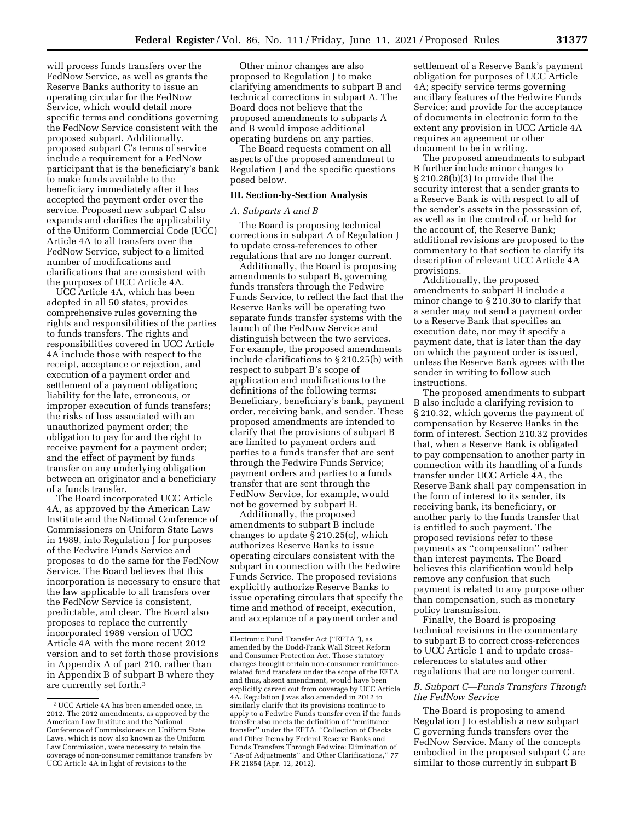will process funds transfers over the FedNow Service, as well as grants the Reserve Banks authority to issue an operating circular for the FedNow Service, which would detail more specific terms and conditions governing the FedNow Service consistent with the proposed subpart. Additionally, proposed subpart C's terms of service include a requirement for a FedNow participant that is the beneficiary's bank to make funds available to the beneficiary immediately after it has accepted the payment order over the service. Proposed new subpart C also expands and clarifies the applicability of the Uniform Commercial Code (UCC) Article 4A to all transfers over the FedNow Service, subject to a limited number of modifications and clarifications that are consistent with the purposes of UCC Article 4A.

UCC Article 4A, which has been adopted in all 50 states, provides comprehensive rules governing the rights and responsibilities of the parties to funds transfers. The rights and responsibilities covered in UCC Article 4A include those with respect to the receipt, acceptance or rejection, and execution of a payment order and settlement of a payment obligation; liability for the late, erroneous, or improper execution of funds transfers; the risks of loss associated with an unauthorized payment order; the obligation to pay for and the right to receive payment for a payment order; and the effect of payment by funds transfer on any underlying obligation between an originator and a beneficiary of a funds transfer.

The Board incorporated UCC Article 4A, as approved by the American Law Institute and the National Conference of Commissioners on Uniform State Laws in 1989, into Regulation J for purposes of the Fedwire Funds Service and proposes to do the same for the FedNow Service. The Board believes that this incorporation is necessary to ensure that the law applicable to all transfers over the FedNow Service is consistent, predictable, and clear. The Board also proposes to replace the currently incorporated 1989 version of UCC Article 4A with the more recent 2012 version and to set forth those provisions in Appendix A of part 210, rather than in Appendix B of subpart B where they are currently set forth.3

Other minor changes are also proposed to Regulation J to make clarifying amendments to subpart B and technical corrections in subpart A. The Board does not believe that the proposed amendments to subparts A and B would impose additional operating burdens on any parties.

The Board requests comment on all aspects of the proposed amendment to Regulation J and the specific questions posed below.

#### **III. Section-by-Section Analysis**

## *A. Subparts A and B*

The Board is proposing technical corrections in subpart A of Regulation J to update cross-references to other regulations that are no longer current.

Additionally, the Board is proposing amendments to subpart B, governing funds transfers through the Fedwire Funds Service, to reflect the fact that the Reserve Banks will be operating two separate funds transfer systems with the launch of the FedNow Service and distinguish between the two services. For example, the proposed amendments include clarifications to § 210.25(b) with respect to subpart B's scope of application and modifications to the definitions of the following terms: Beneficiary, beneficiary's bank, payment order, receiving bank, and sender. These proposed amendments are intended to clarify that the provisions of subpart B are limited to payment orders and parties to a funds transfer that are sent through the Fedwire Funds Service; payment orders and parties to a funds transfer that are sent through the FedNow Service, for example, would not be governed by subpart B.

Additionally, the proposed amendments to subpart B include changes to update § 210.25(c), which authorizes Reserve Banks to issue operating circulars consistent with the subpart in connection with the Fedwire Funds Service. The proposed revisions explicitly authorize Reserve Banks to issue operating circulars that specify the time and method of receipt, execution, and acceptance of a payment order and

settlement of a Reserve Bank's payment obligation for purposes of UCC Article 4A; specify service terms governing ancillary features of the Fedwire Funds Service; and provide for the acceptance of documents in electronic form to the extent any provision in UCC Article 4A requires an agreement or other document to be in writing.

The proposed amendments to subpart B further include minor changes to § 210.28(b)(3) to provide that the security interest that a sender grants to a Reserve Bank is with respect to all of the sender's assets in the possession of, as well as in the control of, or held for the account of, the Reserve Bank; additional revisions are proposed to the commentary to that section to clarify its description of relevant UCC Article 4A provisions.

Additionally, the proposed amendments to subpart B include a minor change to § 210.30 to clarify that a sender may not send a payment order to a Reserve Bank that specifies an execution date, nor may it specify a payment date, that is later than the day on which the payment order is issued, unless the Reserve Bank agrees with the sender in writing to follow such instructions.

The proposed amendments to subpart B also include a clarifying revision to § 210.32, which governs the payment of compensation by Reserve Banks in the form of interest. Section 210.32 provides that, when a Reserve Bank is obligated to pay compensation to another party in connection with its handling of a funds transfer under UCC Article 4A, the Reserve Bank shall pay compensation in the form of interest to its sender, its receiving bank, its beneficiary, or another party to the funds transfer that is entitled to such payment. The proposed revisions refer to these payments as ''compensation'' rather than interest payments. The Board believes this clarification would help remove any confusion that such payment is related to any purpose other than compensation, such as monetary policy transmission.

Finally, the Board is proposing technical revisions in the commentary to subpart B to correct cross-references to UCC Article 1 and to update crossreferences to statutes and other regulations that are no longer current.

## *B. Subpart C—Funds Transfers Through the FedNow Service*

The Board is proposing to amend Regulation J to establish a new subpart C governing funds transfers over the FedNow Service. Many of the concepts embodied in the proposed subpart C are similar to those currently in subpart B

<sup>3</sup>UCC Article 4A has been amended once, in 2012. The 2012 amendments, as approved by the American Law Institute and the National Conference of Commissioners on Uniform State Laws, which is now also known as the Uniform Law Commission, were necessary to retain the coverage of non-consumer remittance transfers by UCC Article 4A in light of revisions to the

Electronic Fund Transfer Act (''EFTA''), as amended by the Dodd-Frank Wall Street Reform and Consumer Protection Act. Those statutory changes brought certain non-consumer remittancerelated fund transfers under the scope of the EFTA and thus, absent amendment, would have been explicitly carved out from coverage by UCC Article 4A. Regulation J was also amended in 2012 to similarly clarify that its provisions continue to apply to a Fedwire Funds transfer even if the funds transfer also meets the definition of ''remittance transfer'' under the EFTA. ''Collection of Checks and Other Items by Federal Reserve Banks and Funds Transfers Through Fedwire: Elimination of ''As-of Adjustments'' and Other Clarifications,'' 77 FR 21854 (Apr. 12, 2012).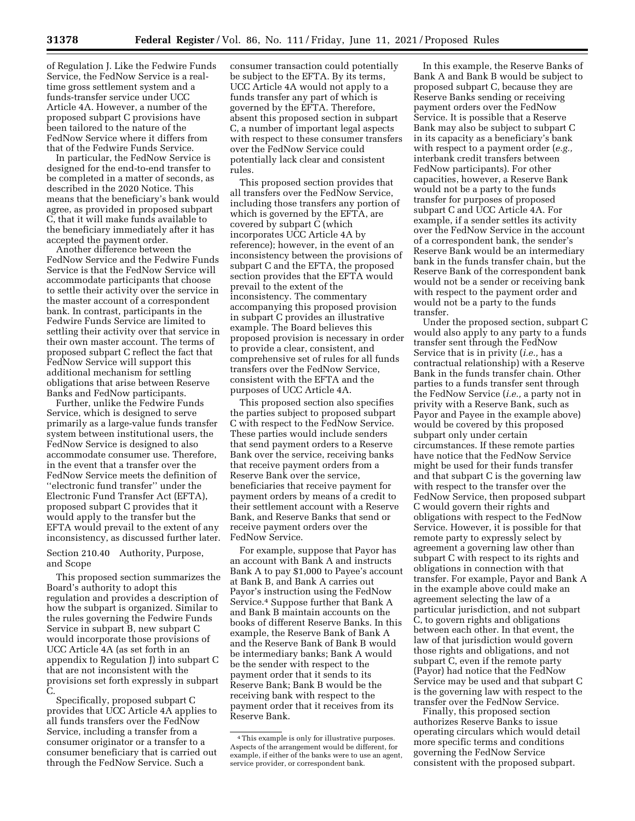of Regulation J. Like the Fedwire Funds Service, the FedNow Service is a realtime gross settlement system and a funds-transfer service under UCC Article 4A. However, a number of the proposed subpart C provisions have been tailored to the nature of the FedNow Service where it differs from that of the Fedwire Funds Service.

In particular, the FedNow Service is designed for the end-to-end transfer to be completed in a matter of seconds, as described in the 2020 Notice. This means that the beneficiary's bank would agree, as provided in proposed subpart C, that it will make funds available to the beneficiary immediately after it has accepted the payment order.

Another difference between the FedNow Service and the Fedwire Funds Service is that the FedNow Service will accommodate participants that choose to settle their activity over the service in the master account of a correspondent bank. In contrast, participants in the Fedwire Funds Service are limited to settling their activity over that service in their own master account. The terms of proposed subpart C reflect the fact that FedNow Service will support this additional mechanism for settling obligations that arise between Reserve Banks and FedNow participants.

Further, unlike the Fedwire Funds Service, which is designed to serve primarily as a large-value funds transfer system between institutional users, the FedNow Service is designed to also accommodate consumer use. Therefore, in the event that a transfer over the FedNow Service meets the definition of ''electronic fund transfer'' under the Electronic Fund Transfer Act (EFTA), proposed subpart C provides that it would apply to the transfer but the EFTA would prevail to the extent of any inconsistency, as discussed further later.

# Section 210.40 Authority, Purpose, and Scope

This proposed section summarizes the Board's authority to adopt this regulation and provides a description of how the subpart is organized. Similar to the rules governing the Fedwire Funds Service in subpart B, new subpart C would incorporate those provisions of UCC Article 4A (as set forth in an appendix to Regulation J) into subpart C that are not inconsistent with the provisions set forth expressly in subpart C.

Specifically, proposed subpart C provides that UCC Article 4A applies to all funds transfers over the FedNow Service, including a transfer from a consumer originator or a transfer to a consumer beneficiary that is carried out through the FedNow Service. Such a

consumer transaction could potentially be subject to the EFTA. By its terms, UCC Article 4A would not apply to a funds transfer any part of which is governed by the EFTA. Therefore, absent this proposed section in subpart C, a number of important legal aspects with respect to these consumer transfers over the FedNow Service could potentially lack clear and consistent rules.

This proposed section provides that all transfers over the FedNow Service, including those transfers any portion of which is governed by the EFTA, are covered by subpart C (which incorporates UCC Article 4A by reference); however, in the event of an inconsistency between the provisions of subpart C and the EFTA, the proposed section provides that the EFTA would prevail to the extent of the inconsistency. The commentary accompanying this proposed provision in subpart C provides an illustrative example. The Board believes this proposed provision is necessary in order to provide a clear, consistent, and comprehensive set of rules for all funds transfers over the FedNow Service, consistent with the EFTA and the purposes of UCC Article 4A.

This proposed section also specifies the parties subject to proposed subpart C with respect to the FedNow Service. These parties would include senders that send payment orders to a Reserve Bank over the service, receiving banks that receive payment orders from a Reserve Bank over the service, beneficiaries that receive payment for payment orders by means of a credit to their settlement account with a Reserve Bank, and Reserve Banks that send or receive payment orders over the FedNow Service.

For example, suppose that Payor has an account with Bank A and instructs Bank A to pay \$1,000 to Payee's account at Bank B, and Bank A carries out Payor's instruction using the FedNow Service.4 Suppose further that Bank A and Bank B maintain accounts on the books of different Reserve Banks. In this example, the Reserve Bank of Bank A and the Reserve Bank of Bank B would be intermediary banks; Bank A would be the sender with respect to the payment order that it sends to its Reserve Bank; Bank B would be the receiving bank with respect to the payment order that it receives from its Reserve Bank.

In this example, the Reserve Banks of Bank A and Bank B would be subject to proposed subpart C, because they are Reserve Banks sending or receiving payment orders over the FedNow Service. It is possible that a Reserve Bank may also be subject to subpart C in its capacity as a beneficiary's bank with respect to a payment order (*e.g.,*  interbank credit transfers between FedNow participants). For other capacities, however, a Reserve Bank would not be a party to the funds transfer for purposes of proposed subpart C and UCC Article 4A. For example, if a sender settles its activity over the FedNow Service in the account of a correspondent bank, the sender's Reserve Bank would be an intermediary bank in the funds transfer chain, but the Reserve Bank of the correspondent bank would not be a sender or receiving bank with respect to the payment order and would not be a party to the funds transfer.

Under the proposed section, subpart C would also apply to any party to a funds transfer sent through the FedNow Service that is in privity (*i.e.,* has a contractual relationship) with a Reserve Bank in the funds transfer chain. Other parties to a funds transfer sent through the FedNow Service (*i.e.,* a party not in privity with a Reserve Bank, such as Payor and Payee in the example above) would be covered by this proposed subpart only under certain circumstances. If these remote parties have notice that the FedNow Service might be used for their funds transfer and that subpart C is the governing law with respect to the transfer over the FedNow Service, then proposed subpart C would govern their rights and obligations with respect to the FedNow Service. However, it is possible for that remote party to expressly select by agreement a governing law other than subpart C with respect to its rights and obligations in connection with that transfer. For example, Payor and Bank A in the example above could make an agreement selecting the law of a particular jurisdiction, and not subpart C, to govern rights and obligations between each other. In that event, the law of that jurisdiction would govern those rights and obligations, and not subpart C, even if the remote party (Payor) had notice that the FedNow Service may be used and that subpart C is the governing law with respect to the transfer over the FedNow Service.

Finally, this proposed section authorizes Reserve Banks to issue operating circulars which would detail more specific terms and conditions governing the FedNow Service consistent with the proposed subpart.

<sup>4</sup>This example is only for illustrative purposes. Aspects of the arrangement would be different, for example, if either of the banks were to use an agent, service provider, or correspondent bank.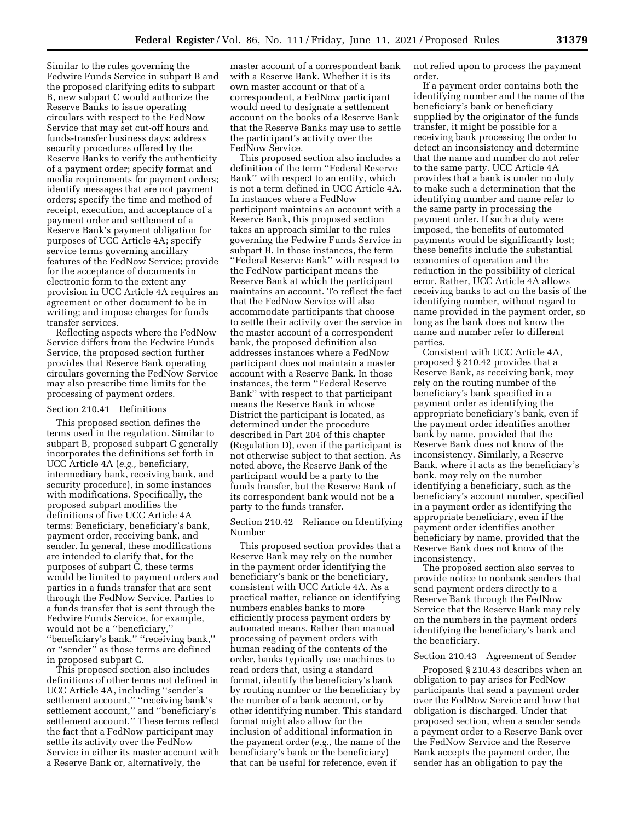Similar to the rules governing the Fedwire Funds Service in subpart B and the proposed clarifying edits to subpart B, new subpart C would authorize the Reserve Banks to issue operating circulars with respect to the FedNow Service that may set cut-off hours and funds-transfer business days; address security procedures offered by the Reserve Banks to verify the authenticity of a payment order; specify format and media requirements for payment orders; identify messages that are not payment orders; specify the time and method of receipt, execution, and acceptance of a payment order and settlement of a Reserve Bank's payment obligation for purposes of UCC Article 4A; specify service terms governing ancillary features of the FedNow Service; provide for the acceptance of documents in electronic form to the extent any provision in UCC Article 4A requires an agreement or other document to be in writing; and impose charges for funds transfer services.

Reflecting aspects where the FedNow Service differs from the Fedwire Funds Service, the proposed section further provides that Reserve Bank operating circulars governing the FedNow Service may also prescribe time limits for the processing of payment orders.

### Section 210.41 Definitions

This proposed section defines the terms used in the regulation. Similar to subpart B, proposed subpart C generally incorporates the definitions set forth in UCC Article 4A (*e.g.,* beneficiary, intermediary bank, receiving bank, and security procedure), in some instances with modifications. Specifically, the proposed subpart modifies the definitions of five UCC Article 4A terms: Beneficiary, beneficiary's bank, payment order, receiving bank, and sender. In general, these modifications are intended to clarify that, for the purposes of subpart C, these terms would be limited to payment orders and parties in a funds transfer that are sent through the FedNow Service. Parties to a funds transfer that is sent through the Fedwire Funds Service, for example, would not be a ''beneficiary,'' ''beneficiary's bank,'' ''receiving bank,'' or ''sender'' as those terms are defined in proposed subpart C.

This proposed section also includes definitions of other terms not defined in UCC Article 4A, including ''sender's settlement account,'' ''receiving bank's settlement account,'' and ''beneficiary's settlement account.'' These terms reflect the fact that a FedNow participant may settle its activity over the FedNow Service in either its master account with a Reserve Bank or, alternatively, the

master account of a correspondent bank with a Reserve Bank. Whether it is its own master account or that of a correspondent, a FedNow participant would need to designate a settlement account on the books of a Reserve Bank that the Reserve Banks may use to settle the participant's activity over the FedNow Service.

This proposed section also includes a definition of the term ''Federal Reserve Bank'' with respect to an entity, which is not a term defined in UCC Article 4A. In instances where a FedNow participant maintains an account with a Reserve Bank, this proposed section takes an approach similar to the rules governing the Fedwire Funds Service in subpart B. In those instances, the term ''Federal Reserve Bank'' with respect to the FedNow participant means the Reserve Bank at which the participant maintains an account. To reflect the fact that the FedNow Service will also accommodate participants that choose to settle their activity over the service in the master account of a correspondent bank, the proposed definition also addresses instances where a FedNow participant does not maintain a master account with a Reserve Bank. In those instances, the term ''Federal Reserve Bank'' with respect to that participant means the Reserve Bank in whose District the participant is located, as determined under the procedure described in Part 204 of this chapter (Regulation D), even if the participant is not otherwise subject to that section. As noted above, the Reserve Bank of the participant would be a party to the funds transfer, but the Reserve Bank of its correspondent bank would not be a party to the funds transfer.

Section 210.42 Reliance on Identifying Number

This proposed section provides that a Reserve Bank may rely on the number in the payment order identifying the beneficiary's bank or the beneficiary, consistent with UCC Article 4A. As a practical matter, reliance on identifying numbers enables banks to more efficiently process payment orders by automated means. Rather than manual processing of payment orders with human reading of the contents of the order, banks typically use machines to read orders that, using a standard format, identify the beneficiary's bank by routing number or the beneficiary by the number of a bank account, or by other identifying number. This standard format might also allow for the inclusion of additional information in the payment order (*e.g.,* the name of the beneficiary's bank or the beneficiary) that can be useful for reference, even if

not relied upon to process the payment order.

If a payment order contains both the identifying number and the name of the beneficiary's bank or beneficiary supplied by the originator of the funds transfer, it might be possible for a receiving bank processing the order to detect an inconsistency and determine that the name and number do not refer to the same party. UCC Article 4A provides that a bank is under no duty to make such a determination that the identifying number and name refer to the same party in processing the payment order. If such a duty were imposed, the benefits of automated payments would be significantly lost; these benefits include the substantial economies of operation and the reduction in the possibility of clerical error. Rather, UCC Article 4A allows receiving banks to act on the basis of the identifying number, without regard to name provided in the payment order, so long as the bank does not know the name and number refer to different parties.

Consistent with UCC Article 4A, proposed § 210.42 provides that a Reserve Bank, as receiving bank, may rely on the routing number of the beneficiary's bank specified in a payment order as identifying the appropriate beneficiary's bank, even if the payment order identifies another bank by name, provided that the Reserve Bank does not know of the inconsistency. Similarly, a Reserve Bank, where it acts as the beneficiary's bank, may rely on the number identifying a beneficiary, such as the beneficiary's account number, specified in a payment order as identifying the appropriate beneficiary, even if the payment order identifies another beneficiary by name, provided that the Reserve Bank does not know of the inconsistency.

The proposed section also serves to provide notice to nonbank senders that send payment orders directly to a Reserve Bank through the FedNow Service that the Reserve Bank may rely on the numbers in the payment orders identifying the beneficiary's bank and the beneficiary.

### Section 210.43 Agreement of Sender

Proposed § 210.43 describes when an obligation to pay arises for FedNow participants that send a payment order over the FedNow Service and how that obligation is discharged. Under that proposed section, when a sender sends a payment order to a Reserve Bank over the FedNow Service and the Reserve Bank accepts the payment order, the sender has an obligation to pay the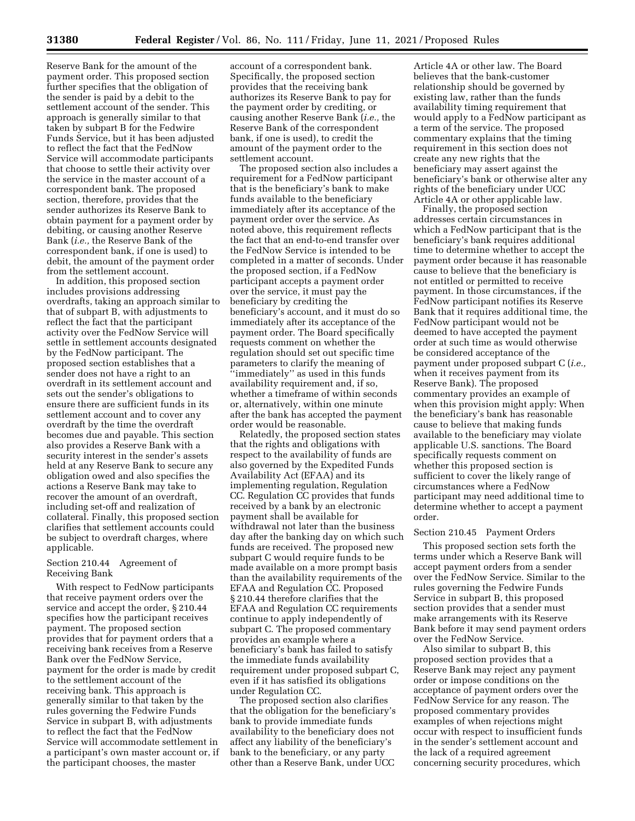Reserve Bank for the amount of the payment order. This proposed section further specifies that the obligation of the sender is paid by a debit to the settlement account of the sender. This approach is generally similar to that taken by subpart B for the Fedwire Funds Service, but it has been adjusted to reflect the fact that the FedNow Service will accommodate participants that choose to settle their activity over the service in the master account of a correspondent bank. The proposed section, therefore, provides that the sender authorizes its Reserve Bank to obtain payment for a payment order by debiting, or causing another Reserve Bank (*i.e.,* the Reserve Bank of the correspondent bank, if one is used) to debit, the amount of the payment order from the settlement account.

In addition, this proposed section includes provisions addressing overdrafts, taking an approach similar to that of subpart B, with adjustments to reflect the fact that the participant activity over the FedNow Service will settle in settlement accounts designated by the FedNow participant. The proposed section establishes that a sender does not have a right to an overdraft in its settlement account and sets out the sender's obligations to ensure there are sufficient funds in its settlement account and to cover any overdraft by the time the overdraft becomes due and payable. This section also provides a Reserve Bank with a security interest in the sender's assets held at any Reserve Bank to secure any obligation owed and also specifies the actions a Reserve Bank may take to recover the amount of an overdraft, including set-off and realization of collateral. Finally, this proposed section clarifies that settlement accounts could be subject to overdraft charges, where applicable.

## Section 210.44 Agreement of Receiving Bank

With respect to FedNow participants that receive payment orders over the service and accept the order, § 210.44 specifies how the participant receives payment. The proposed section provides that for payment orders that a receiving bank receives from a Reserve Bank over the FedNow Service, payment for the order is made by credit to the settlement account of the receiving bank. This approach is generally similar to that taken by the rules governing the Fedwire Funds Service in subpart B, with adjustments to reflect the fact that the FedNow Service will accommodate settlement in a participant's own master account or, if the participant chooses, the master

account of a correspondent bank. Specifically, the proposed section provides that the receiving bank authorizes its Reserve Bank to pay for the payment order by crediting, or causing another Reserve Bank (*i.e.,* the Reserve Bank of the correspondent bank, if one is used), to credit the amount of the payment order to the settlement account.

The proposed section also includes a requirement for a FedNow participant that is the beneficiary's bank to make funds available to the beneficiary immediately after its acceptance of the payment order over the service. As noted above, this requirement reflects the fact that an end-to-end transfer over the FedNow Service is intended to be completed in a matter of seconds. Under the proposed section, if a FedNow participant accepts a payment order over the service, it must pay the beneficiary by crediting the beneficiary's account, and it must do so immediately after its acceptance of the payment order. The Board specifically requests comment on whether the regulation should set out specific time parameters to clarify the meaning of ''immediately'' as used in this funds availability requirement and, if so, whether a timeframe of within seconds or, alternatively, within one minute after the bank has accepted the payment order would be reasonable.

Relatedly, the proposed section states that the rights and obligations with respect to the availability of funds are also governed by the Expedited Funds Availability Act (EFAA) and its implementing regulation, Regulation CC. Regulation CC provides that funds received by a bank by an electronic payment shall be available for withdrawal not later than the business day after the banking day on which such funds are received. The proposed new subpart C would require funds to be made available on a more prompt basis than the availability requirements of the EFAA and Regulation CC. Proposed § 210.44 therefore clarifies that the EFAA and Regulation CC requirements continue to apply independently of subpart C. The proposed commentary provides an example where a beneficiary's bank has failed to satisfy the immediate funds availability requirement under proposed subpart C, even if it has satisfied its obligations under Regulation CC.

The proposed section also clarifies that the obligation for the beneficiary's bank to provide immediate funds availability to the beneficiary does not affect any liability of the beneficiary's bank to the beneficiary, or any party other than a Reserve Bank, under UCC

Article 4A or other law. The Board believes that the bank-customer relationship should be governed by existing law, rather than the funds availability timing requirement that would apply to a FedNow participant as a term of the service. The proposed commentary explains that the timing requirement in this section does not create any new rights that the beneficiary may assert against the beneficiary's bank or otherwise alter any rights of the beneficiary under UCC Article 4A or other applicable law.

Finally, the proposed section addresses certain circumstances in which a FedNow participant that is the beneficiary's bank requires additional time to determine whether to accept the payment order because it has reasonable cause to believe that the beneficiary is not entitled or permitted to receive payment. In those circumstances, if the FedNow participant notifies its Reserve Bank that it requires additional time, the FedNow participant would not be deemed to have accepted the payment order at such time as would otherwise be considered acceptance of the payment under proposed subpart C (*i.e.,*  when it receives payment from its Reserve Bank). The proposed commentary provides an example of when this provision might apply: When the beneficiary's bank has reasonable cause to believe that making funds available to the beneficiary may violate applicable U.S. sanctions. The Board specifically requests comment on whether this proposed section is sufficient to cover the likely range of circumstances where a FedNow participant may need additional time to determine whether to accept a payment order.

#### Section 210.45 Payment Orders

This proposed section sets forth the terms under which a Reserve Bank will accept payment orders from a sender over the FedNow Service. Similar to the rules governing the Fedwire Funds Service in subpart B, this proposed section provides that a sender must make arrangements with its Reserve Bank before it may send payment orders over the FedNow Service.

Also similar to subpart B, this proposed section provides that a Reserve Bank may reject any payment order or impose conditions on the acceptance of payment orders over the FedNow Service for any reason. The proposed commentary provides examples of when rejections might occur with respect to insufficient funds in the sender's settlement account and the lack of a required agreement concerning security procedures, which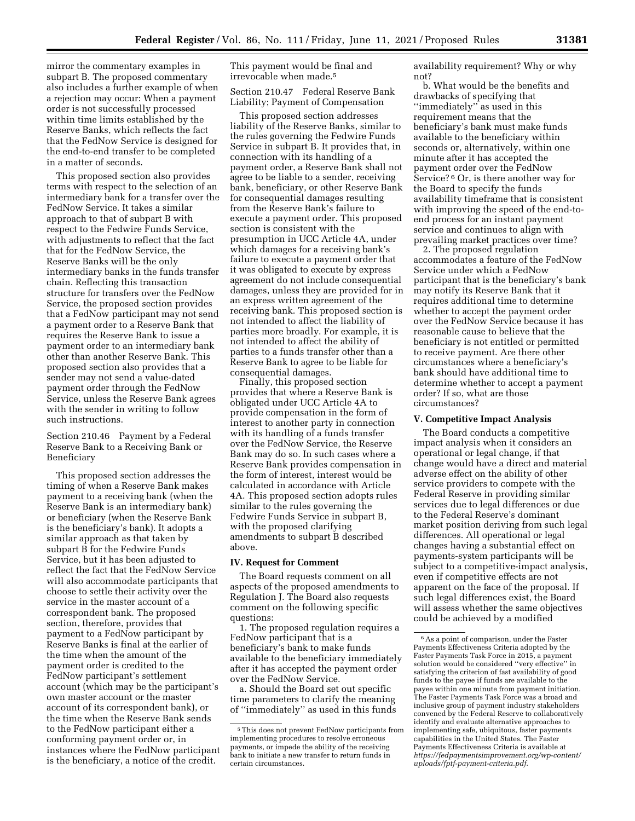mirror the commentary examples in subpart B. The proposed commentary also includes a further example of when a rejection may occur: When a payment order is not successfully processed within time limits established by the Reserve Banks, which reflects the fact that the FedNow Service is designed for the end-to-end transfer to be completed in a matter of seconds.

This proposed section also provides terms with respect to the selection of an intermediary bank for a transfer over the FedNow Service. It takes a similar approach to that of subpart B with respect to the Fedwire Funds Service, with adjustments to reflect that the fact that for the FedNow Service, the Reserve Banks will be the only intermediary banks in the funds transfer chain. Reflecting this transaction structure for transfers over the FedNow Service, the proposed section provides that a FedNow participant may not send a payment order to a Reserve Bank that requires the Reserve Bank to issue a payment order to an intermediary bank other than another Reserve Bank. This proposed section also provides that a sender may not send a value-dated payment order through the FedNow Service, unless the Reserve Bank agrees with the sender in writing to follow such instructions.

Section 210.46 Payment by a Federal Reserve Bank to a Receiving Bank or Beneficiary

This proposed section addresses the timing of when a Reserve Bank makes payment to a receiving bank (when the Reserve Bank is an intermediary bank) or beneficiary (when the Reserve Bank is the beneficiary's bank). It adopts a similar approach as that taken by subpart B for the Fedwire Funds Service, but it has been adjusted to reflect the fact that the FedNow Service will also accommodate participants that choose to settle their activity over the service in the master account of a correspondent bank. The proposed section, therefore, provides that payment to a FedNow participant by Reserve Banks is final at the earlier of the time when the amount of the payment order is credited to the FedNow participant's settlement account (which may be the participant's own master account or the master account of its correspondent bank), or the time when the Reserve Bank sends to the FedNow participant either a conforming payment order or, in instances where the FedNow participant is the beneficiary, a notice of the credit.

This payment would be final and irrevocable when made.5

Section 210.47 Federal Reserve Bank Liability; Payment of Compensation

This proposed section addresses liability of the Reserve Banks, similar to the rules governing the Fedwire Funds Service in subpart B. It provides that, in connection with its handling of a payment order, a Reserve Bank shall not agree to be liable to a sender, receiving bank, beneficiary, or other Reserve Bank for consequential damages resulting from the Reserve Bank's failure to execute a payment order. This proposed section is consistent with the presumption in UCC Article 4A, under which damages for a receiving bank's failure to execute a payment order that it was obligated to execute by express agreement do not include consequential damages, unless they are provided for in an express written agreement of the receiving bank. This proposed section is not intended to affect the liability of parties more broadly. For example, it is not intended to affect the ability of parties to a funds transfer other than a Reserve Bank to agree to be liable for consequential damages.

Finally, this proposed section provides that where a Reserve Bank is obligated under UCC Article 4A to provide compensation in the form of interest to another party in connection with its handling of a funds transfer over the FedNow Service, the Reserve Bank may do so. In such cases where a Reserve Bank provides compensation in the form of interest, interest would be calculated in accordance with Article 4A. This proposed section adopts rules similar to the rules governing the Fedwire Funds Service in subpart B, with the proposed clarifying amendments to subpart B described above.

### **IV. Request for Comment**

The Board requests comment on all aspects of the proposed amendments to Regulation J. The Board also requests comment on the following specific questions:

1. The proposed regulation requires a FedNow participant that is a beneficiary's bank to make funds available to the beneficiary immediately after it has accepted the payment order over the FedNow Service.

a. Should the Board set out specific time parameters to clarify the meaning of ''immediately'' as used in this funds availability requirement? Why or why not?

b. What would be the benefits and drawbacks of specifying that ''immediately'' as used in this requirement means that the beneficiary's bank must make funds available to the beneficiary within seconds or, alternatively, within one minute after it has accepted the payment order over the FedNow Service? 6 Or, is there another way for the Board to specify the funds availability timeframe that is consistent with improving the speed of the end-toend process for an instant payment service and continues to align with prevailing market practices over time?

2. The proposed regulation accommodates a feature of the FedNow Service under which a FedNow participant that is the beneficiary's bank may notify its Reserve Bank that it requires additional time to determine whether to accept the payment order over the FedNow Service because it has reasonable cause to believe that the beneficiary is not entitled or permitted to receive payment. Are there other circumstances where a beneficiary's bank should have additional time to determine whether to accept a payment order? If so, what are those circumstances?

### **V. Competitive Impact Analysis**

The Board conducts a competitive impact analysis when it considers an operational or legal change, if that change would have a direct and material adverse effect on the ability of other service providers to compete with the Federal Reserve in providing similar services due to legal differences or due to the Federal Reserve's dominant market position deriving from such legal differences. All operational or legal changes having a substantial effect on payments-system participants will be subject to a competitive-impact analysis, even if competitive effects are not apparent on the face of the proposal. If such legal differences exist, the Board will assess whether the same objectives could be achieved by a modified

<sup>5</sup>This does not prevent FedNow participants from implementing procedures to resolve erroneous payments, or impede the ability of the receiving bank to initiate a new transfer to return funds in certain circumstances.

<sup>6</sup>As a point of comparison, under the Faster Payments Effectiveness Criteria adopted by the Faster Payments Task Force in 2015, a payment solution would be considered ''very effective'' in satisfying the criterion of fast availability of good funds to the payee if funds are available to the payee within one minute from payment initiation. The Faster Payments Task Force was a broad and inclusive group of payment industry stakeholders convened by the Federal Reserve to collaboratively identify and evaluate alternative approaches to implementing safe, ubiquitous, faster payments capabilities in the United States. The Faster Payments Effectiveness Criteria is available at *[https://fedpaymentsimprovement.org/wp-content/](https://fedpaymentsimprovement.org/wp-content/uploads/fptf-payment-criteria.pdf) [uploads/fptf-payment-criteria.pdf.](https://fedpaymentsimprovement.org/wp-content/uploads/fptf-payment-criteria.pdf)*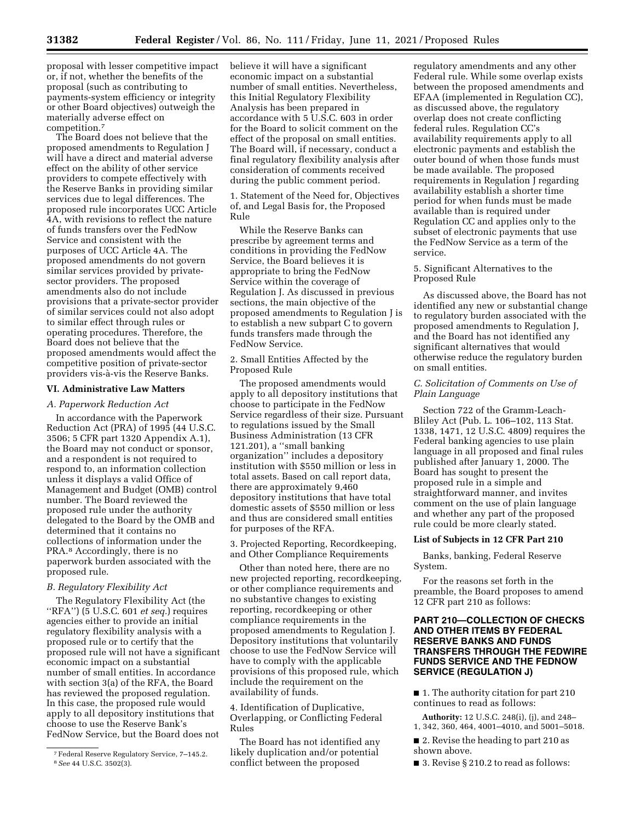proposal with lesser competitive impact or, if not, whether the benefits of the proposal (such as contributing to payments-system efficiency or integrity or other Board objectives) outweigh the materially adverse effect on competition.7

The Board does not believe that the proposed amendments to Regulation J will have a direct and material adverse effect on the ability of other service providers to compete effectively with the Reserve Banks in providing similar services due to legal differences. The proposed rule incorporates UCC Article 4A, with revisions to reflect the nature of funds transfers over the FedNow Service and consistent with the purposes of UCC Article 4A. The proposed amendments do not govern similar services provided by privatesector providers. The proposed amendments also do not include provisions that a private-sector provider of similar services could not also adopt to similar effect through rules or operating procedures. Therefore, the Board does not believe that the proposed amendments would affect the competitive position of private-sector providers vis-a`-vis the Reserve Banks.

### **VI. Administrative Law Matters**

# *A. Paperwork Reduction Act*

In accordance with the Paperwork Reduction Act (PRA) of 1995 (44 U.S.C. 3506; 5 CFR part 1320 Appendix A.1), the Board may not conduct or sponsor, and a respondent is not required to respond to, an information collection unless it displays a valid Office of Management and Budget (OMB) control number. The Board reviewed the proposed rule under the authority delegated to the Board by the OMB and determined that it contains no collections of information under the PRA.8 Accordingly, there is no paperwork burden associated with the proposed rule.

### *B. Regulatory Flexibility Act*

The Regulatory Flexibility Act (the ''RFA'') (5 U.S.C. 601 *et seq.*) requires agencies either to provide an initial regulatory flexibility analysis with a proposed rule or to certify that the proposed rule will not have a significant economic impact on a substantial number of small entities. In accordance with section 3(a) of the RFA, the Board has reviewed the proposed regulation. In this case, the proposed rule would apply to all depository institutions that choose to use the Reserve Bank's FedNow Service, but the Board does not

believe it will have a significant economic impact on a substantial number of small entities. Nevertheless, this Initial Regulatory Flexibility Analysis has been prepared in accordance with 5 U.S.C. 603 in order for the Board to solicit comment on the effect of the proposal on small entities. The Board will, if necessary, conduct a final regulatory flexibility analysis after consideration of comments received during the public comment period.

1. Statement of the Need for, Objectives of, and Legal Basis for, the Proposed Rule

While the Reserve Banks can prescribe by agreement terms and conditions in providing the FedNow Service, the Board believes it is appropriate to bring the FedNow Service within the coverage of Regulation J. As discussed in previous sections, the main objective of the proposed amendments to Regulation J is to establish a new subpart C to govern funds transfers made through the FedNow Service.

2. Small Entities Affected by the Proposed Rule

The proposed amendments would apply to all depository institutions that choose to participate in the FedNow Service regardless of their size. Pursuant to regulations issued by the Small Business Administration (13 CFR 121.201), a ''small banking organization'' includes a depository institution with \$550 million or less in total assets. Based on call report data, there are approximately 9,460 depository institutions that have total domestic assets of \$550 million or less and thus are considered small entities for purposes of the RFA.

3. Projected Reporting, Recordkeeping, and Other Compliance Requirements

Other than noted here, there are no new projected reporting, recordkeeping, or other compliance requirements and no substantive changes to existing reporting, recordkeeping or other compliance requirements in the proposed amendments to Regulation J. Depository institutions that voluntarily choose to use the FedNow Service will have to comply with the applicable provisions of this proposed rule, which include the requirement on the availability of funds.

4. Identification of Duplicative, Overlapping, or Conflicting Federal Rules

The Board has not identified any likely duplication and/or potential conflict between the proposed

regulatory amendments and any other Federal rule. While some overlap exists between the proposed amendments and EFAA (implemented in Regulation CC), as discussed above, the regulatory overlap does not create conflicting federal rules. Regulation CC's availability requirements apply to all electronic payments and establish the outer bound of when those funds must be made available. The proposed requirements in Regulation J regarding availability establish a shorter time period for when funds must be made available than is required under Regulation CC and applies only to the subset of electronic payments that use the FedNow Service as a term of the service.

5. Significant Alternatives to the Proposed Rule

As discussed above, the Board has not identified any new or substantial change to regulatory burden associated with the proposed amendments to Regulation J, and the Board has not identified any significant alternatives that would otherwise reduce the regulatory burden on small entities.

## *C. Solicitation of Comments on Use of Plain Language*

Section 722 of the Gramm-Leach-Bliley Act (Pub. L. 106–102, 113 Stat. 1338, 1471, 12 U.S.C. 4809) requires the Federal banking agencies to use plain language in all proposed and final rules published after January 1, 2000. The Board has sought to present the proposed rule in a simple and straightforward manner, and invites comment on the use of plain language and whether any part of the proposed rule could be more clearly stated.

### **List of Subjects in 12 CFR Part 210**

Banks, banking, Federal Reserve System.

For the reasons set forth in the preamble, the Board proposes to amend 12 CFR part 210 as follows:

# **PART 210—COLLECTION OF CHECKS AND OTHER ITEMS BY FEDERAL RESERVE BANKS AND FUNDS TRANSFERS THROUGH THE FEDWIRE FUNDS SERVICE AND THE FEDNOW SERVICE (REGULATION J)**

■ 1. The authority citation for part 210 continues to read as follows:

**Authority:** 12 U.S.C. 248(i), (j), and 248– 1, 342, 360, 464, 4001–4010, and 5001–5018.

■ 2. Revise the heading to part 210 as shown above.

■ 3. Revise § 210.2 to read as follows:

<sup>7</sup>Federal Reserve Regulatory Service, 7–145.2. 8*See* 44 U.S.C. 3502(3).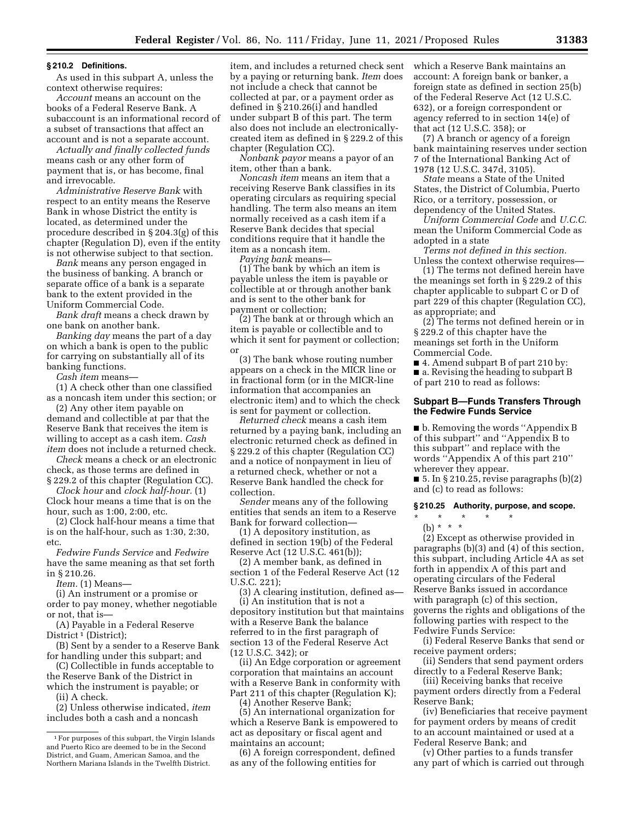#### **§ 210.2 Definitions.**

As used in this subpart A, unless the context otherwise requires:

*Account* means an account on the books of a Federal Reserve Bank. A subaccount is an informational record of a subset of transactions that affect an account and is not a separate account.

*Actually and finally collected funds*  means cash or any other form of payment that is, or has become, final and irrevocable.

*Administrative Reserve Bank* with respect to an entity means the Reserve Bank in whose District the entity is located, as determined under the procedure described in § 204.3(g) of this chapter (Regulation D), even if the entity is not otherwise subject to that section.

*Bank* means any person engaged in the business of banking. A branch or separate office of a bank is a separate bank to the extent provided in the Uniform Commercial Code.

*Bank draft* means a check drawn by one bank on another bank.

*Banking day* means the part of a day on which a bank is open to the public for carrying on substantially all of its banking functions.

*Cash item* means—

(1) A check other than one classified as a noncash item under this section; or

(2) Any other item payable on demand and collectible at par that the Reserve Bank that receives the item is willing to accept as a cash item. *Cash item* does not include a returned check.

*Check* means a check or an electronic check, as those terms are defined in § 229.2 of this chapter (Regulation CC).

*Clock hour* and *clock half-hour.* (1) Clock hour means a time that is on the hour, such as 1:00, 2:00, etc.

(2) Clock half-hour means a time that is on the half-hour, such as 1:30, 2:30, etc.

*Fedwire Funds Service* and *Fedwire*  have the same meaning as that set forth in § 210.26.

*Item.* (1) Means—

(i) An instrument or a promise or order to pay money, whether negotiable or not, that is—

(A) Payable in a Federal Reserve District<sup>1</sup> (District);

(B) Sent by a sender to a Reserve Bank for handling under this subpart; and

(C) Collectible in funds acceptable to the Reserve Bank of the District in

which the instrument is payable; or (ii) A check.

(2) Unless otherwise indicated, *item*  includes both a cash and a noncash

item, and includes a returned check sent by a paying or returning bank. *Item* does not include a check that cannot be collected at par, or a payment order as defined in § 210.26(i) and handled under subpart B of this part. The term also does not include an electronicallycreated item as defined in § 229.2 of this chapter (Regulation CC).

*Nonbank payor* means a payor of an item, other than a bank.

*Noncash item* means an item that a receiving Reserve Bank classifies in its operating circulars as requiring special handling. The term also means an item normally received as a cash item if a Reserve Bank decides that special conditions require that it handle the item as a noncash item.

*Paying bank* means—

(1) The bank by which an item is payable unless the item is payable or collectible at or through another bank and is sent to the other bank for payment or collection;

(2) The bank at or through which an item is payable or collectible and to which it sent for payment or collection; or

(3) The bank whose routing number appears on a check in the MICR line or in fractional form (or in the MICR-line information that accompanies an electronic item) and to which the check is sent for payment or collection.

*Returned check* means a cash item returned by a paying bank, including an electronic returned check as defined in § 229.2 of this chapter (Regulation CC) and a notice of nonpayment in lieu of a returned check, whether or not a Reserve Bank handled the check for collection.

*Sender* means any of the following entities that sends an item to a Reserve Bank for forward collection—

(1) A depository institution, as defined in section 19(b) of the Federal Reserve Act (12 U.S.C. 461(b));

(2) A member bank, as defined in section 1 of the Federal Reserve Act (12 U.S.C. 221);

(3) A clearing institution, defined as— (i) An institution that is not a depository institution but that maintains with a Reserve Bank the balance referred to in the first paragraph of section 13 of the Federal Reserve Act (12 U.S.C. 342); or

(ii) An Edge corporation or agreement corporation that maintains an account with a Reserve Bank in conformity with Part 211 of this chapter (Regulation K);

(4) Another Reserve Bank;

(5) An international organization for which a Reserve Bank is empowered to act as depositary or fiscal agent and maintains an account;

(6) A foreign correspondent, defined as any of the following entities for

which a Reserve Bank maintains an account: A foreign bank or banker, a foreign state as defined in section 25(b) of the Federal Reserve Act (12 U.S.C. 632), or a foreign correspondent or agency referred to in section 14(e) of that act (12 U.S.C. 358); or

(7) A branch or agency of a foreign bank maintaining reserves under section 7 of the International Banking Act of 1978 (12 U.S.C. 347d, 3105).

*State* means a State of the United States, the District of Columbia, Puerto Rico, or a territory, possession, or dependency of the United States.

*Uniform Commercial Code* and *U.C.C.*  mean the Uniform Commercial Code as adopted in a state

*Terms not defined in this section.*  Unless the context otherwise requires—

(1) The terms not defined herein have the meanings set forth in § 229.2 of this chapter applicable to subpart C or D of part 229 of this chapter (Regulation CC), as appropriate; and

(2) The terms not defined herein or in § 229.2 of this chapter have the meanings set forth in the Uniform Commercial Code.

■ 4. Amend subpart B of part 210 by: ■ a. Revising the heading to subpart B of part 210 to read as follows:

### **Subpart B—Funds Transfers Through the Fedwire Funds Service**

■ b. Removing the words "Appendix B of this subpart'' and ''Appendix B to this subpart'' and replace with the words ''Appendix A of this part 210'' wherever they appear.

■ 5. In § 210.25, revise paragraphs  $(b)(2)$ and (c) to read as follows:

### **§ 210.25 Authority, purpose, and scope.**

\* \* \* \* \*

(b) \* \* \* (2) Except as otherwise provided in paragraphs (b)(3) and (4) of this section, this subpart, including Article 4A as set forth in appendix A of this part and operating circulars of the Federal Reserve Banks issued in accordance with paragraph (c) of this section, governs the rights and obligations of the following parties with respect to the Fedwire Funds Service:

(i) Federal Reserve Banks that send or receive payment orders;

(ii) Senders that send payment orders directly to a Federal Reserve Bank;

(iii) Receiving banks that receive payment orders directly from a Federal Reserve Bank;

(iv) Beneficiaries that receive payment for payment orders by means of credit to an account maintained or used at a Federal Reserve Bank; and

(v) Other parties to a funds transfer any part of which is carried out through

<sup>&</sup>lt;sup>1</sup> For purposes of this subpart, the Virgin Islands and Puerto Rico are deemed to be in the Second District, and Guam, American Samoa, and the Northern Mariana Islands in the Twelfth District.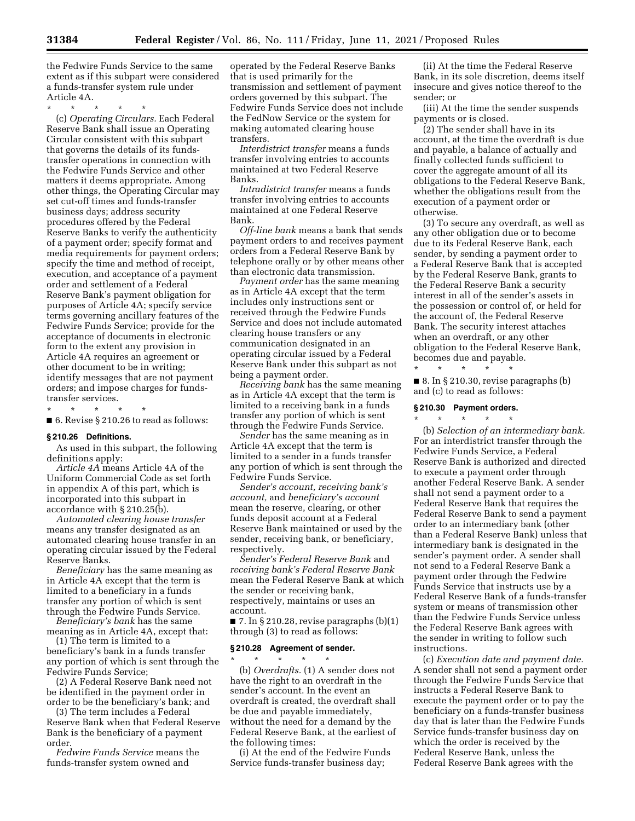the Fedwire Funds Service to the same extent as if this subpart were considered a funds-transfer system rule under Article 4A.

\* \* \* \* \*

(c) *Operating Circulars.* Each Federal Reserve Bank shall issue an Operating Circular consistent with this subpart that governs the details of its fundstransfer operations in connection with the Fedwire Funds Service and other matters it deems appropriate. Among other things, the Operating Circular may set cut-off times and funds-transfer business days; address security procedures offered by the Federal Reserve Banks to verify the authenticity of a payment order; specify format and media requirements for payment orders; specify the time and method of receipt, execution, and acceptance of a payment order and settlement of a Federal Reserve Bank's payment obligation for purposes of Article 4A; specify service terms governing ancillary features of the Fedwire Funds Service; provide for the acceptance of documents in electronic form to the extent any provision in Article 4A requires an agreement or other document to be in writing; identify messages that are not payment orders; and impose charges for fundstransfer services.

\* \* \* \* \*

■ 6. Revise § 210.26 to read as follows:

### **§ 210.26 Definitions.**

As used in this subpart, the following definitions apply:

*Article 4A* means Article 4A of the Uniform Commercial Code as set forth in appendix A of this part, which is incorporated into this subpart in accordance with § 210.25(b).

*Automated clearing house transfer*  means any transfer designated as an automated clearing house transfer in an operating circular issued by the Federal Reserve Banks.

*Beneficiary* has the same meaning as in Article 4A except that the term is limited to a beneficiary in a funds transfer any portion of which is sent through the Fedwire Funds Service.

*Beneficiary's bank* has the same meaning as in Article 4A, except that:

(1) The term is limited to a beneficiary's bank in a funds transfer any portion of which is sent through the Fedwire Funds Service;

(2) A Federal Reserve Bank need not be identified in the payment order in order to be the beneficiary's bank; and

(3) The term includes a Federal Reserve Bank when that Federal Reserve Bank is the beneficiary of a payment order.

*Fedwire Funds Service* means the funds-transfer system owned and

operated by the Federal Reserve Banks that is used primarily for the transmission and settlement of payment orders governed by this subpart. The Fedwire Funds Service does not include the FedNow Service or the system for making automated clearing house transfers.

*Interdistrict transfer* means a funds transfer involving entries to accounts maintained at two Federal Reserve Banks.

*Intradistrict transfer* means a funds transfer involving entries to accounts maintained at one Federal Reserve Bank.

*Off-line bank* means a bank that sends payment orders to and receives payment orders from a Federal Reserve Bank by telephone orally or by other means other than electronic data transmission.

*Payment order* has the same meaning as in Article 4A except that the term includes only instructions sent or received through the Fedwire Funds Service and does not include automated clearing house transfers or any communication designated in an operating circular issued by a Federal Reserve Bank under this subpart as not being a payment order.

*Receiving bank* has the same meaning as in Article 4A except that the term is limited to a receiving bank in a funds transfer any portion of which is sent through the Fedwire Funds Service.

*Sender* has the same meaning as in Article 4A except that the term is limited to a sender in a funds transfer any portion of which is sent through the Fedwire Funds Service.

*Sender's account, receiving bank's account,* and *beneficiary's account*  mean the reserve, clearing, or other funds deposit account at a Federal Reserve Bank maintained or used by the sender, receiving bank, or beneficiary, respectively.

*Sender's Federal Reserve Bank* and *receiving bank's Federal Reserve Bank*  mean the Federal Reserve Bank at which the sender or receiving bank, respectively, maintains or uses an account.

 $\blacksquare$  7. In § 210.28, revise paragraphs (b)(1) through (3) to read as follows:

## **§ 210.28 Agreement of sender.**

\* \* \* \* \* (b) *Overdrafts.* (1) A sender does not have the right to an overdraft in the sender's account. In the event an overdraft is created, the overdraft shall be due and payable immediately, without the need for a demand by the Federal Reserve Bank, at the earliest of the following times:

(i) At the end of the Fedwire Funds Service funds-transfer business day;

(ii) At the time the Federal Reserve Bank, in its sole discretion, deems itself insecure and gives notice thereof to the sender; or

(iii) At the time the sender suspends payments or is closed.

(2) The sender shall have in its account, at the time the overdraft is due and payable, a balance of actually and finally collected funds sufficient to cover the aggregate amount of all its obligations to the Federal Reserve Bank, whether the obligations result from the execution of a payment order or otherwise.

(3) To secure any overdraft, as well as any other obligation due or to become due to its Federal Reserve Bank, each sender, by sending a payment order to a Federal Reserve Bank that is accepted by the Federal Reserve Bank, grants to the Federal Reserve Bank a security interest in all of the sender's assets in the possession or control of, or held for the account of, the Federal Reserve Bank. The security interest attaches when an overdraft, or any other obligation to the Federal Reserve Bank, becomes due and payable.

■ 8. In § 210.30, revise paragraphs (b) and (c) to read as follows:

#### **§ 210.30 Payment orders.**  \* \* \* \* \*

\* \* \* \* \*

(b) *Selection of an intermediary bank.*  For an interdistrict transfer through the Fedwire Funds Service, a Federal Reserve Bank is authorized and directed to execute a payment order through another Federal Reserve Bank. A sender shall not send a payment order to a Federal Reserve Bank that requires the Federal Reserve Bank to send a payment order to an intermediary bank (other than a Federal Reserve Bank) unless that intermediary bank is designated in the sender's payment order. A sender shall not send to a Federal Reserve Bank a payment order through the Fedwire Funds Service that instructs use by a Federal Reserve Bank of a funds-transfer system or means of transmission other than the Fedwire Funds Service unless the Federal Reserve Bank agrees with the sender in writing to follow such instructions.

(c) *Execution date and payment date.*  A sender shall not send a payment order through the Fedwire Funds Service that instructs a Federal Reserve Bank to execute the payment order or to pay the beneficiary on a funds-transfer business day that is later than the Fedwire Funds Service funds-transfer business day on which the order is received by the Federal Reserve Bank, unless the Federal Reserve Bank agrees with the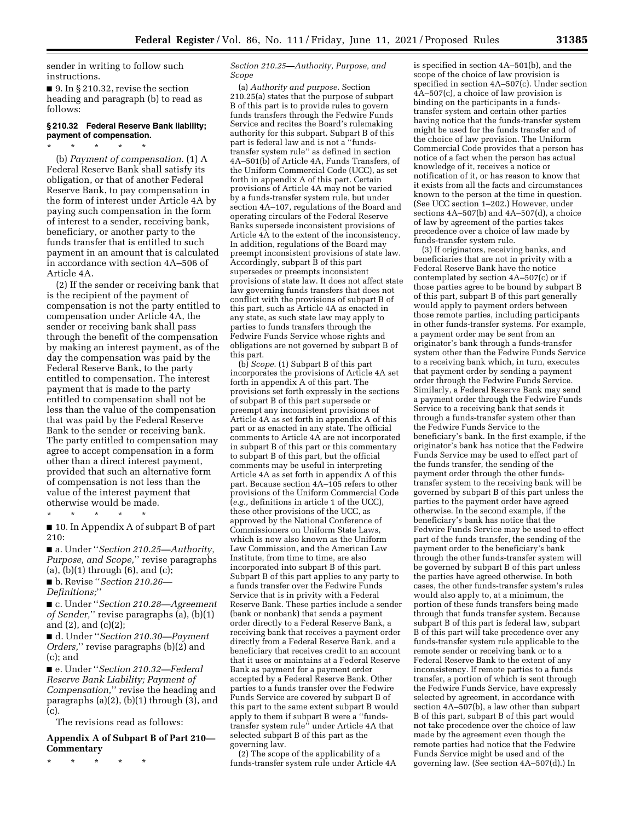sender in writing to follow such instructions.

 $\blacksquare$  9. In § 210.32, revise the section heading and paragraph (b) to read as follows:

# **§ 210.32 Federal Reserve Bank liability; payment of compensation.**

\* \* \* \* \* (b) *Payment of compensation.* (1) A Federal Reserve Bank shall satisfy its obligation, or that of another Federal Reserve Bank, to pay compensation in the form of interest under Article 4A by paying such compensation in the form of interest to a sender, receiving bank, beneficiary, or another party to the funds transfer that is entitled to such payment in an amount that is calculated in accordance with section 4A–506 of Article 4A.

(2) If the sender or receiving bank that is the recipient of the payment of compensation is not the party entitled to compensation under Article 4A, the sender or receiving bank shall pass through the benefit of the compensation by making an interest payment, as of the day the compensation was paid by the Federal Reserve Bank, to the party entitled to compensation. The interest payment that is made to the party entitled to compensation shall not be less than the value of the compensation that was paid by the Federal Reserve Bank to the sender or receiving bank. The party entitled to compensation may agree to accept compensation in a form other than a direct interest payment, provided that such an alternative form of compensation is not less than the value of the interest payment that otherwise would be made.

■ 10. In Appendix A of subpart B of part  $210:$ 

■ a. Under ''*Section 210.25—Authority, Purpose, and Scope,*'' revise paragraphs (a), (b)(1) through (6), and (c);

■ b. Revise ''*Section 210.26— Definitions;*''

\* \* \* \* \*

■ c. Under ''*Section 210.28—Agreement of Sender,*'' revise paragraphs (a), (b)(1) and (2), and (c)(2);

■ d. Under ''*Section 210.30—Payment Orders,*'' revise paragraphs (b)(2) and (c); and

■ e. Under ''*Section 210.32—Federal Reserve Bank Liability; Payment of Compensation,*'' revise the heading and paragraphs (a)(2), (b)(1) through (3), and (c).

The revisions read as follows:

# **Appendix A of Subpart B of Part 210— Commentary**

\* \* \* \* \*

#### *Section 210.25—Authority, Purpose, and Scope*

(a) *Authority and purpose.* Section 210.25(a) states that the purpose of subpart B of this part is to provide rules to govern funds transfers through the Fedwire Funds Service and recites the Board's rulemaking authority for this subpart. Subpart B of this part is federal law and is not a ''fundstransfer system rule'' as defined in section 4A–501(b) of Article 4A, Funds Transfers, of the Uniform Commercial Code (UCC), as set forth in appendix A of this part. Certain provisions of Article 4A may not be varied by a funds-transfer system rule, but under section 4A–107, regulations of the Board and operating circulars of the Federal Reserve Banks supersede inconsistent provisions of Article 4A to the extent of the inconsistency. In addition, regulations of the Board may preempt inconsistent provisions of state law. Accordingly, subpart B of this part supersedes or preempts inconsistent provisions of state law. It does not affect state law governing funds transfers that does not conflict with the provisions of subpart B of this part, such as Article 4A as enacted in any state, as such state law may apply to parties to funds transfers through the Fedwire Funds Service whose rights and obligations are not governed by subpart B of this part.

(b) *Scope.* (1) Subpart B of this part incorporates the provisions of Article 4A set forth in appendix A of this part. The provisions set forth expressly in the sections of subpart B of this part supersede or preempt any inconsistent provisions of Article 4A as set forth in appendix A of this part or as enacted in any state. The official comments to Article 4A are not incorporated in subpart B of this part or this commentary to subpart B of this part, but the official comments may be useful in interpreting Article 4A as set forth in appendix A of this part. Because section 4A–105 refers to other provisions of the Uniform Commercial Code (*e.g.,* definitions in article 1 of the UCC), these other provisions of the UCC, as approved by the National Conference of Commissioners on Uniform State Laws, which is now also known as the Uniform Law Commission, and the American Law Institute, from time to time, are also incorporated into subpart B of this part. Subpart B of this part applies to any party to a funds transfer over the Fedwire Funds Service that is in privity with a Federal Reserve Bank. These parties include a sender (bank or nonbank) that sends a payment order directly to a Federal Reserve Bank, a receiving bank that receives a payment order directly from a Federal Reserve Bank, and a beneficiary that receives credit to an account that it uses or maintains at a Federal Reserve Bank as payment for a payment order accepted by a Federal Reserve Bank. Other parties to a funds transfer over the Fedwire Funds Service are covered by subpart B of this part to the same extent subpart B would apply to them if subpart B were a ''fundstransfer system rule'' under Article 4A that selected subpart B of this part as the governing law.

(2) The scope of the applicability of a funds-transfer system rule under Article 4A

is specified in section 4A–501(b), and the scope of the choice of law provision is specified in section 4A–507(c). Under section 4A–507(c), a choice of law provision is binding on the participants in a fundstransfer system and certain other parties having notice that the funds-transfer system might be used for the funds transfer and of the choice of law provision. The Uniform Commercial Code provides that a person has notice of a fact when the person has actual knowledge of it, receives a notice or notification of it, or has reason to know that it exists from all the facts and circumstances known to the person at the time in question. (See UCC section 1–202.) However, under sections 4A–507(b) and 4A–507(d), a choice of law by agreement of the parties takes precedence over a choice of law made by funds-transfer system rule.

(3) If originators, receiving banks, and beneficiaries that are not in privity with a Federal Reserve Bank have the notice contemplated by section 4A–507(c) or if those parties agree to be bound by subpart B of this part, subpart B of this part generally would apply to payment orders between those remote parties, including participants in other funds-transfer systems. For example, a payment order may be sent from an originator's bank through a funds-transfer system other than the Fedwire Funds Service to a receiving bank which, in turn, executes that payment order by sending a payment order through the Fedwire Funds Service. Similarly, a Federal Reserve Bank may send a payment order through the Fedwire Funds Service to a receiving bank that sends it through a funds-transfer system other than the Fedwire Funds Service to the beneficiary's bank. In the first example, if the originator's bank has notice that the Fedwire Funds Service may be used to effect part of the funds transfer, the sending of the payment order through the other fundstransfer system to the receiving bank will be governed by subpart B of this part unless the parties to the payment order have agreed otherwise. In the second example, if the beneficiary's bank has notice that the Fedwire Funds Service may be used to effect part of the funds transfer, the sending of the payment order to the beneficiary's bank through the other funds-transfer system will be governed by subpart B of this part unless the parties have agreed otherwise. In both cases, the other funds-transfer system's rules would also apply to, at a minimum, the portion of these funds transfers being made through that funds transfer system. Because subpart B of this part is federal law, subpart B of this part will take precedence over any funds-transfer system rule applicable to the remote sender or receiving bank or to a Federal Reserve Bank to the extent of any inconsistency. If remote parties to a funds transfer, a portion of which is sent through the Fedwire Funds Service, have expressly selected by agreement, in accordance with section 4A–507(b), a law other than subpart B of this part, subpart B of this part would not take precedence over the choice of law made by the agreement even though the remote parties had notice that the Fedwire Funds Service might be used and of the governing law. (See section 4A–507(d).) In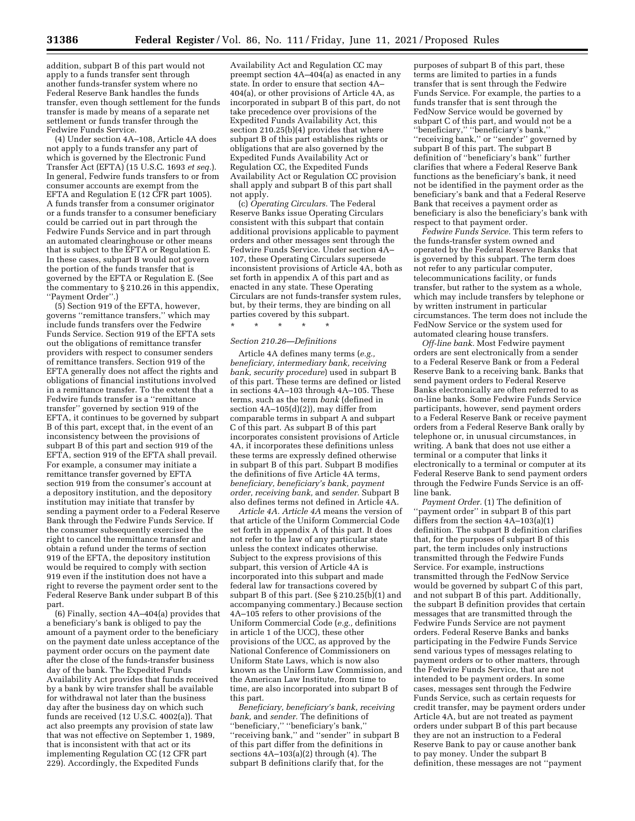addition, subpart B of this part would not apply to a funds transfer sent through another funds-transfer system where no Federal Reserve Bank handles the funds transfer, even though settlement for the funds transfer is made by means of a separate net settlement or funds transfer through the Fedwire Funds Service.

(4) Under section 4A–108, Article 4A does not apply to a funds transfer any part of which is governed by the Electronic Fund Transfer Act (EFTA) (15 U.S.C. 1693 *et seq.*). In general, Fedwire funds transfers to or from consumer accounts are exempt from the EFTA and Regulation E (12 CFR part 1005). A funds transfer from a consumer originator or a funds transfer to a consumer beneficiary could be carried out in part through the Fedwire Funds Service and in part through an automated clearinghouse or other means that is subject to the EFTA or Regulation E. In these cases, subpart B would not govern the portion of the funds transfer that is governed by the EFTA or Regulation E. (See the commentary to § 210.26 in this appendix, ''Payment Order''.)

(5) Section 919 of the EFTA, however, governs ''remittance transfers,'' which may include funds transfers over the Fedwire Funds Service. Section 919 of the EFTA sets out the obligations of remittance transfer providers with respect to consumer senders of remittance transfers. Section 919 of the EFTA generally does not affect the rights and obligations of financial institutions involved in a remittance transfer. To the extent that a Fedwire funds transfer is a ''remittance transfer'' governed by section 919 of the EFTA, it continues to be governed by subpart B of this part, except that, in the event of an inconsistency between the provisions of subpart B of this part and section 919 of the EFTA, section 919 of the EFTA shall prevail. For example, a consumer may initiate a remittance transfer governed by EFTA section 919 from the consumer's account at a depository institution, and the depository institution may initiate that transfer by sending a payment order to a Federal Reserve Bank through the Fedwire Funds Service. If the consumer subsequently exercised the right to cancel the remittance transfer and obtain a refund under the terms of section 919 of the EFTA, the depository institution would be required to comply with section 919 even if the institution does not have a right to reverse the payment order sent to the Federal Reserve Bank under subpart B of this part.

(6) Finally, section 4A–404(a) provides that a beneficiary's bank is obliged to pay the amount of a payment order to the beneficiary on the payment date unless acceptance of the payment order occurs on the payment date after the close of the funds-transfer business day of the bank. The Expedited Funds Availability Act provides that funds received by a bank by wire transfer shall be available for withdrawal not later than the business day after the business day on which such funds are received (12 U.S.C. 4002(a)). That act also preempts any provision of state law that was not effective on September 1, 1989, that is inconsistent with that act or its implementing Regulation CC (12 CFR part 229). Accordingly, the Expedited Funds

Availability Act and Regulation CC may preempt section 4A–404(a) as enacted in any state. In order to ensure that section 4A– 404(a), or other provisions of Article 4A, as incorporated in subpart B of this part, do not take precedence over provisions of the Expedited Funds Availability Act, this section 210.25(b)(4) provides that where subpart B of this part establishes rights or obligations that are also governed by the Expedited Funds Availability Act or Regulation CC, the Expedited Funds Availability Act or Regulation CC provision shall apply and subpart B of this part shall not apply.

(c) *Operating Circulars.* The Federal Reserve Banks issue Operating Circulars consistent with this subpart that contain additional provisions applicable to payment orders and other messages sent through the Fedwire Funds Service. Under section 4A– 107, these Operating Circulars supersede inconsistent provisions of Article 4A, both as set forth in appendix A of this part and as enacted in any state. These Operating Circulars are not funds-transfer system rules, but, by their terms, they are binding on all parties covered by this subpart. \* \* \* \* \*

#### *Section 210.26—Definitions*

Article 4A defines many terms (*e.g., beneficiary, intermediary bank, receiving bank, security procedure*) used in subpart B of this part. These terms are defined or listed in sections 4A–103 through 4A–105. These terms, such as the term *bank* (defined in section 4A–105(d)(2)), may differ from comparable terms in subpart A and subpart C of this part. As subpart B of this part incorporates consistent provisions of Article 4A, it incorporates these definitions unless these terms are expressly defined otherwise in subpart B of this part. Subpart B modifies the definitions of five Article 4A terms, *beneficiary, beneficiary's bank, payment order, receiving bank,* and *sender.* Subpart B also defines terms not defined in Article 4A.

*Article 4A. Article 4A* means the version of that article of the Uniform Commercial Code set forth in appendix A of this part. It does not refer to the law of any particular state unless the context indicates otherwise. Subject to the express provisions of this subpart, this version of Article 4A is incorporated into this subpart and made federal law for transactions covered by subpart B of this part. (See § 210.25(b)(1) and accompanying commentary.) Because section 4A–105 refers to other provisions of the Uniform Commercial Code (*e.g.,* definitions in article 1 of the UCC), these other provisions of the UCC, as approved by the National Conference of Commissioners on Uniform State Laws, which is now also known as the Uniform Law Commission, and the American Law Institute, from time to time, are also incorporated into subpart B of this part.

*Beneficiary, beneficiary's bank, receiving bank,* and *sender.* The definitions of ''beneficiary,'' ''beneficiary's bank,'' ''receiving bank,'' and ''sender'' in subpart B of this part differ from the definitions in sections 4A–103(a)(2) through (4). The subpart B definitions clarify that, for the

purposes of subpart B of this part, these terms are limited to parties in a funds transfer that is sent through the Fedwire Funds Service. For example, the parties to a funds transfer that is sent through the FedNow Service would be governed by subpart C of this part, and would not be a ''beneficiary,'' ''beneficiary's bank,'' ''receiving bank,'' or ''sender'' governed by subpart B of this part. The subpart B definition of ''beneficiary's bank'' further clarifies that where a Federal Reserve Bank functions as the beneficiary's bank, it need not be identified in the payment order as the beneficiary's bank and that a Federal Reserve Bank that receives a payment order as beneficiary is also the beneficiary's bank with respect to that payment order.

*Fedwire Funds Service.* This term refers to the funds-transfer system owned and operated by the Federal Reserve Banks that is governed by this subpart. The term does not refer to any particular computer, telecommunications facility, or funds transfer, but rather to the system as a whole, which may include transfers by telephone or by written instrument in particular circumstances. The term does not include the FedNow Service or the system used for automated clearing house transfers.

*Off-line bank.* Most Fedwire payment orders are sent electronically from a sender to a Federal Reserve Bank or from a Federal Reserve Bank to a receiving bank. Banks that send payment orders to Federal Reserve Banks electronically are often referred to as on-line banks. Some Fedwire Funds Service participants, however, send payment orders to a Federal Reserve Bank or receive payment orders from a Federal Reserve Bank orally by telephone or, in unusual circumstances, in writing. A bank that does not use either a terminal or a computer that links it electronically to a terminal or computer at its Federal Reserve Bank to send payment orders through the Fedwire Funds Service is an offline bank.

*Payment Order.* (1) The definition of ''payment order'' in subpart B of this part differs from the section  $4A-103(a)(1)$ definition. The subpart B definition clarifies that, for the purposes of subpart B of this part, the term includes only instructions transmitted through the Fedwire Funds Service. For example, instructions transmitted through the FedNow Service would be governed by subpart C of this part, and not subpart B of this part. Additionally, the subpart B definition provides that certain messages that are transmitted through the Fedwire Funds Service are not payment orders. Federal Reserve Banks and banks participating in the Fedwire Funds Service send various types of messages relating to payment orders or to other matters, through the Fedwire Funds Service, that are not intended to be payment orders. In some cases, messages sent through the Fedwire Funds Service, such as certain requests for credit transfer, may be payment orders under Article 4A, but are not treated as payment orders under subpart B of this part because they are not an instruction to a Federal Reserve Bank to pay or cause another bank to pay money. Under the subpart B definition, these messages are not ''payment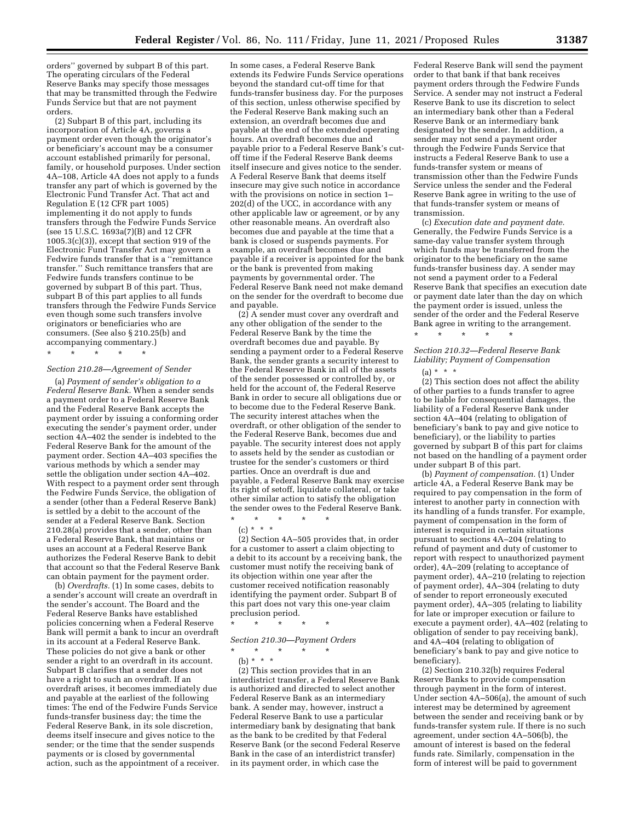orders'' governed by subpart B of this part. The operating circulars of the Federal Reserve Banks may specify those messages that may be transmitted through the Fedwire Funds Service but that are not payment orders.

(2) Subpart B of this part, including its incorporation of Article 4A, governs a payment order even though the originator's or beneficiary's account may be a consumer account established primarily for personal, family, or household purposes. Under section 4A–108, Article 4A does not apply to a funds transfer any part of which is governed by the Electronic Fund Transfer Act. That act and Regulation E (12 CFR part 1005) implementing it do not apply to funds transfers through the Fedwire Funds Service (see 15 U.S.C. 1693a(7)(B) and 12 CFR 1005.3(c)(3)), except that section 919 of the Electronic Fund Transfer Act may govern a Fedwire funds transfer that is a ''remittance transfer.'' Such remittance transfers that are Fedwire funds transfers continue to be governed by subpart B of this part. Thus, subpart B of this part applies to all funds transfers through the Fedwire Funds Service even though some such transfers involve originators or beneficiaries who are consumers. (See also § 210.25(b) and accompanying commentary.)

\* \* \* \* \*

# *Section 210.28—Agreement of Sender*

(a) *Payment of sender's obligation to a Federal Reserve Bank.* When a sender sends a payment order to a Federal Reserve Bank and the Federal Reserve Bank accepts the payment order by issuing a conforming order executing the sender's payment order, under section 4A–402 the sender is indebted to the Federal Reserve Bank for the amount of the payment order. Section 4A–403 specifies the various methods by which a sender may settle the obligation under section 4A–402. With respect to a payment order sent through the Fedwire Funds Service, the obligation of a sender (other than a Federal Reserve Bank) is settled by a debit to the account of the sender at a Federal Reserve Bank. Section 210.28(a) provides that a sender, other than a Federal Reserve Bank, that maintains or uses an account at a Federal Reserve Bank authorizes the Federal Reserve Bank to debit that account so that the Federal Reserve Bank can obtain payment for the payment order.

(b) *Overdrafts.* (1) In some cases, debits to a sender's account will create an overdraft in the sender's account. The Board and the Federal Reserve Banks have established policies concerning when a Federal Reserve Bank will permit a bank to incur an overdraft in its account at a Federal Reserve Bank. These policies do not give a bank or other sender a right to an overdraft in its account. Subpart B clarifies that a sender does not have a right to such an overdraft. If an overdraft arises, it becomes immediately due and payable at the earliest of the following times: The end of the Fedwire Funds Service funds-transfer business day; the time the Federal Reserve Bank, in its sole discretion, deems itself insecure and gives notice to the sender; or the time that the sender suspends payments or is closed by governmental action, such as the appointment of a receiver.

In some cases, a Federal Reserve Bank extends its Fedwire Funds Service operations beyond the standard cut-off time for that funds-transfer business day. For the purposes of this section, unless otherwise specified by the Federal Reserve Bank making such an extension, an overdraft becomes due and payable at the end of the extended operating hours. An overdraft becomes due and payable prior to a Federal Reserve Bank's cutoff time if the Federal Reserve Bank deems itself insecure and gives notice to the sender. A Federal Reserve Bank that deems itself insecure may give such notice in accordance with the provisions on notice in section 1– 202(d) of the UCC, in accordance with any other applicable law or agreement, or by any other reasonable means. An overdraft also becomes due and payable at the time that a bank is closed or suspends payments. For example, an overdraft becomes due and payable if a receiver is appointed for the bank or the bank is prevented from making payments by governmental order. The Federal Reserve Bank need not make demand on the sender for the overdraft to become due and payable.

(2) A sender must cover any overdraft and any other obligation of the sender to the Federal Reserve Bank by the time the overdraft becomes due and payable. By sending a payment order to a Federal Reserve Bank, the sender grants a security interest to the Federal Reserve Bank in all of the assets of the sender possessed or controlled by, or held for the account of, the Federal Reserve Bank in order to secure all obligations due or to become due to the Federal Reserve Bank. The security interest attaches when the overdraft, or other obligation of the sender to the Federal Reserve Bank, becomes due and payable. The security interest does not apply to assets held by the sender as custodian or trustee for the sender's customers or third parties. Once an overdraft is due and payable, a Federal Reserve Bank may exercise its right of setoff, liquidate collateral, or take other similar action to satisfy the obligation the sender owes to the Federal Reserve Bank.

#### \* \* \* \* \* (c) \* \* \*

(2) Section 4A–505 provides that, in order for a customer to assert a claim objecting to a debit to its account by a receiving bank, the customer must notify the receiving bank of its objection within one year after the customer received notification reasonably identifying the payment order. Subpart B of this part does not vary this one-year claim preclusion period.

\* \* \* \* \*

# *Section 210.30—Payment Orders*

- \* \* \* \* \*
- (b) \* \* \*

(2) This section provides that in an interdistrict transfer, a Federal Reserve Bank is authorized and directed to select another Federal Reserve Bank as an intermediary bank. A sender may, however, instruct a Federal Reserve Bank to use a particular intermediary bank by designating that bank as the bank to be credited by that Federal Reserve Bank (or the second Federal Reserve Bank in the case of an interdistrict transfer) in its payment order, in which case the

Federal Reserve Bank will send the payment order to that bank if that bank receives payment orders through the Fedwire Funds Service. A sender may not instruct a Federal Reserve Bank to use its discretion to select an intermediary bank other than a Federal Reserve Bank or an intermediary bank designated by the sender. In addition, a sender may not send a payment order through the Fedwire Funds Service that instructs a Federal Reserve Bank to use a funds-transfer system or means of transmission other than the Fedwire Funds Service unless the sender and the Federal Reserve Bank agree in writing to the use of that funds-transfer system or means of transmission.

(c) *Execution date and payment date.*  Generally, the Fedwire Funds Service is a same-day value transfer system through which funds may be transferred from the originator to the beneficiary on the same funds-transfer business day. A sender may not send a payment order to a Federal Reserve Bank that specifies an execution date or payment date later than the day on which the payment order is issued, unless the sender of the order and the Federal Reserve Bank agree in writing to the arrangement. \* \* \* \* \*

### *Section 210.32—Federal Reserve Bank Liability; Payment of Compensation*

(a) \* \* \*

(2) This section does not affect the ability of other parties to a funds transfer to agree to be liable for consequential damages, the liability of a Federal Reserve Bank under section 4A–404 (relating to obligation of beneficiary's bank to pay and give notice to beneficiary), or the liability to parties governed by subpart B of this part for claims not based on the handling of a payment order under subpart B of this part.

(b) *Payment of compensation.* (1) Under article 4A, a Federal Reserve Bank may be required to pay compensation in the form of interest to another party in connection with its handling of a funds transfer. For example, payment of compensation in the form of interest is required in certain situations pursuant to sections 4A–204 (relating to refund of payment and duty of customer to report with respect to unauthorized payment order), 4A–209 (relating to acceptance of payment order), 4A–210 (relating to rejection of payment order), 4A–304 (relating to duty of sender to report erroneously executed payment order), 4A–305 (relating to liability for late or improper execution or failure to execute a payment order), 4A–402 (relating to obligation of sender to pay receiving bank), and 4A–404 (relating to obligation of beneficiary's bank to pay and give notice to beneficiary).

(2) Section 210.32(b) requires Federal Reserve Banks to provide compensation through payment in the form of interest. Under section 4A–506(a), the amount of such interest may be determined by agreement between the sender and receiving bank or by funds-transfer system rule. If there is no such agreement, under section 4A–506(b), the amount of interest is based on the federal funds rate. Similarly, compensation in the form of interest will be paid to government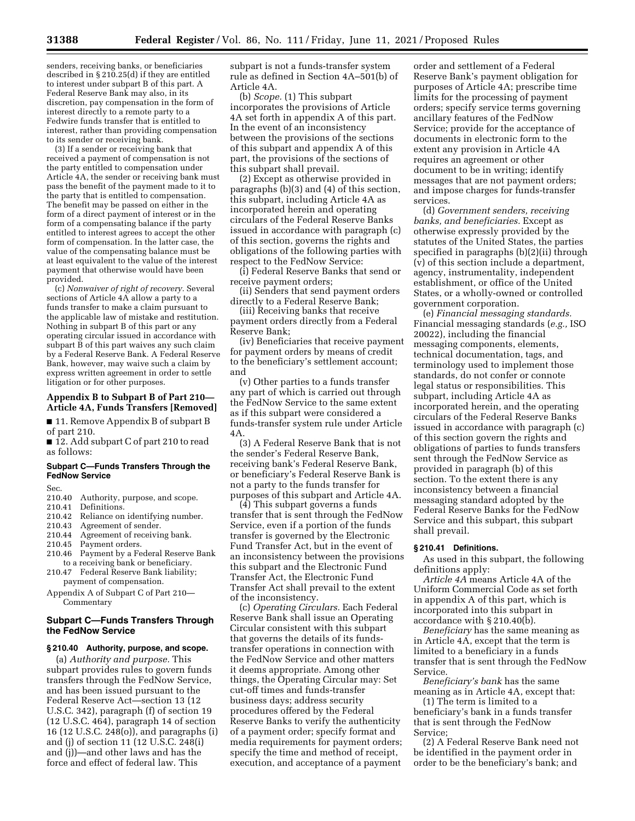senders, receiving banks, or beneficiaries described in § 210.25(d) if they are entitled to interest under subpart B of this part. A Federal Reserve Bank may also, in its discretion, pay compensation in the form of interest directly to a remote party to a Fedwire funds transfer that is entitled to interest, rather than providing compensation to its sender or receiving bank.

(3) If a sender or receiving bank that received a payment of compensation is not the party entitled to compensation under Article 4A, the sender or receiving bank must pass the benefit of the payment made to it to the party that is entitled to compensation. The benefit may be passed on either in the form of a direct payment of interest or in the form of a compensating balance if the party entitled to interest agrees to accept the other form of compensation. In the latter case, the value of the compensating balance must be at least equivalent to the value of the interest payment that otherwise would have been provided.

(c) *Nonwaiver of right of recovery.* Several sections of Article 4A allow a party to a funds transfer to make a claim pursuant to the applicable law of mistake and restitution. Nothing in subpart B of this part or any operating circular issued in accordance with subpart B of this part waives any such claim by a Federal Reserve Bank. A Federal Reserve Bank, however, may waive such a claim by express written agreement in order to settle litigation or for other purposes.

## **Appendix B to Subpart B of Part 210— Article 4A, Funds Transfers [Removed]**

■ 11. Remove Appendix B of subpart B of part 210.

■ 12. Add subpart C of part 210 to read as follows:

#### **Subpart C—Funds Transfers Through the FedNow Service**

Sec.

210.40 Authority, purpose, and scope.

#### 210.41 Definitions.

210.42 Reliance on identifying number.

210.43 Agreement of sender.

- 210.44 Agreement of receiving bank.
- 210.45 Payment orders.
- 210.46 Payment by a Federal Reserve Bank to a receiving bank or beneficiary.
- 210.47 Federal Reserve Bank liability; payment of compensation.
- Appendix A of Subpart C of Part 210— Commentary

## **Subpart C—Funds Transfers Through the FedNow Service**

# **§ 210.40 Authority, purpose, and scope.**

(a) *Authority and purpose.* This subpart provides rules to govern funds transfers through the FedNow Service, and has been issued pursuant to the Federal Reserve Act—section 13 (12 U.S.C. 342), paragraph (f) of section 19 (12 U.S.C. 464), paragraph 14 of section 16 (12 U.S.C. 248(o)), and paragraphs (i) and (j) of section 11 (12 U.S.C. 248(i) and (j))—and other laws and has the force and effect of federal law. This

subpart is not a funds-transfer system rule as defined in Section 4A–501(b) of Article 4A.

(b) *Scope.* (1) This subpart incorporates the provisions of Article 4A set forth in appendix A of this part. In the event of an inconsistency between the provisions of the sections of this subpart and appendix A of this part, the provisions of the sections of this subpart shall prevail.

(2) Except as otherwise provided in paragraphs (b)(3) and (4) of this section, this subpart, including Article 4A as incorporated herein and operating circulars of the Federal Reserve Banks issued in accordance with paragraph (c) of this section, governs the rights and obligations of the following parties with respect to the FedNow Service:

(i) Federal Reserve Banks that send or receive payment orders;

(ii) Senders that send payment orders directly to a Federal Reserve Bank;

(iii) Receiving banks that receive payment orders directly from a Federal Reserve Bank;

(iv) Beneficiaries that receive payment for payment orders by means of credit to the beneficiary's settlement account; and

(v) Other parties to a funds transfer any part of which is carried out through the FedNow Service to the same extent as if this subpart were considered a funds-transfer system rule under Article 4A.

(3) A Federal Reserve Bank that is not the sender's Federal Reserve Bank, receiving bank's Federal Reserve Bank, or beneficiary's Federal Reserve Bank is not a party to the funds transfer for purposes of this subpart and Article 4A.

(4) This subpart governs a funds transfer that is sent through the FedNow Service, even if a portion of the funds transfer is governed by the Electronic Fund Transfer Act, but in the event of an inconsistency between the provisions this subpart and the Electronic Fund Transfer Act, the Electronic Fund Transfer Act shall prevail to the extent of the inconsistency.

(c) *Operating Circulars.* Each Federal Reserve Bank shall issue an Operating Circular consistent with this subpart that governs the details of its fundstransfer operations in connection with the FedNow Service and other matters it deems appropriate. Among other things, the Operating Circular may: Set cut-off times and funds-transfer business days; address security procedures offered by the Federal Reserve Banks to verify the authenticity of a payment order; specify format and media requirements for payment orders; specify the time and method of receipt, execution, and acceptance of a payment

order and settlement of a Federal Reserve Bank's payment obligation for purposes of Article 4A; prescribe time limits for the processing of payment orders; specify service terms governing ancillary features of the FedNow Service; provide for the acceptance of documents in electronic form to the extent any provision in Article 4A requires an agreement or other document to be in writing; identify messages that are not payment orders; and impose charges for funds-transfer services.

(d) *Government senders, receiving banks, and beneficiaries.* Except as otherwise expressly provided by the statutes of the United States, the parties specified in paragraphs (b)(2)(ii) through (v) of this section include a department, agency, instrumentality, independent establishment, or office of the United States, or a wholly-owned or controlled government corporation.

(e) *Financial messaging standards.*  Financial messaging standards (*e.g.,* ISO 20022), including the financial messaging components, elements, technical documentation, tags, and terminology used to implement those standards, do not confer or connote legal status or responsibilities. This subpart, including Article 4A as incorporated herein, and the operating circulars of the Federal Reserve Banks issued in accordance with paragraph (c) of this section govern the rights and obligations of parties to funds transfers sent through the FedNow Service as provided in paragraph (b) of this section. To the extent there is any inconsistency between a financial messaging standard adopted by the Federal Reserve Banks for the FedNow Service and this subpart, this subpart shall prevail.

#### **§ 210.41 Definitions.**

As used in this subpart, the following definitions apply:

*Article 4A* means Article 4A of the Uniform Commercial Code as set forth in appendix A of this part, which is incorporated into this subpart in accordance with § 210.40(b).

*Beneficiary* has the same meaning as in Article 4A, except that the term is limited to a beneficiary in a funds transfer that is sent through the FedNow Service.

*Beneficiary's bank* has the same meaning as in Article 4A, except that:

(1) The term is limited to a beneficiary's bank in a funds transfer that is sent through the FedNow Service;

(2) A Federal Reserve Bank need not be identified in the payment order in order to be the beneficiary's bank; and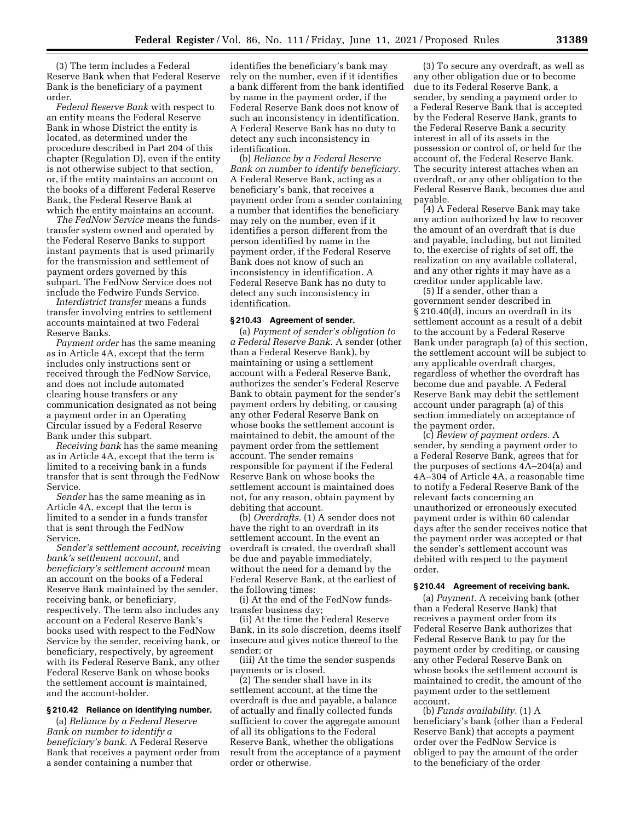(3) The term includes a Federal Reserve Bank when that Federal Reserve Bank is the beneficiary of a payment order.

*Federal Reserve Bank* with respect to an entity means the Federal Reserve Bank in whose District the entity is located, as determined under the procedure described in Part 204 of this chapter (Regulation D), even if the entity is not otherwise subject to that section, or, if the entity maintains an account on the books of a different Federal Reserve Bank, the Federal Reserve Bank at which the entity maintains an account.

*The FedNow Service* means the fundstransfer system owned and operated by the Federal Reserve Banks to support instant payments that is used primarily for the transmission and settlement of payment orders governed by this subpart. The FedNow Service does not include the Fedwire Funds Service.

*Interdistrict transfer* means a funds transfer involving entries to settlement accounts maintained at two Federal Reserve Banks.

*Payment order* has the same meaning as in Article 4A, except that the term includes only instructions sent or received through the FedNow Service, and does not include automated clearing house transfers or any communication designated as not being a payment order in an Operating Circular issued by a Federal Reserve Bank under this subpart.

*Receiving bank* has the same meaning as in Article 4A, except that the term is limited to a receiving bank in a funds transfer that is sent through the FedNow Service.

*Sender* has the same meaning as in Article 4A, except that the term is limited to a sender in a funds transfer that is sent through the FedNow Service.

*Sender's settlement account, receiving bank's settlement account,* and *beneficiary's settlement account* mean an account on the books of a Federal Reserve Bank maintained by the sender, receiving bank, or beneficiary, respectively. The term also includes any account on a Federal Reserve Bank's books used with respect to the FedNow Service by the sender, receiving bank, or beneficiary, respectively, by agreement with its Federal Reserve Bank, any other Federal Reserve Bank on whose books the settlement account is maintained, and the account-holder.

#### **§ 210.42 Reliance on identifying number.**

(a) *Reliance by a Federal Reserve Bank on number to identify a beneficiary's bank.* A Federal Reserve Bank that receives a payment order from a sender containing a number that

identifies the beneficiary's bank may rely on the number, even if it identifies a bank different from the bank identified by name in the payment order, if the Federal Reserve Bank does not know of such an inconsistency in identification. A Federal Reserve Bank has no duty to detect any such inconsistency in identification.

(b) *Reliance by a Federal Reserve Bank on number to identify beneficiary.*  A Federal Reserve Bank, acting as a beneficiary's bank, that receives a payment order from a sender containing a number that identifies the beneficiary may rely on the number, even if it identifies a person different from the person identified by name in the payment order, if the Federal Reserve Bank does not know of such an inconsistency in identification. A Federal Reserve Bank has no duty to detect any such inconsistency in identification.

### **§ 210.43 Agreement of sender.**

(a) *Payment of sender's obligation to a Federal Reserve Bank.* A sender (other than a Federal Reserve Bank), by maintaining or using a settlement account with a Federal Reserve Bank, authorizes the sender's Federal Reserve Bank to obtain payment for the sender's payment orders by debiting, or causing any other Federal Reserve Bank on whose books the settlement account is maintained to debit, the amount of the payment order from the settlement account. The sender remains responsible for payment if the Federal Reserve Bank on whose books the settlement account is maintained does not, for any reason, obtain payment by debiting that account.

(b) *Overdrafts.* (1) A sender does not have the right to an overdraft in its settlement account. In the event an overdraft is created, the overdraft shall be due and payable immediately, without the need for a demand by the Federal Reserve Bank, at the earliest of the following times:

(i) At the end of the FedNow fundstransfer business day;

(ii) At the time the Federal Reserve Bank, in its sole discretion, deems itself insecure and gives notice thereof to the sender; or

(iii) At the time the sender suspends payments or is closed.

(2) The sender shall have in its settlement account, at the time the overdraft is due and payable, a balance of actually and finally collected funds sufficient to cover the aggregate amount of all its obligations to the Federal Reserve Bank, whether the obligations result from the acceptance of a payment order or otherwise.

(3) To secure any overdraft, as well as any other obligation due or to become due to its Federal Reserve Bank, a sender, by sending a payment order to a Federal Reserve Bank that is accepted by the Federal Reserve Bank, grants to the Federal Reserve Bank a security interest in all of its assets in the possession or control of, or held for the account of, the Federal Reserve Bank. The security interest attaches when an overdraft, or any other obligation to the Federal Reserve Bank, becomes due and payable.

(4) A Federal Reserve Bank may take any action authorized by law to recover the amount of an overdraft that is due and payable, including, but not limited to, the exercise of rights of set off, the realization on any available collateral, and any other rights it may have as a creditor under applicable law.

(5) If a sender, other than a government sender described in § 210.40(d), incurs an overdraft in its settlement account as a result of a debit to the account by a Federal Reserve Bank under paragraph (a) of this section, the settlement account will be subject to any applicable overdraft charges, regardless of whether the overdraft has become due and payable. A Federal Reserve Bank may debit the settlement account under paragraph (a) of this section immediately on acceptance of the payment order.

(c) *Review of payment orders.* A sender, by sending a payment order to a Federal Reserve Bank, agrees that for the purposes of sections 4A–204(a) and 4A–304 of Article 4A, a reasonable time to notify a Federal Reserve Bank of the relevant facts concerning an unauthorized or erroneously executed payment order is within 60 calendar days after the sender receives notice that the payment order was accepted or that the sender's settlement account was debited with respect to the payment order.

#### **§ 210.44 Agreement of receiving bank.**

(a) *Payment.* A receiving bank (other than a Federal Reserve Bank) that receives a payment order from its Federal Reserve Bank authorizes that Federal Reserve Bank to pay for the payment order by crediting, or causing any other Federal Reserve Bank on whose books the settlement account is maintained to credit, the amount of the payment order to the settlement account.

(b) *Funds availability.* (1) A beneficiary's bank (other than a Federal Reserve Bank) that accepts a payment order over the FedNow Service is obliged to pay the amount of the order to the beneficiary of the order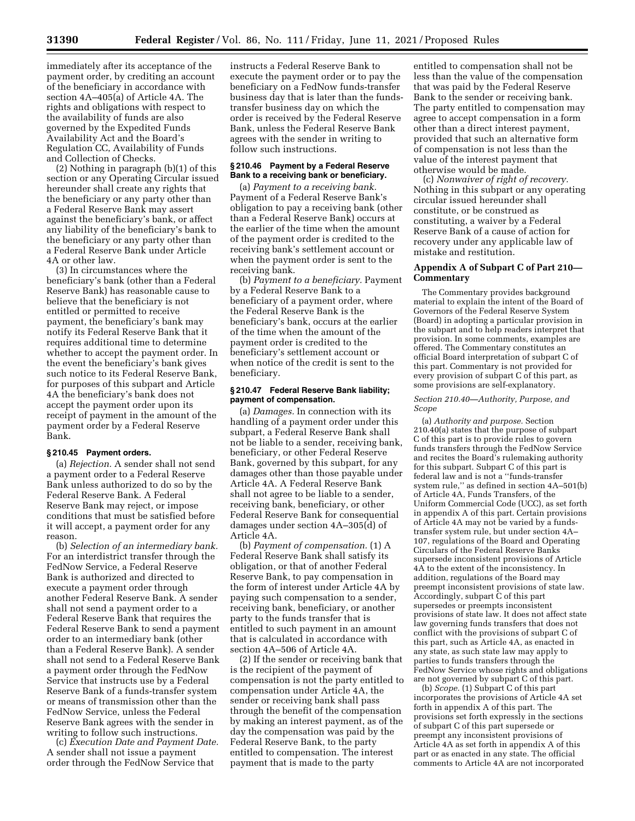immediately after its acceptance of the payment order, by crediting an account of the beneficiary in accordance with section 4A–405(a) of Article 4A. The rights and obligations with respect to the availability of funds are also governed by the Expedited Funds Availability Act and the Board's Regulation CC, Availability of Funds and Collection of Checks.

(2) Nothing in paragraph (b)(1) of this section or any Operating Circular issued hereunder shall create any rights that the beneficiary or any party other than a Federal Reserve Bank may assert against the beneficiary's bank, or affect any liability of the beneficiary's bank to the beneficiary or any party other than a Federal Reserve Bank under Article 4A or other law.

(3) In circumstances where the beneficiary's bank (other than a Federal Reserve Bank) has reasonable cause to believe that the beneficiary is not entitled or permitted to receive payment, the beneficiary's bank may notify its Federal Reserve Bank that it requires additional time to determine whether to accept the payment order. In the event the beneficiary's bank gives such notice to its Federal Reserve Bank, for purposes of this subpart and Article 4A the beneficiary's bank does not accept the payment order upon its receipt of payment in the amount of the payment order by a Federal Reserve Bank.

#### **§ 210.45 Payment orders.**

(a) *Rejection.* A sender shall not send a payment order to a Federal Reserve Bank unless authorized to do so by the Federal Reserve Bank. A Federal Reserve Bank may reject, or impose conditions that must be satisfied before it will accept, a payment order for any reason.

(b) *Selection of an intermediary bank.*  For an interdistrict transfer through the FedNow Service, a Federal Reserve Bank is authorized and directed to execute a payment order through another Federal Reserve Bank. A sender shall not send a payment order to a Federal Reserve Bank that requires the Federal Reserve Bank to send a payment order to an intermediary bank (other than a Federal Reserve Bank). A sender shall not send to a Federal Reserve Bank a payment order through the FedNow Service that instructs use by a Federal Reserve Bank of a funds-transfer system or means of transmission other than the FedNow Service, unless the Federal Reserve Bank agrees with the sender in writing to follow such instructions.

(c) *Execution Date and Payment Date.*  A sender shall not issue a payment order through the FedNow Service that

instructs a Federal Reserve Bank to execute the payment order or to pay the beneficiary on a FedNow funds-transfer business day that is later than the fundstransfer business day on which the order is received by the Federal Reserve Bank, unless the Federal Reserve Bank agrees with the sender in writing to follow such instructions.

#### **§ 210.46 Payment by a Federal Reserve Bank to a receiving bank or beneficiary.**

(a) *Payment to a receiving bank.*  Payment of a Federal Reserve Bank's obligation to pay a receiving bank (other than a Federal Reserve Bank) occurs at the earlier of the time when the amount of the payment order is credited to the receiving bank's settlement account or when the payment order is sent to the receiving bank.

(b) *Payment to a beneficiary.* Payment by a Federal Reserve Bank to a beneficiary of a payment order, where the Federal Reserve Bank is the beneficiary's bank, occurs at the earlier of the time when the amount of the payment order is credited to the beneficiary's settlement account or when notice of the credit is sent to the beneficiary.

#### **§ 210.47 Federal Reserve Bank liability; payment of compensation.**

(a) *Damages.* In connection with its handling of a payment order under this subpart, a Federal Reserve Bank shall not be liable to a sender, receiving bank, beneficiary, or other Federal Reserve Bank, governed by this subpart, for any damages other than those payable under Article 4A. A Federal Reserve Bank shall not agree to be liable to a sender, receiving bank, beneficiary, or other Federal Reserve Bank for consequential damages under section 4A–305(d) of Article 4A.

(b) *Payment of compensation.* (1) A Federal Reserve Bank shall satisfy its obligation, or that of another Federal Reserve Bank, to pay compensation in the form of interest under Article 4A by paying such compensation to a sender, receiving bank, beneficiary, or another party to the funds transfer that is entitled to such payment in an amount that is calculated in accordance with section 4A–506 of Article 4A.

(2) If the sender or receiving bank that is the recipient of the payment of compensation is not the party entitled to compensation under Article 4A, the sender or receiving bank shall pass through the benefit of the compensation by making an interest payment, as of the day the compensation was paid by the Federal Reserve Bank, to the party entitled to compensation. The interest payment that is made to the party

entitled to compensation shall not be less than the value of the compensation that was paid by the Federal Reserve Bank to the sender or receiving bank. The party entitled to compensation may agree to accept compensation in a form other than a direct interest payment, provided that such an alternative form of compensation is not less than the value of the interest payment that otherwise would be made.

(c) *Nonwaiver of right of recovery.*  Nothing in this subpart or any operating circular issued hereunder shall constitute, or be construed as constituting, a waiver by a Federal Reserve Bank of a cause of action for recovery under any applicable law of mistake and restitution.

## **Appendix A of Subpart C of Part 210— Commentary**

The Commentary provides background material to explain the intent of the Board of Governors of the Federal Reserve System (Board) in adopting a particular provision in the subpart and to help readers interpret that provision. In some comments, examples are offered. The Commentary constitutes an official Board interpretation of subpart C of this part. Commentary is not provided for every provision of subpart C of this part, as some provisions are self-explanatory.

#### *Section 210.40—Authority, Purpose, and Scope*

(a) *Authority and purpose.* Section 210.40(a) states that the purpose of subpart C of this part is to provide rules to govern funds transfers through the FedNow Service and recites the Board's rulemaking authority for this subpart. Subpart C of this part is federal law and is not a ''funds-transfer system rule,'' as defined in section 4A–501(b) of Article 4A, Funds Transfers, of the Uniform Commercial Code (UCC), as set forth in appendix A of this part. Certain provisions of Article 4A may not be varied by a fundstransfer system rule, but under section 4A– 107, regulations of the Board and Operating Circulars of the Federal Reserve Banks supersede inconsistent provisions of Article 4A to the extent of the inconsistency. In addition, regulations of the Board may preempt inconsistent provisions of state law. Accordingly, subpart C of this part supersedes or preempts inconsistent provisions of state law. It does not affect state law governing funds transfers that does not conflict with the provisions of subpart C of this part, such as Article 4A, as enacted in any state, as such state law may apply to parties to funds transfers through the FedNow Service whose rights and obligations are not governed by subpart C of this part.

(b) *Scope.* (1) Subpart C of this part incorporates the provisions of Article 4A set forth in appendix A of this part. The provisions set forth expressly in the sections of subpart C of this part supersede or preempt any inconsistent provisions of Article 4A as set forth in appendix A of this part or as enacted in any state. The official comments to Article 4A are not incorporated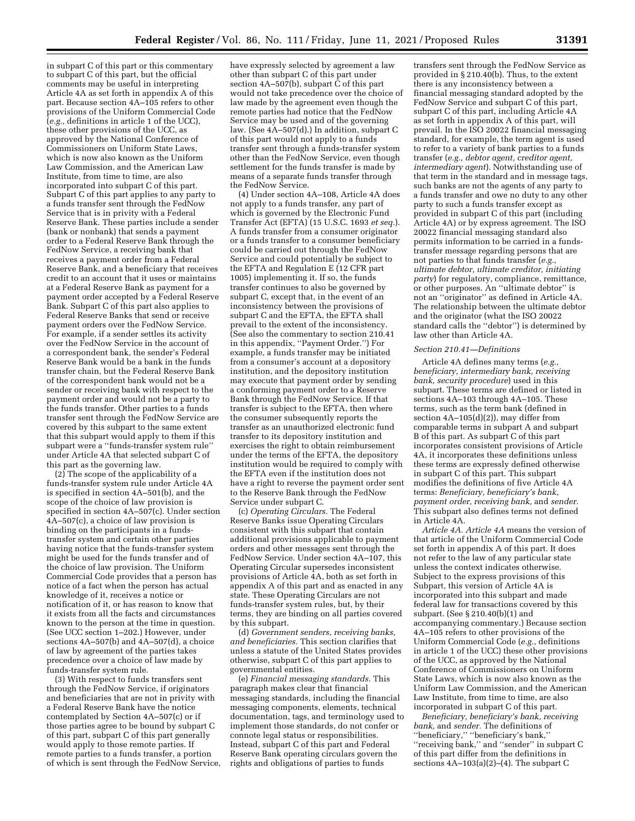in subpart C of this part or this commentary to subpart C of this part, but the official comments may be useful in interpreting Article 4A as set forth in appendix A of this part. Because section 4A–105 refers to other provisions of the Uniform Commercial Code (*e.g.,* definitions in article 1 of the UCC), these other provisions of the UCC, as approved by the National Conference of Commissioners on Uniform State Laws, which is now also known as the Uniform Law Commission, and the American Law Institute, from time to time, are also incorporated into subpart C of this part. Subpart C of this part applies to any party to a funds transfer sent through the FedNow Service that is in privity with a Federal Reserve Bank. These parties include a sender (bank or nonbank) that sends a payment order to a Federal Reserve Bank through the FedNow Service, a receiving bank that receives a payment order from a Federal Reserve Bank, and a beneficiary that receives credit to an account that it uses or maintains at a Federal Reserve Bank as payment for a payment order accepted by a Federal Reserve Bank. Subpart C of this part also applies to Federal Reserve Banks that send or receive payment orders over the FedNow Service. For example, if a sender settles its activity over the FedNow Service in the account of a correspondent bank, the sender's Federal Reserve Bank would be a bank in the funds transfer chain, but the Federal Reserve Bank of the correspondent bank would not be a sender or receiving bank with respect to the payment order and would not be a party to the funds transfer. Other parties to a funds transfer sent through the FedNow Service are covered by this subpart to the same extent that this subpart would apply to them if this subpart were a ''funds-transfer system rule'' under Article 4A that selected subpart C of this part as the governing law.

(2) The scope of the applicability of a funds-transfer system rule under Article 4A is specified in section 4A–501(b), and the scope of the choice of law provision is specified in section 4A–507(c). Under section 4A–507(c), a choice of law provision is binding on the participants in a fundstransfer system and certain other parties having notice that the funds-transfer system might be used for the funds transfer and of the choice of law provision. The Uniform Commercial Code provides that a person has notice of a fact when the person has actual knowledge of it, receives a notice or notification of it, or has reason to know that it exists from all the facts and circumstances known to the person at the time in question. (See UCC section 1–202.) However, under sections 4A–507(b) and 4A–507(d), a choice of law by agreement of the parties takes precedence over a choice of law made by funds-transfer system rule.

(3) With respect to funds transfers sent through the FedNow Service, if originators and beneficiaries that are not in privity with a Federal Reserve Bank have the notice contemplated by Section 4A–507(c) or if those parties agree to be bound by subpart C of this part, subpart C of this part generally would apply to those remote parties. If remote parties to a funds transfer, a portion of which is sent through the FedNow Service,

have expressly selected by agreement a law other than subpart C of this part under section  $4A-50\overline{7}$ (b), subpart  $\overline{C}$  of this part would not take precedence over the choice of law made by the agreement even though the remote parties had notice that the FedNow Service may be used and of the governing law. (See 4A–507(d).) In addition, subpart C of this part would not apply to a funds transfer sent through a funds-transfer system other than the FedNow Service, even though settlement for the funds transfer is made by means of a separate funds transfer through the FedNow Service.

(4) Under section 4A–108, Article 4A does not apply to a funds transfer, any part of which is governed by the Electronic Fund Transfer Act (EFTA) (15 U.S.C. 1693 *et seq.*). A funds transfer from a consumer originator or a funds transfer to a consumer beneficiary could be carried out through the FedNow Service and could potentially be subject to the EFTA and Regulation E (12 CFR part 1005) implementing it. If so, the funds transfer continues to also be governed by subpart C, except that, in the event of an inconsistency between the provisions of subpart C and the EFTA, the EFTA shall prevail to the extent of the inconsistency. (See also the commentary to section 210.41 in this appendix, ''Payment Order.'') For example, a funds transfer may be initiated from a consumer's account at a depository institution, and the depository institution may execute that payment order by sending a conforming payment order to a Reserve Bank through the FedNow Service. If that transfer is subject to the EFTA, then where the consumer subsequently reports the transfer as an unauthorized electronic fund transfer to its depository institution and exercises the right to obtain reimbursement under the terms of the EFTA, the depository institution would be required to comply with the EFTA even if the institution does not have a right to reverse the payment order sent to the Reserve Bank through the FedNow Service under subpart C.

(c) *Operating Circulars.* The Federal Reserve Banks issue Operating Circulars consistent with this subpart that contain additional provisions applicable to payment orders and other messages sent through the FedNow Service. Under section 4A–107, this Operating Circular supersedes inconsistent provisions of Article 4A, both as set forth in appendix A of this part and as enacted in any state. These Operating Circulars are not funds-transfer system rules, but, by their terms, they are binding on all parties covered by this subpart.

(d) *Government senders, receiving banks, and beneficiaries.* This section clarifies that unless a statute of the United States provides otherwise, subpart C of this part applies to governmental entities.

(e) *Financial messaging standards.* This paragraph makes clear that financial messaging standards, including the financial messaging components, elements, technical documentation, tags, and terminology used to implement those standards, do not confer or connote legal status or responsibilities. Instead, subpart C of this part and Federal Reserve Bank operating circulars govern the rights and obligations of parties to funds

transfers sent through the FedNow Service as provided in § 210.40(b). Thus, to the extent there is any inconsistency between a financial messaging standard adopted by the FedNow Service and subpart C of this part, subpart C of this part, including Article 4A as set forth in appendix A of this part, will prevail. In the ISO 20022 financial messaging standard, for example, the term agent is used to refer to a variety of bank parties to a funds transfer (*e.g., debtor agent, creditor agent, intermediary agent*). Notwithstanding use of that term in the standard and in message tags, such banks are not the agents of any party to a funds transfer and owe no duty to any other party to such a funds transfer except as provided in subpart C of this part (including Article 4A) or by express agreement. The ISO 20022 financial messaging standard also permits information to be carried in a fundstransfer message regarding persons that are not parties to that funds transfer (*e.g., ultimate debtor, ultimate creditor, initiating party*) for regulatory, compliance, remittance, or other purposes. An ''ultimate debtor'' is not an ''originator'' as defined in Article 4A. The relationship between the ultimate debtor and the originator (what the ISO 20022 standard calls the ''debtor'') is determined by law other than Article 4A.

#### *Section 210.41—Definitions*

Article 4A defines many terms (*e.g., beneficiary, intermediary bank, receiving bank, security procedure*) used in this subpart. These terms are defined or listed in sections 4A–103 through 4A–105. These terms, such as the term bank (defined in section 4A–105(d)(2)), may differ from comparable terms in subpart A and subpart B of this part. As subpart C of this part incorporates consistent provisions of Article 4A, it incorporates these definitions unless these terms are expressly defined otherwise in subpart C of this part. This subpart modifies the definitions of five Article 4A terms: *Beneficiary, beneficiary's bank, payment order, receiving bank,* and *sender.*  This subpart also defines terms not defined in Article 4A.

*Article 4A. Article 4A* means the version of that article of the Uniform Commercial Code set forth in appendix A of this part. It does not refer to the law of any particular state unless the context indicates otherwise. Subject to the express provisions of this Subpart, this version of Article 4A is incorporated into this subpart and made federal law for transactions covered by this subpart. (See § 210.40(b)(1) and accompanying commentary.) Because section 4A–105 refers to other provisions of the Uniform Commercial Code (*e.g.,* definitions in article 1 of the UCC) these other provisions of the UCC, as approved by the National Conference of Commissioners on Uniform State Laws, which is now also known as the Uniform Law Commission, and the American Law Institute, from time to time, are also incorporated in subpart C of this part.

*Beneficiary, beneficiary's bank, receiving bank,* and *sender.* The definitions of ''beneficiary,'' ''beneficiary's bank,'' ''receiving bank,'' and ''sender'' in subpart C of this part differ from the definitions in sections 4A–103(a)(2)–(4). The subpart C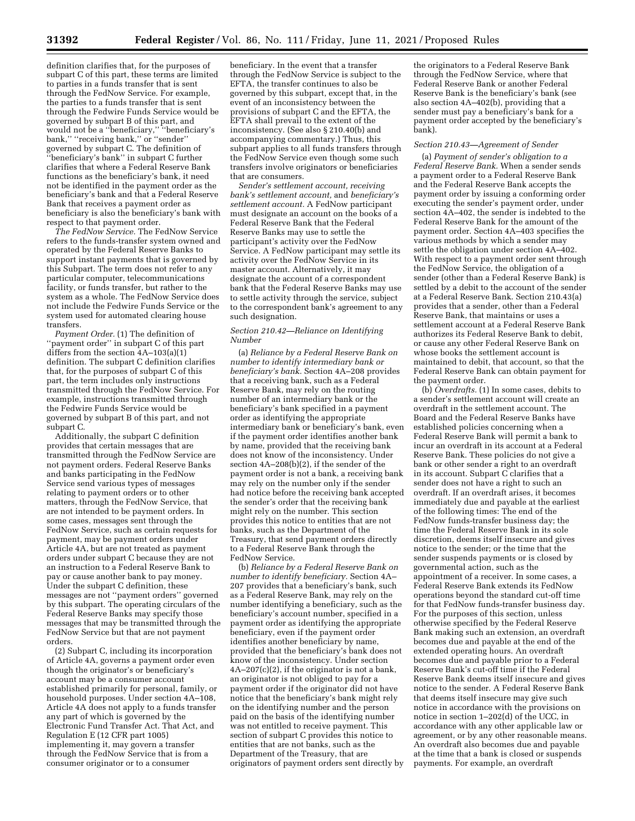definition clarifies that, for the purposes of subpart C of this part, these terms are limited to parties in a funds transfer that is sent through the FedNow Service. For example, the parties to a funds transfer that is sent through the Fedwire Funds Service would be governed by subpart B of this part, and would not be a ''beneficiary,'' ''beneficiary's bank,'' ''receiving bank,'' or ''sender'' governed by subpart C. The definition of ''beneficiary's bank'' in subpart C further clarifies that where a Federal Reserve Bank functions as the beneficiary's bank, it need not be identified in the payment order as the beneficiary's bank and that a Federal Reserve Bank that receives a payment order as beneficiary is also the beneficiary's bank with respect to that payment order.

*The FedNow Service.* The FedNow Service refers to the funds-transfer system owned and operated by the Federal Reserve Banks to support instant payments that is governed by this Subpart. The term does not refer to any particular computer, telecommunications facility, or funds transfer, but rather to the system as a whole. The FedNow Service does not include the Fedwire Funds Service or the system used for automated clearing house transfers.

*Payment Order.* (1) The definition of ''payment order'' in subpart C of this part differs from the section  $4A-103(a)(1)$ definition. The subpart C definition clarifies that, for the purposes of subpart C of this part, the term includes only instructions transmitted through the FedNow Service. For example, instructions transmitted through the Fedwire Funds Service would be governed by subpart B of this part, and not subpart C.

Additionally, the subpart C definition provides that certain messages that are transmitted through the FedNow Service are not payment orders. Federal Reserve Banks and banks participating in the FedNow Service send various types of messages relating to payment orders or to other matters, through the FedNow Service, that are not intended to be payment orders. In some cases, messages sent through the FedNow Service, such as certain requests for payment, may be payment orders under Article 4A, but are not treated as payment orders under subpart C because they are not an instruction to a Federal Reserve Bank to pay or cause another bank to pay money. Under the subpart C definition, these messages are not ''payment orders'' governed by this subpart. The operating circulars of the Federal Reserve Banks may specify those messages that may be transmitted through the FedNow Service but that are not payment orders.

(2) Subpart C, including its incorporation of Article 4A, governs a payment order even though the originator's or beneficiary's account may be a consumer account established primarily for personal, family, or household purposes. Under section 4A–108, Article 4A does not apply to a funds transfer any part of which is governed by the Electronic Fund Transfer Act. That Act, and Regulation E (12 CFR part 1005) implementing it, may govern a transfer through the FedNow Service that is from a consumer originator or to a consumer

beneficiary. In the event that a transfer through the FedNow Service is subject to the EFTA, the transfer continues to also be governed by this subpart, except that, in the event of an inconsistency between the provisions of subpart C and the EFTA, the EFTA shall prevail to the extent of the inconsistency. (See also § 210.40(b) and accompanying commentary.) Thus, this subpart applies to all funds transfers through the FedNow Service even though some such transfers involve originators or beneficiaries that are consumers.

*Sender's settlement account, receiving bank's settlement account,* and *beneficiary's settlement account.* A FedNow participant must designate an account on the books of a Federal Reserve Bank that the Federal Reserve Banks may use to settle the participant's activity over the FedNow Service. A FedNow participant may settle its activity over the FedNow Service in its master account. Alternatively, it may designate the account of a correspondent bank that the Federal Reserve Banks may use to settle activity through the service, subject to the correspondent bank's agreement to any such designation.

#### *Section 210.42—Reliance on Identifying Number*

(a) *Reliance by a Federal Reserve Bank on number to identify intermediary bank or beneficiary's bank.* Section 4A–208 provides that a receiving bank, such as a Federal Reserve Bank, may rely on the routing number of an intermediary bank or the beneficiary's bank specified in a payment order as identifying the appropriate intermediary bank or beneficiary's bank, even if the payment order identifies another bank by name, provided that the receiving bank does not know of the inconsistency. Under section 4A–208(b)(2), if the sender of the payment order is not a bank, a receiving bank may rely on the number only if the sender had notice before the receiving bank accepted the sender's order that the receiving bank might rely on the number. This section provides this notice to entities that are not banks, such as the Department of the Treasury, that send payment orders directly to a Federal Reserve Bank through the FedNow Service.

(b) *Reliance by a Federal Reserve Bank on number to identify beneficiary.* Section 4A– 207 provides that a beneficiary's bank, such as a Federal Reserve Bank, may rely on the number identifying a beneficiary, such as the beneficiary's account number, specified in a payment order as identifying the appropriate beneficiary, even if the payment order identifies another beneficiary by name, provided that the beneficiary's bank does not know of the inconsistency. Under section  $4A-207(c)(2)$ , if the originator is not a bank, an originator is not obliged to pay for a payment order if the originator did not have notice that the beneficiary's bank might rely on the identifying number and the person paid on the basis of the identifying number was not entitled to receive payment. This section of subpart C provides this notice to entities that are not banks, such as the Department of the Treasury, that are originators of payment orders sent directly by

the originators to a Federal Reserve Bank through the FedNow Service, where that Federal Reserve Bank or another Federal Reserve Bank is the beneficiary's bank (see also section 4A–402(b), providing that a sender must pay a beneficiary's bank for a payment order accepted by the beneficiary's bank).

#### *Section 210.43—Agreement of Sender*

(a) *Payment of sender's obligation to a Federal Reserve Bank.* When a sender sends a payment order to a Federal Reserve Bank and the Federal Reserve Bank accepts the payment order by issuing a conforming order executing the sender's payment order, under section 4A–402, the sender is indebted to the Federal Reserve Bank for the amount of the payment order. Section 4A–403 specifies the various methods by which a sender may settle the obligation under section 4A–402. With respect to a payment order sent through the FedNow Service, the obligation of a sender (other than a Federal Reserve Bank) is settled by a debit to the account of the sender at a Federal Reserve Bank. Section 210.43(a) provides that a sender, other than a Federal Reserve Bank, that maintains or uses a settlement account at a Federal Reserve Bank authorizes its Federal Reserve Bank to debit, or cause any other Federal Reserve Bank on whose books the settlement account is maintained to debit, that account, so that the Federal Reserve Bank can obtain payment for the payment order.

(b) *Overdrafts.* (1) In some cases, debits to a sender's settlement account will create an overdraft in the settlement account. The Board and the Federal Reserve Banks have established policies concerning when a Federal Reserve Bank will permit a bank to incur an overdraft in its account at a Federal Reserve Bank. These policies do not give a bank or other sender a right to an overdraft in its account. Subpart C clarifies that a sender does not have a right to such an overdraft. If an overdraft arises, it becomes immediately due and payable at the earliest of the following times: The end of the FedNow funds-transfer business day; the time the Federal Reserve Bank in its sole discretion, deems itself insecure and gives notice to the sender; or the time that the sender suspends payments or is closed by governmental action, such as the appointment of a receiver. In some cases, a Federal Reserve Bank extends its FedNow operations beyond the standard cut-off time for that FedNow funds-transfer business day. For the purposes of this section, unless otherwise specified by the Federal Reserve Bank making such an extension, an overdraft becomes due and payable at the end of the extended operating hours. An overdraft becomes due and payable prior to a Federal Reserve Bank's cut-off time if the Federal Reserve Bank deems itself insecure and gives notice to the sender. A Federal Reserve Bank that deems itself insecure may give such notice in accordance with the provisions on notice in section 1–202(d) of the UCC, in accordance with any other applicable law or agreement, or by any other reasonable means. An overdraft also becomes due and payable at the time that a bank is closed or suspends payments. For example, an overdraft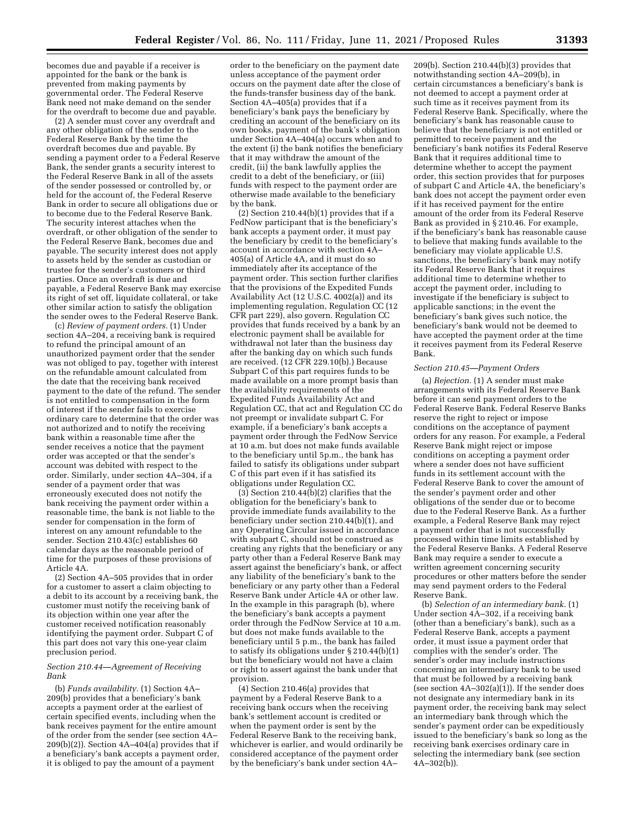becomes due and payable if a receiver is appointed for the bank or the bank is prevented from making payments by governmental order. The Federal Reserve Bank need not make demand on the sender for the overdraft to become due and payable.

(2) A sender must cover any overdraft and any other obligation of the sender to the Federal Reserve Bank by the time the overdraft becomes due and payable. By sending a payment order to a Federal Reserve Bank, the sender grants a security interest to the Federal Reserve Bank in all of the assets of the sender possessed or controlled by, or held for the account of, the Federal Reserve Bank in order to secure all obligations due or to become due to the Federal Reserve Bank. The security interest attaches when the overdraft, or other obligation of the sender to the Federal Reserve Bank, becomes due and payable. The security interest does not apply to assets held by the sender as custodian or trustee for the sender's customers or third parties. Once an overdraft is due and payable, a Federal Reserve Bank may exercise its right of set off, liquidate collateral, or take other similar action to satisfy the obligation the sender owes to the Federal Reserve Bank.

(c) *Review of payment orders.* (1) Under section 4A–204, a receiving bank is required to refund the principal amount of an unauthorized payment order that the sender was not obliged to pay, together with interest on the refundable amount calculated from the date that the receiving bank received payment to the date of the refund. The sender is not entitled to compensation in the form of interest if the sender fails to exercise ordinary care to determine that the order was not authorized and to notify the receiving bank within a reasonable time after the sender receives a notice that the payment order was accepted or that the sender's account was debited with respect to the order. Similarly, under section 4A–304, if a sender of a payment order that was erroneously executed does not notify the bank receiving the payment order within a reasonable time, the bank is not liable to the sender for compensation in the form of interest on any amount refundable to the sender. Section 210.43(c) establishes 60 calendar days as the reasonable period of time for the purposes of these provisions of Article 4A.

(2) Section 4A–505 provides that in order for a customer to assert a claim objecting to a debit to its account by a receiving bank, the customer must notify the receiving bank of its objection within one year after the customer received notification reasonably identifying the payment order. Subpart C of this part does not vary this one-year claim preclusion period.

#### *Section 210.44—Agreement of Receiving Bank*

(b) *Funds availability.* (1) Section 4A– 209(b) provides that a beneficiary's bank accepts a payment order at the earliest of certain specified events, including when the bank receives payment for the entire amount of the order from the sender (see section 4A–  $209(b)(2)$ ). Section  $4A-404(a)$  provides that if a beneficiary's bank accepts a payment order, it is obliged to pay the amount of a payment

order to the beneficiary on the payment date unless acceptance of the payment order occurs on the payment date after the close of the funds-transfer business day of the bank. Section 4A–405(a) provides that if a beneficiary's bank pays the beneficiary by crediting an account of the beneficiary on its own books, payment of the bank's obligation under Section 4A–404(a) occurs when and to the extent (i) the bank notifies the beneficiary that it may withdraw the amount of the credit, (ii) the bank lawfully applies the credit to a debt of the beneficiary, or (iii) funds with respect to the payment order are otherwise made available to the beneficiary by the bank.

(2) Section 210.44(b)(1) provides that if a FedNow participant that is the beneficiary's bank accepts a payment order, it must pay the beneficiary by credit to the beneficiary's account in accordance with section 4A– 405(a) of Article 4A, and it must do so immediately after its acceptance of the payment order. This section further clarifies that the provisions of the Expedited Funds Availability Act (12 U.S.C. 4002(a)) and its implementing regulation, Regulation CC (12 CFR part 229), also govern. Regulation CC provides that funds received by a bank by an electronic payment shall be available for withdrawal not later than the business day after the banking day on which such funds are received. (12 CFR 229.10(b).) Because Subpart C of this part requires funds to be made available on a more prompt basis than the availability requirements of the Expedited Funds Availability Act and Regulation CC, that act and Regulation CC do not preempt or invalidate subpart C. For example, if a beneficiary's bank accepts a payment order through the FedNow Service at 10 a.m. but does not make funds available to the beneficiary until 5p.m., the bank has failed to satisfy its obligations under subpart C of this part even if it has satisfied its obligations under Regulation CC.

 $(3)$  Section 210.44 $(b)(2)$  clarifies that the obligation for the beneficiary's bank to provide immediate funds availability to the beneficiary under section  $210.44(b)(1)$ , and any Operating Circular issued in accordance with subpart C, should not be construed as creating any rights that the beneficiary or any party other than a Federal Reserve Bank may assert against the beneficiary's bank, or affect any liability of the beneficiary's bank to the beneficiary or any party other than a Federal Reserve Bank under Article 4A or other law. In the example in this paragraph (b), where the beneficiary's bank accepts a payment order through the FedNow Service at 10 a.m. but does not make funds available to the beneficiary until 5 p.m., the bank has failed to satisfy its obligations under § 210.44(b)(1) but the beneficiary would not have a claim or right to assert against the bank under that provision.

(4) Section 210.46(a) provides that payment by a Federal Reserve Bank to a receiving bank occurs when the receiving bank's settlement account is credited or when the payment order is sent by the Federal Reserve Bank to the receiving bank, whichever is earlier, and would ordinarily be considered acceptance of the payment order by the beneficiary's bank under section 4A–

209(b). Section 210.44(b)(3) provides that notwithstanding section 4A–209(b), in certain circumstances a beneficiary's bank is not deemed to accept a payment order at such time as it receives payment from its Federal Reserve Bank. Specifically, where the beneficiary's bank has reasonable cause to believe that the beneficiary is not entitled or permitted to receive payment and the beneficiary's bank notifies its Federal Reserve Bank that it requires additional time to determine whether to accept the payment order, this section provides that for purposes of subpart C and Article 4A, the beneficiary's bank does not accept the payment order even if it has received payment for the entire amount of the order from its Federal Reserve Bank as provided in § 210.46. For example, if the beneficiary's bank has reasonable cause to believe that making funds available to the beneficiary may violate applicable U.S. sanctions, the beneficiary's bank may notify its Federal Reserve Bank that it requires additional time to determine whether to accept the payment order, including to investigate if the beneficiary is subject to applicable sanctions; in the event the beneficiary's bank gives such notice, the beneficiary's bank would not be deemed to have accepted the payment order at the time it receives payment from its Federal Reserve Bank.

#### *Section 210.45—Payment Orders*

(a) *Rejection.* (1) A sender must make arrangements with its Federal Reserve Bank before it can send payment orders to the Federal Reserve Bank. Federal Reserve Banks reserve the right to reject or impose conditions on the acceptance of payment orders for any reason. For example, a Federal Reserve Bank might reject or impose conditions on accepting a payment order where a sender does not have sufficient funds in its settlement account with the Federal Reserve Bank to cover the amount of the sender's payment order and other obligations of the sender due or to become due to the Federal Reserve Bank. As a further example, a Federal Reserve Bank may reject a payment order that is not successfully processed within time limits established by the Federal Reserve Banks. A Federal Reserve Bank may require a sender to execute a written agreement concerning security procedures or other matters before the sender may send payment orders to the Federal Reserve Bank.

(b) *Selection of an intermediary bank.* (1) Under section 4A–302, if a receiving bank (other than a beneficiary's bank), such as a Federal Reserve Bank, accepts a payment order, it must issue a payment order that complies with the sender's order. The sender's order may include instructions concerning an intermediary bank to be used that must be followed by a receiving bank (see section 4A–302(a)(1)). If the sender does not designate any intermediary bank in its payment order, the receiving bank may select an intermediary bank through which the sender's payment order can be expeditiously issued to the beneficiary's bank so long as the receiving bank exercises ordinary care in selecting the intermediary bank (see section 4A–302(b)).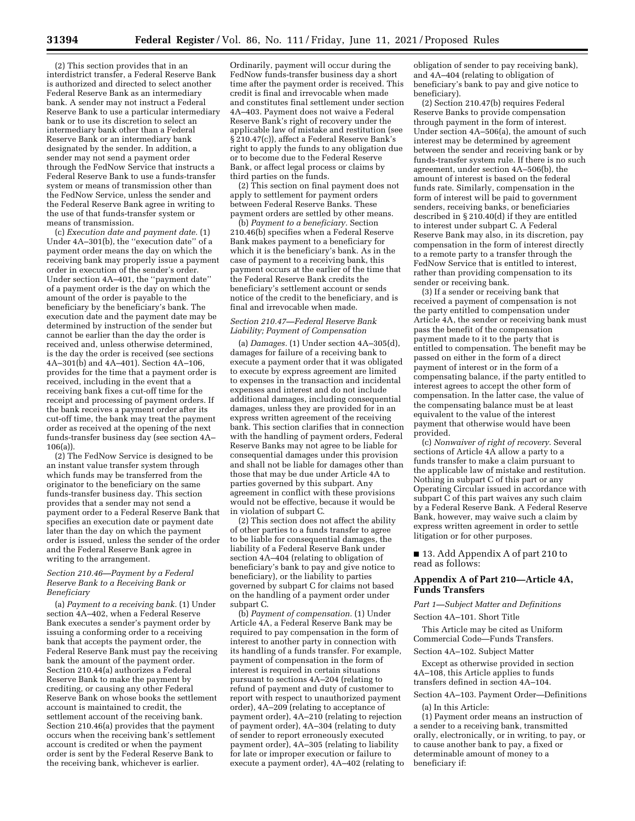(2) This section provides that in an interdistrict transfer, a Federal Reserve Bank is authorized and directed to select another Federal Reserve Bank as an intermediary bank. A sender may not instruct a Federal Reserve Bank to use a particular intermediary bank or to use its discretion to select an intermediary bank other than a Federal Reserve Bank or an intermediary bank designated by the sender. In addition, a sender may not send a payment order through the FedNow Service that instructs a Federal Reserve Bank to use a funds-transfer system or means of transmission other than the FedNow Service, unless the sender and the Federal Reserve Bank agree in writing to the use of that funds-transfer system or means of transmission.

(c) *Execution date and payment date.* (1) Under 4A–301(b), the ''execution date'' of a payment order means the day on which the receiving bank may properly issue a payment order in execution of the sender's order. Under section 4A–401, the ''payment date'' of a payment order is the day on which the amount of the order is payable to the beneficiary by the beneficiary's bank. The execution date and the payment date may be determined by instruction of the sender but cannot be earlier than the day the order is received and, unless otherwise determined, is the day the order is received (see sections 4A–301(b) and 4A–401). Section 4A–106, provides for the time that a payment order is received, including in the event that a receiving bank fixes a cut-off time for the receipt and processing of payment orders. If the bank receives a payment order after its cut-off time, the bank may treat the payment order as received at the opening of the next funds-transfer business day (see section 4A– 106(a)).

(2) The FedNow Service is designed to be an instant value transfer system through which funds may be transferred from the originator to the beneficiary on the same funds-transfer business day. This section provides that a sender may not send a payment order to a Federal Reserve Bank that specifies an execution date or payment date later than the day on which the payment order is issued, unless the sender of the order and the Federal Reserve Bank agree in writing to the arrangement.

### *Section 210.46—Payment by a Federal Reserve Bank to a Receiving Bank or Beneficiary*

(a) *Payment to a receiving bank.* (1) Under section 4A–402, when a Federal Reserve Bank executes a sender's payment order by issuing a conforming order to a receiving bank that accepts the payment order, the Federal Reserve Bank must pay the receiving bank the amount of the payment order. Section 210.44(a) authorizes a Federal Reserve Bank to make the payment by crediting, or causing any other Federal Reserve Bank on whose books the settlement account is maintained to credit, the settlement account of the receiving bank. Section 210.46(a) provides that the payment occurs when the receiving bank's settlement account is credited or when the payment order is sent by the Federal Reserve Bank to the receiving bank, whichever is earlier.

Ordinarily, payment will occur during the FedNow funds-transfer business day a short time after the payment order is received. This credit is final and irrevocable when made and constitutes final settlement under section 4A–403. Payment does not waive a Federal Reserve Bank's right of recovery under the applicable law of mistake and restitution (see § 210.47(c)), affect a Federal Reserve Bank's right to apply the funds to any obligation due or to become due to the Federal Reserve Bank, or affect legal process or claims by third parties on the funds.

(2) This section on final payment does not apply to settlement for payment orders between Federal Reserve Banks. These payment orders are settled by other means.

(b) *Payment to a beneficiary.* Section 210.46(b) specifies when a Federal Reserve Bank makes payment to a beneficiary for which it is the beneficiary's bank. As in the case of payment to a receiving bank, this payment occurs at the earlier of the time that the Federal Reserve Bank credits the beneficiary's settlement account or sends notice of the credit to the beneficiary, and is final and irrevocable when made.

### *Section 210.47—Federal Reserve Bank Liability; Payment of Compensation*

(a) *Damages.* (1) Under section 4A–305(d), damages for failure of a receiving bank to execute a payment order that it was obligated to execute by express agreement are limited to expenses in the transaction and incidental expenses and interest and do not include additional damages, including consequential damages, unless they are provided for in an express written agreement of the receiving bank. This section clarifies that in connection with the handling of payment orders, Federal Reserve Banks may not agree to be liable for consequential damages under this provision and shall not be liable for damages other than those that may be due under Article 4A to parties governed by this subpart. Any agreement in conflict with these provisions would not be effective, because it would be in violation of subpart C.

(2) This section does not affect the ability of other parties to a funds transfer to agree to be liable for consequential damages, the liability of a Federal Reserve Bank under section 4A–404 (relating to obligation of beneficiary's bank to pay and give notice to beneficiary), or the liability to parties governed by subpart C for claims not based on the handling of a payment order under subpart C.

(b) *Payment of compensation.* (1) Under Article 4A, a Federal Reserve Bank may be required to pay compensation in the form of interest to another party in connection with its handling of a funds transfer. For example, payment of compensation in the form of interest is required in certain situations pursuant to sections 4A–204 (relating to refund of payment and duty of customer to report with respect to unauthorized payment order), 4A–209 (relating to acceptance of payment order), 4A–210 (relating to rejection of payment order), 4A–304 (relating to duty of sender to report erroneously executed payment order), 4A–305 (relating to liability for late or improper execution or failure to execute a payment order), 4A–402 (relating to

obligation of sender to pay receiving bank), and 4A–404 (relating to obligation of beneficiary's bank to pay and give notice to beneficiary).

(2) Section 210.47(b) requires Federal Reserve Banks to provide compensation through payment in the form of interest. Under section 4A–506(a), the amount of such interest may be determined by agreement between the sender and receiving bank or by funds-transfer system rule. If there is no such agreement, under section 4A–506(b), the amount of interest is based on the federal funds rate. Similarly, compensation in the form of interest will be paid to government senders, receiving banks, or beneficiaries described in § 210.40(d) if they are entitled to interest under subpart C. A Federal Reserve Bank may also, in its discretion, pay compensation in the form of interest directly to a remote party to a transfer through the FedNow Service that is entitled to interest, rather than providing compensation to its sender or receiving bank.

(3) If a sender or receiving bank that received a payment of compensation is not the party entitled to compensation under Article 4A, the sender or receiving bank must pass the benefit of the compensation payment made to it to the party that is entitled to compensation. The benefit may be passed on either in the form of a direct payment of interest or in the form of a compensating balance, if the party entitled to interest agrees to accept the other form of compensation. In the latter case, the value of the compensating balance must be at least equivalent to the value of the interest payment that otherwise would have been provided.

(c) *Nonwaiver of right of recovery.* Several sections of Article 4A allow a party to a funds transfer to make a claim pursuant to the applicable law of mistake and restitution. Nothing in subpart C of this part or any Operating Circular issued in accordance with subpart C of this part waives any such claim by a Federal Reserve Bank. A Federal Reserve Bank, however, may waive such a claim by express written agreement in order to settle litigation or for other purposes.

■ 13. Add Appendix A of part 210 to read as follows:

## **Appendix A of Part 210—Article 4A, Funds Transfers**

*Part 1—Subject Matter and Definitions*  Section 4A–101. Short Title

This Article may be cited as Uniform Commercial Code—Funds Transfers.

Section 4A–102. Subject Matter

Except as otherwise provided in section 4A–108, this Article applies to funds transfers defined in section 4A–104.

Section 4A–103. Payment Order—Definitions

(a) In this Article:

(1) Payment order means an instruction of a sender to a receiving bank, transmitted orally, electronically, or in writing, to pay, or to cause another bank to pay, a fixed or determinable amount of money to a beneficiary if: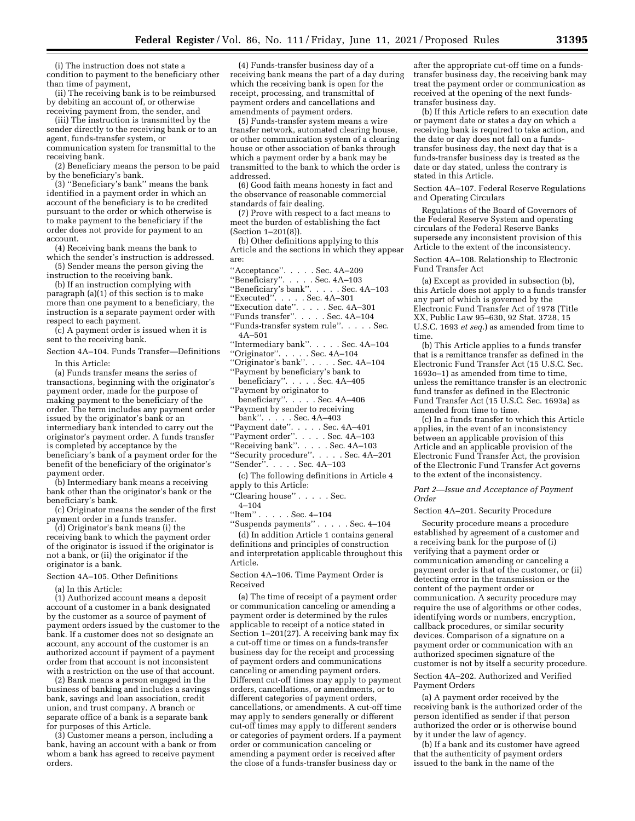(i) The instruction does not state a condition to payment to the beneficiary other than time of payment,

(ii) The receiving bank is to be reimbursed by debiting an account of, or otherwise receiving payment from, the sender, and

(iii) The instruction is transmitted by the sender directly to the receiving bank or to an agent, funds-transfer system, or communication system for transmittal to the receiving bank.

(2) Beneficiary means the person to be paid by the beneficiary's bank.

(3) ''Beneficiary's bank'' means the bank identified in a payment order in which an account of the beneficiary is to be credited pursuant to the order or which otherwise is to make payment to the beneficiary if the order does not provide for payment to an account.

(4) Receiving bank means the bank to which the sender's instruction is addressed.

(5) Sender means the person giving the instruction to the receiving bank.

(b) If an instruction complying with paragraph (a)(1) of this section is to make more than one payment to a beneficiary, the instruction is a separate payment order with respect to each payment.

(c) A payment order is issued when it is sent to the receiving bank.

Section 4A–104. Funds Transfer—Definitions In this Article:

(a) Funds transfer means the series of transactions, beginning with the originator's payment order, made for the purpose of making payment to the beneficiary of the order. The term includes any payment order issued by the originator's bank or an intermediary bank intended to carry out the originator's payment order. A funds transfer is completed by acceptance by the beneficiary's bank of a payment order for the benefit of the beneficiary of the originator's payment order.

(b) Intermediary bank means a receiving bank other than the originator's bank or the beneficiary's bank.

(c) Originator means the sender of the first payment order in a funds transfer.

(d) Originator's bank means (i) the receiving bank to which the payment order of the originator is issued if the originator is not a bank, or (ii) the originator if the originator is a bank.

Section 4A–105. Other Definitions

(a) In this Article:

(1) Authorized account means a deposit account of a customer in a bank designated by the customer as a source of payment of payment orders issued by the customer to the bank. If a customer does not so designate an account, any account of the customer is an authorized account if payment of a payment order from that account is not inconsistent with a restriction on the use of that account.

(2) Bank means a person engaged in the business of banking and includes a savings bank, savings and loan association, credit union, and trust company. A branch or separate office of a bank is a separate bank for purposes of this Article.

(3) Customer means a person, including a bank, having an account with a bank or from whom a bank has agreed to receive payment orders.

(4) Funds-transfer business day of a receiving bank means the part of a day during which the receiving bank is open for the receipt, processing, and transmittal of payment orders and cancellations and amendments of payment orders.

(5) Funds-transfer system means a wire transfer network, automated clearing house, or other communication system of a clearing house or other association of banks through which a payment order by a bank may be transmitted to the bank to which the order is addressed.

(6) Good faith means honesty in fact and the observance of reasonable commercial standards of fair dealing.

(7) Prove with respect to a fact means to meet the burden of establishing the fact (Section 1–201(8)).

(b) Other definitions applying to this Article and the sections in which they appear are:

- ''Acceptance''. . . . . Sec. 4A–209
- ''Beneficiary''. . . . . Sec. 4A–103
- ''Beneficiary's bank''. . . . . Sec. 4A–103
- ''Executed''. . . . . Sec. 4A–301
- ''Execution date''. . . . . Sec. 4A–301
- ''Funds transfer''. . . . . Sec. 4A–104

''Funds-transfer system rule''. . . . . Sec.

4A–501

''Intermediary bank''. . . . . Sec. 4A–104

''Originator''. . . . . Sec. 4A–104

''Originator's bank''. . . . . Sec. 4A–104

''Payment by beneficiary's bank to beneficiary''. . . . . Sec. 4A–405

''Payment by originator to beneficiary''. . . . . Sec. 4A–406 ''Payment by sender to receiving

bank''. . . . . Sec. 4A–403

- ''Payment date''. . . . . Sec. 4A–401
- ''Payment order''. . . . . Sec. 4A–103
- ''Receiving bank''. . . . . Sec. 4A–103

''Security procedure''. . . . . Sec. 4A–201

"Sender".....Sec. 4A–103

(c) The following definitions in Article 4 apply to this Article:

''Clearing house'' . . . . . Sec.

4–104

''Item'' . . . . . Sec. 4–104

''Suspends payments'' . . . . . Sec. 4–104 (d) In addition Article 1 contains general

definitions and principles of construction and interpretation applicable throughout this Article.

Section 4A–106. Time Payment Order is Received

(a) The time of receipt of a payment order or communication canceling or amending a payment order is determined by the rules applicable to receipt of a notice stated in Section 1–201(27). A receiving bank may fix a cut-off time or times on a funds-transfer business day for the receipt and processing of payment orders and communications canceling or amending payment orders. Different cut-off times may apply to payment orders, cancellations, or amendments, or to different categories of payment orders, cancellations, or amendments. A cut-off time may apply to senders generally or different cut-off times may apply to different senders or categories of payment orders. If a payment order or communication canceling or amending a payment order is received after the close of a funds-transfer business day or

after the appropriate cut-off time on a fundstransfer business day, the receiving bank may treat the payment order or communication as received at the opening of the next fundstransfer business day.

(b) If this Article refers to an execution date or payment date or states a day on which a receiving bank is required to take action, and the date or day does not fall on a fundstransfer business day, the next day that is a funds-transfer business day is treated as the date or day stated, unless the contrary is stated in this Article.

Section 4A–107. Federal Reserve Regulations and Operating Circulars

Regulations of the Board of Governors of the Federal Reserve System and operating circulars of the Federal Reserve Banks supersede any inconsistent provision of this Article to the extent of the inconsistency. Section 4A–108. Relationship to Electronic

Fund Transfer Act

(a) Except as provided in subsection (b), this Article does not apply to a funds transfer any part of which is governed by the Electronic Fund Transfer Act of 1978 (Title XX, Public Law 95–630, 92 Stat. 3728, 15 U.S.C. 1693 *et seq.*) as amended from time to time.

(b) This Article applies to a funds transfer that is a remittance transfer as defined in the Electronic Fund Transfer Act (15 U.S.C. Sec. 1693o–1) as amended from time to time, unless the remittance transfer is an electronic fund transfer as defined in the Electronic Fund Transfer Act (15 U.S.C. Sec. 1693a) as amended from time to time.

(c) In a funds transfer to which this Article applies, in the event of an inconsistency between an applicable provision of this Article and an applicable provision of the Electronic Fund Transfer Act, the provision of the Electronic Fund Transfer Act governs to the extent of the inconsistency.

*Part 2—Issue and Acceptance of Payment Order* 

#### Section 4A–201. Security Procedure

Security procedure means a procedure established by agreement of a customer and a receiving bank for the purpose of (i) verifying that a payment order or communication amending or canceling a payment order is that of the customer, or (ii) detecting error in the transmission or the content of the payment order or communication. A security procedure may require the use of algorithms or other codes, identifying words or numbers, encryption, callback procedures, or similar security devices. Comparison of a signature on a payment order or communication with an authorized specimen signature of the customer is not by itself a security procedure.

Section 4A–202. Authorized and Verified Payment Orders

(a) A payment order received by the receiving bank is the authorized order of the person identified as sender if that person authorized the order or is otherwise bound by it under the law of agency.

(b) If a bank and its customer have agreed that the authenticity of payment orders issued to the bank in the name of the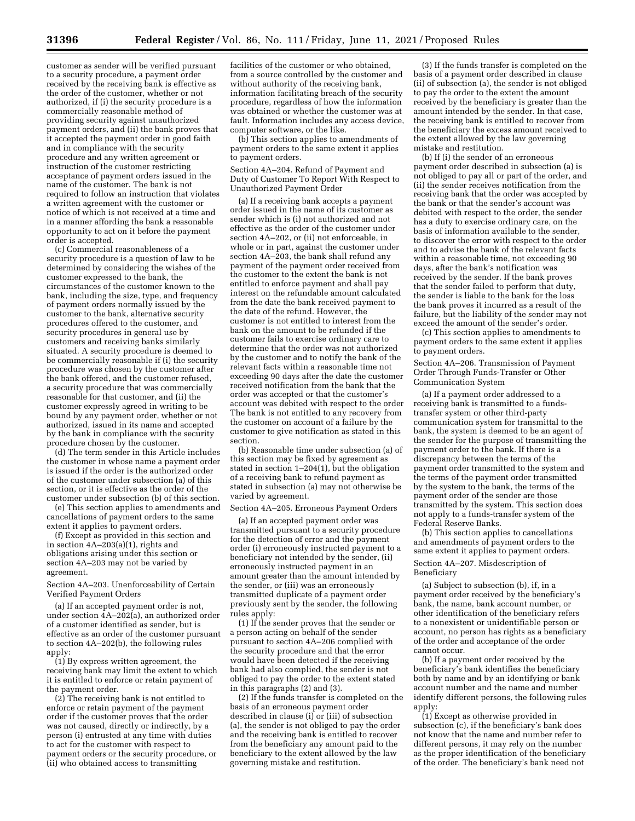customer as sender will be verified pursuant to a security procedure, a payment order received by the receiving bank is effective as the order of the customer, whether or not authorized, if (i) the security procedure is a commercially reasonable method of providing security against unauthorized payment orders, and (ii) the bank proves that it accepted the payment order in good faith and in compliance with the security procedure and any written agreement or instruction of the customer restricting acceptance of payment orders issued in the name of the customer. The bank is not required to follow an instruction that violates a written agreement with the customer or notice of which is not received at a time and in a manner affording the bank a reasonable opportunity to act on it before the payment order is accepted.

(c) Commercial reasonableness of a security procedure is a question of law to be determined by considering the wishes of the customer expressed to the bank, the circumstances of the customer known to the bank, including the size, type, and frequency of payment orders normally issued by the customer to the bank, alternative security procedures offered to the customer, and security procedures in general use by customers and receiving banks similarly situated. A security procedure is deemed to be commercially reasonable if (i) the security procedure was chosen by the customer after the bank offered, and the customer refused, a security procedure that was commercially reasonable for that customer, and (ii) the customer expressly agreed in writing to be bound by any payment order, whether or not authorized, issued in its name and accepted by the bank in compliance with the security procedure chosen by the customer.

(d) The term sender in this Article includes the customer in whose name a payment order is issued if the order is the authorized order of the customer under subsection (a) of this section, or it is effective as the order of the customer under subsection (b) of this section.

(e) This section applies to amendments and cancellations of payment orders to the same extent it applies to payment orders.

(f) Except as provided in this section and in section 4A–203(a)(1), rights and obligations arising under this section or section 4A–203 may not be varied by agreement.

Section 4A–203. Unenforceability of Certain Verified Payment Orders

(a) If an accepted payment order is not, under section  $4A-202(a)$ , an authorized order of a customer identified as sender, but is effective as an order of the customer pursuant to section 4A–202(b), the following rules apply:

(1) By express written agreement, the receiving bank may limit the extent to which it is entitled to enforce or retain payment of the payment order.

(2) The receiving bank is not entitled to enforce or retain payment of the payment order if the customer proves that the order was not caused, directly or indirectly, by a person (i) entrusted at any time with duties to act for the customer with respect to payment orders or the security procedure, or (ii) who obtained access to transmitting

facilities of the customer or who obtained, from a source controlled by the customer and without authority of the receiving bank, information facilitating breach of the security procedure, regardless of how the information was obtained or whether the customer was at fault. Information includes any access device, computer software, or the like.

(b) This section applies to amendments of payment orders to the same extent it applies to payment orders.

Section 4A–204. Refund of Payment and Duty of Customer To Report With Respect to Unauthorized Payment Order

(a) If a receiving bank accepts a payment order issued in the name of its customer as sender which is (i) not authorized and not effective as the order of the customer under section 4A–202, or (ii) not enforceable, in whole or in part, against the customer under section 4A–203, the bank shall refund any payment of the payment order received from the customer to the extent the bank is not entitled to enforce payment and shall pay interest on the refundable amount calculated from the date the bank received payment to the date of the refund. However, the customer is not entitled to interest from the bank on the amount to be refunded if the customer fails to exercise ordinary care to determine that the order was not authorized by the customer and to notify the bank of the relevant facts within a reasonable time not exceeding 90 days after the date the customer received notification from the bank that the order was accepted or that the customer's account was debited with respect to the order The bank is not entitled to any recovery from the customer on account of a failure by the customer to give notification as stated in this section.

(b) Reasonable time under subsection (a) of this section may be fixed by agreement as stated in section 1–204(1), but the obligation of a receiving bank to refund payment as stated in subsection (a) may not otherwise be varied by agreement.

Section 4A–205. Erroneous Payment Orders

(a) If an accepted payment order was transmitted pursuant to a security procedure for the detection of error and the payment order (i) erroneously instructed payment to a beneficiary not intended by the sender, (ii) erroneously instructed payment in an amount greater than the amount intended by the sender, or (iii) was an erroneously transmitted duplicate of a payment order previously sent by the sender, the following rules apply:

(1) If the sender proves that the sender or a person acting on behalf of the sender pursuant to section 4A–206 complied with the security procedure and that the error would have been detected if the receiving bank had also complied, the sender is not obliged to pay the order to the extent stated in this paragraphs (2) and (3).

(2) If the funds transfer is completed on the basis of an erroneous payment order described in clause (i) or (iii) of subsection (a), the sender is not obliged to pay the order and the receiving bank is entitled to recover from the beneficiary any amount paid to the beneficiary to the extent allowed by the law governing mistake and restitution.

(3) If the funds transfer is completed on the basis of a payment order described in clause (ii) of subsection (a), the sender is not obliged to pay the order to the extent the amount received by the beneficiary is greater than the amount intended by the sender. In that case, the receiving bank is entitled to recover from the beneficiary the excess amount received to the extent allowed by the law governing mistake and restitution.

(b) If (i) the sender of an erroneous payment order described in subsection (a) is not obliged to pay all or part of the order, and (ii) the sender receives notification from the receiving bank that the order was accepted by the bank or that the sender's account was debited with respect to the order, the sender has a duty to exercise ordinary care, on the basis of information available to the sender, to discover the error with respect to the order and to advise the bank of the relevant facts within a reasonable time, not exceeding 90 days, after the bank's notification was received by the sender. If the bank proves that the sender failed to perform that duty, the sender is liable to the bank for the loss the bank proves it incurred as a result of the failure, but the liability of the sender may not exceed the amount of the sender's order.

(c) This section applies to amendments to payment orders to the same extent it applies to payment orders.

Section 4A–206. Transmission of Payment Order Through Funds-Transfer or Other Communication System

(a) If a payment order addressed to a receiving bank is transmitted to a fundstransfer system or other third-party communication system for transmittal to the bank, the system is deemed to be an agent of the sender for the purpose of transmitting the payment order to the bank. If there is a discrepancy between the terms of the payment order transmitted to the system and the terms of the payment order transmitted by the system to the bank, the terms of the payment order of the sender are those transmitted by the system. This section does not apply to a funds-transfer system of the Federal Reserve Banks.

(b) This section applies to cancellations and amendments of payment orders to the same extent it applies to payment orders.

Section 4A–207. Misdescription of Beneficiary

(a) Subject to subsection (b), if, in a payment order received by the beneficiary's bank, the name, bank account number, or other identification of the beneficiary refers to a nonexistent or unidentifiable person or account, no person has rights as a beneficiary of the order and acceptance of the order cannot occur.

(b) If a payment order received by the beneficiary's bank identifies the beneficiary both by name and by an identifying or bank account number and the name and number identify different persons, the following rules apply:

(1) Except as otherwise provided in subsection (c), if the beneficiary's bank does not know that the name and number refer to different persons, it may rely on the number as the proper identification of the beneficiary of the order. The beneficiary's bank need not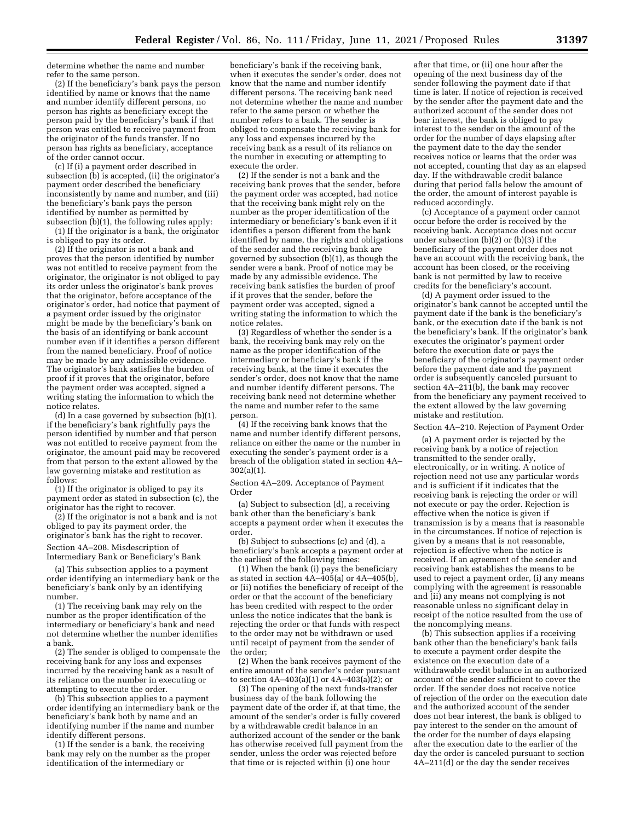determine whether the name and number refer to the same person.

(2) If the beneficiary's bank pays the person identified by name or knows that the name and number identify different persons, no person has rights as beneficiary except the person paid by the beneficiary's bank if that person was entitled to receive payment from the originator of the funds transfer. If no person has rights as beneficiary, acceptance of the order cannot occur.

(c) If (i) a payment order described in subsection  $(b)$  is accepted, (ii) the originator's payment order described the beneficiary inconsistently by name and number, and (iii) the beneficiary's bank pays the person identified by number as permitted by subsection  $(b)(1)$ , the following rules apply:

(1) If the originator is a bank, the originator is obliged to pay its order.

(2) If the originator is not a bank and proves that the person identified by number was not entitled to receive payment from the originator, the originator is not obliged to pay its order unless the originator's bank proves that the originator, before acceptance of the originator's order, had notice that payment of a payment order issued by the originator might be made by the beneficiary's bank on the basis of an identifying or bank account number even if it identifies a person different from the named beneficiary. Proof of notice may be made by any admissible evidence. The originator's bank satisfies the burden of proof if it proves that the originator, before the payment order was accepted, signed a writing stating the information to which the notice relates.

(d) In a case governed by subsection (b)(1), if the beneficiary's bank rightfully pays the person identified by number and that person was not entitled to receive payment from the originator, the amount paid may be recovered from that person to the extent allowed by the law governing mistake and restitution as follows:

(1) If the originator is obliged to pay its payment order as stated in subsection (c), the originator has the right to recover.

(2) If the originator is not a bank and is not obliged to pay its payment order, the originator's bank has the right to recover.

# Section 4A–208. Misdescription of Intermediary Bank or Beneficiary's Bank

(a) This subsection applies to a payment order identifying an intermediary bank or the beneficiary's bank only by an identifying number.

(1) The receiving bank may rely on the number as the proper identification of the intermediary or beneficiary's bank and need not determine whether the number identifies a bank.

(2) The sender is obliged to compensate the receiving bank for any loss and expenses incurred by the receiving bank as a result of its reliance on the number in executing or attempting to execute the order.

(b) This subsection applies to a payment order identifying an intermediary bank or the beneficiary's bank both by name and an identifying number if the name and number identify different persons.

(1) If the sender is a bank, the receiving bank may rely on the number as the proper identification of the intermediary or

beneficiary's bank if the receiving bank, when it executes the sender's order, does not know that the name and number identify different persons. The receiving bank need not determine whether the name and number refer to the same person or whether the number refers to a bank. The sender is obliged to compensate the receiving bank for any loss and expenses incurred by the receiving bank as a result of its reliance on the number in executing or attempting to execute the order.

(2) If the sender is not a bank and the receiving bank proves that the sender, before the payment order was accepted, had notice that the receiving bank might rely on the number as the proper identification of the intermediary or beneficiary's bank even if it identifies a person different from the bank identified by name, the rights and obligations of the sender and the receiving bank are governed by subsection (b)(1), as though the sender were a bank. Proof of notice may be made by any admissible evidence. The receiving bank satisfies the burden of proof if it proves that the sender, before the payment order was accepted, signed a writing stating the information to which the notice relates.

(3) Regardless of whether the sender is a bank, the receiving bank may rely on the name as the proper identification of the intermediary or beneficiary's bank if the receiving bank, at the time it executes the sender's order, does not know that the name and number identify different persons. The receiving bank need not determine whether the name and number refer to the same person.

(4) If the receiving bank knows that the name and number identify different persons, reliance on either the name or the number in executing the sender's payment order is a breach of the obligation stated in section 4A– 302(a)(1).

Section 4A–209. Acceptance of Payment Order

(a) Subject to subsection (d), a receiving bank other than the beneficiary's bank accepts a payment order when it executes the order.

(b) Subject to subsections (c) and (d), a beneficiary's bank accepts a payment order at the earliest of the following times:

(1) When the bank (i) pays the beneficiary as stated in section  $4\overline{A} - 40\overline{5}$ (a) or  $4\overline{A} - 40\overline{5}$ (b), or (ii) notifies the beneficiary of receipt of the order or that the account of the beneficiary has been credited with respect to the order unless the notice indicates that the bank is rejecting the order or that funds with respect to the order may not be withdrawn or used until receipt of payment from the sender of the order;

(2) When the bank receives payment of the entire amount of the sender's order pursuant to section  $4A-403(a)(1)$  or  $4A-403(a)(2)$ ; or

(3) The opening of the next funds-transfer business day of the bank following the payment date of the order if, at that time, the amount of the sender's order is fully covered by a withdrawable credit balance in an authorized account of the sender or the bank has otherwise received full payment from the sender, unless the order was rejected before that time or is rejected within (i) one hour

after that time, or (ii) one hour after the opening of the next business day of the sender following the payment date if that time is later. If notice of rejection is received by the sender after the payment date and the authorized account of the sender does not bear interest, the bank is obliged to pay interest to the sender on the amount of the order for the number of days elapsing after the payment date to the day the sender receives notice or learns that the order was not accepted, counting that day as an elapsed day. If the withdrawable credit balance during that period falls below the amount of the order, the amount of interest payable is reduced accordingly.

(c) Acceptance of a payment order cannot occur before the order is received by the receiving bank. Acceptance does not occur under subsection (b)(2) or (b)(3) if the beneficiary of the payment order does not have an account with the receiving bank, the account has been closed, or the receiving bank is not permitted by law to receive credits for the beneficiary's account.

(d) A payment order issued to the originator's bank cannot be accepted until the payment date if the bank is the beneficiary's bank, or the execution date if the bank is not the beneficiary's bank. If the originator's bank executes the originator's payment order before the execution date or pays the beneficiary of the originator's payment order before the payment date and the payment order is subsequently canceled pursuant to section 4A–211(b), the bank may recover from the beneficiary any payment received to the extent allowed by the law governing mistake and restitution.

## Section 4A–210. Rejection of Payment Order

(a) A payment order is rejected by the receiving bank by a notice of rejection transmitted to the sender orally, electronically, or in writing. A notice of rejection need not use any particular words and is sufficient if it indicates that the receiving bank is rejecting the order or will not execute or pay the order. Rejection is effective when the notice is given if transmission is by a means that is reasonable in the circumstances. If notice of rejection is given by a means that is not reasonable, rejection is effective when the notice is received. If an agreement of the sender and receiving bank establishes the means to be used to reject a payment order, (i) any means complying with the agreement is reasonable and (ii) any means not complying is not reasonable unless no significant delay in receipt of the notice resulted from the use of the noncomplying means.

(b) This subsection applies if a receiving bank other than the beneficiary's bank fails to execute a payment order despite the existence on the execution date of a withdrawable credit balance in an authorized account of the sender sufficient to cover the order. If the sender does not receive notice of rejection of the order on the execution date and the authorized account of the sender does not bear interest, the bank is obliged to pay interest to the sender on the amount of the order for the number of days elapsing after the execution date to the earlier of the day the order is canceled pursuant to section 4A–211(d) or the day the sender receives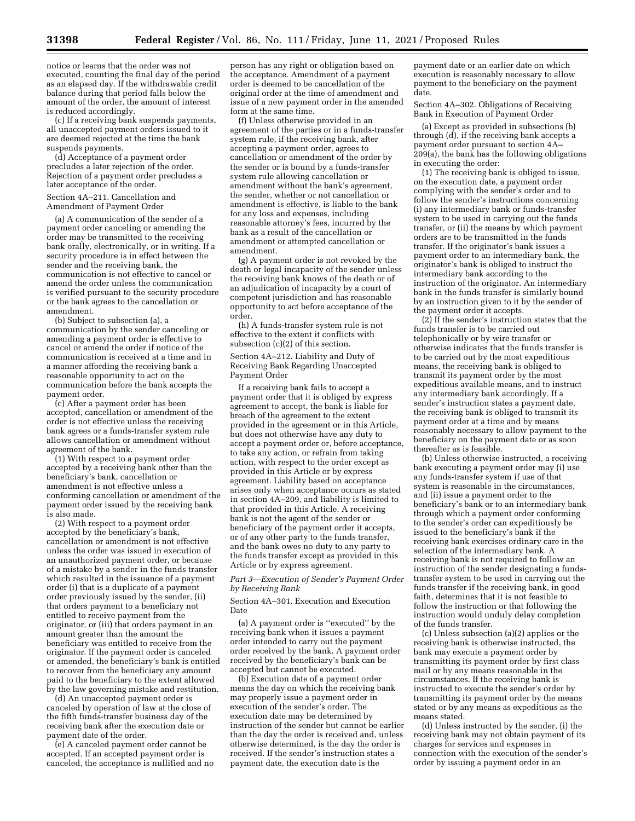notice or learns that the order was not executed, counting the final day of the period as an elapsed day. If the withdrawable credit balance during that period falls below the amount of the order, the amount of interest is reduced accordingly.

(c) If a receiving bank suspends payments, all unaccepted payment orders issued to it are deemed rejected at the time the bank suspends payments.

(d) Acceptance of a payment order precludes a later rejection of the order. Rejection of a payment order precludes a later acceptance of the order.

#### Section 4A–211. Cancellation and Amendment of Payment Order

(a) A communication of the sender of a payment order canceling or amending the order may be transmitted to the receiving bank orally, electronically, or in writing. If a security procedure is in effect between the sender and the receiving bank, the communication is not effective to cancel or amend the order unless the communication is verified pursuant to the security procedure or the bank agrees to the cancellation or amendment.

(b) Subject to subsection (a), a communication by the sender canceling or amending a payment order is effective to cancel or amend the order if notice of the communication is received at a time and in a manner affording the receiving bank a reasonable opportunity to act on the communication before the bank accepts the payment order.

(c) After a payment order has been accepted, cancellation or amendment of the order is not effective unless the receiving bank agrees or a funds-transfer system rule allows cancellation or amendment without agreement of the bank.

(1) With respect to a payment order accepted by a receiving bank other than the beneficiary's bank, cancellation or amendment is not effective unless a conforming cancellation or amendment of the payment order issued by the receiving bank is also made.

(2) With respect to a payment order accepted by the beneficiary's bank, cancellation or amendment is not effective unless the order was issued in execution of an unauthorized payment order, or because of a mistake by a sender in the funds transfer which resulted in the issuance of a payment order (i) that is a duplicate of a payment order previously issued by the sender, (ii) that orders payment to a beneficiary not entitled to receive payment from the originator, or (iii) that orders payment in an amount greater than the amount the beneficiary was entitled to receive from the originator. If the payment order is canceled or amended, the beneficiary's bank is entitled to recover from the beneficiary any amount paid to the beneficiary to the extent allowed by the law governing mistake and restitution.

(d) An unaccepted payment order is canceled by operation of law at the close of the fifth funds-transfer business day of the receiving bank after the execution date or payment date of the order.

(e) A canceled payment order cannot be accepted. If an accepted payment order is canceled, the acceptance is nullified and no

person has any right or obligation based on the acceptance. Amendment of a payment order is deemed to be cancellation of the original order at the time of amendment and issue of a new payment order in the amended form at the same time.

(f) Unless otherwise provided in an agreement of the parties or in a funds-transfer system rule, if the receiving bank, after accepting a payment order, agrees to cancellation or amendment of the order by the sender or is bound by a funds-transfer system rule allowing cancellation or amendment without the bank's agreement, the sender, whether or not cancellation or amendment is effective, is liable to the bank for any loss and expenses, including reasonable attorney's fees, incurred by the bank as a result of the cancellation or amendment or attempted cancellation or amendment.

(g) A payment order is not revoked by the death or legal incapacity of the sender unless the receiving bank knows of the death or of an adjudication of incapacity by a court of competent jurisdiction and has reasonable opportunity to act before acceptance of the order.

(h) A funds-transfer system rule is not effective to the extent it conflicts with subsection (c)(2) of this section.

Section 4A–212. Liability and Duty of Receiving Bank Regarding Unaccepted Payment Order

If a receiving bank fails to accept a payment order that it is obliged by express agreement to accept, the bank is liable for breach of the agreement to the extent provided in the agreement or in this Article, but does not otherwise have any duty to accept a payment order or, before acceptance, to take any action, or refrain from taking action, with respect to the order except as provided in this Article or by express agreement. Liability based on acceptance arises only when acceptance occurs as stated in section 4A–209, and liability is limited to that provided in this Article. A receiving bank is not the agent of the sender or beneficiary of the payment order it accepts, or of any other party to the funds transfer, and the bank owes no duty to any party to the funds transfer except as provided in this Article or by express agreement.

## *Part 3—Execution of Sender's Payment Order by Receiving Bank*

Section 4A–301. Execution and Execution Date

(a) A payment order is ''executed'' by the receiving bank when it issues a payment order intended to carry out the payment order received by the bank. A payment order received by the beneficiary's bank can be accepted but cannot be executed.

(b) Execution date of a payment order means the day on which the receiving bank may properly issue a payment order in execution of the sender's order. The execution date may be determined by instruction of the sender but cannot be earlier than the day the order is received and, unless otherwise determined, is the day the order is received. If the sender's instruction states a payment date, the execution date is the

payment date or an earlier date on which execution is reasonably necessary to allow payment to the beneficiary on the payment date.

Section 4A–302. Obligations of Receiving Bank in Execution of Payment Order

(a) Except as provided in subsections (b) through (d), if the receiving bank accepts a payment order pursuant to section 4A–  $209(a)$ , the bank has the following obligations in executing the order:

(1) The receiving bank is obliged to issue, on the execution date, a payment order complying with the sender's order and to follow the sender's instructions concerning (i) any intermediary bank or funds-transfer system to be used in carrying out the funds transfer, or (ii) the means by which payment orders are to be transmitted in the funds transfer. If the originator's bank issues a payment order to an intermediary bank, the originator's bank is obliged to instruct the intermediary bank according to the instruction of the originator. An intermediary bank in the funds transfer is similarly bound by an instruction given to it by the sender of the payment order it accepts.

(2) If the sender's instruction states that the funds transfer is to be carried out telephonically or by wire transfer or otherwise indicates that the funds transfer is to be carried out by the most expeditious means, the receiving bank is obliged to transmit its payment order by the most expeditious available means, and to instruct any intermediary bank accordingly. If a sender's instruction states a payment date, the receiving bank is obliged to transmit its payment order at a time and by means reasonably necessary to allow payment to the beneficiary on the payment date or as soon thereafter as is feasible.

(b) Unless otherwise instructed, a receiving bank executing a payment order may (i) use any funds-transfer system if use of that system is reasonable in the circumstances, and (ii) issue a payment order to the beneficiary's bank or to an intermediary bank through which a payment order conforming to the sender's order can expeditiously be issued to the beneficiary's bank if the receiving bank exercises ordinary care in the selection of the intermediary bank. A receiving bank is not required to follow an instruction of the sender designating a fundstransfer system to be used in carrying out the funds transfer if the receiving bank, in good faith, determines that it is not feasible to follow the instruction or that following the instruction would unduly delay completion of the funds transfer.

(c) Unless subsection (a)(2) applies or the receiving bank is otherwise instructed, the bank may execute a payment order by transmitting its payment order by first class mail or by any means reasonable in the circumstances. If the receiving bank is instructed to execute the sender's order by transmitting its payment order by the means stated or by any means as expeditious as the means stated.

(d) Unless instructed by the sender, (i) the receiving bank may not obtain payment of its charges for services and expenses in connection with the execution of the sender's order by issuing a payment order in an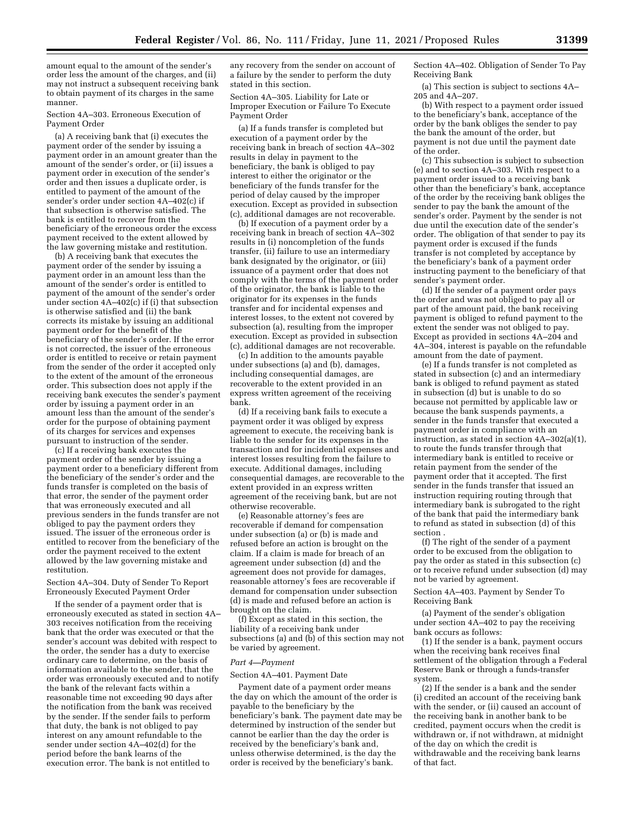amount equal to the amount of the sender's order less the amount of the charges, and (ii) may not instruct a subsequent receiving bank to obtain payment of its charges in the same manner.

Section 4A–303. Erroneous Execution of Payment Order

(a) A receiving bank that (i) executes the payment order of the sender by issuing a payment order in an amount greater than the amount of the sender's order, or (ii) issues a payment order in execution of the sender's order and then issues a duplicate order, is entitled to payment of the amount of the sender's order under section 4A–402(c) if that subsection is otherwise satisfied. The bank is entitled to recover from the beneficiary of the erroneous order the excess payment received to the extent allowed by the law governing mistake and restitution.

(b) A receiving bank that executes the payment order of the sender by issuing a payment order in an amount less than the amount of the sender's order is entitled to payment of the amount of the sender's order under section 4A–402(c) if (i) that subsection is otherwise satisfied and (ii) the bank corrects its mistake by issuing an additional payment order for the benefit of the beneficiary of the sender's order. If the error is not corrected, the issuer of the erroneous order is entitled to receive or retain payment from the sender of the order it accepted only to the extent of the amount of the erroneous order. This subsection does not apply if the receiving bank executes the sender's payment order by issuing a payment order in an amount less than the amount of the sender's order for the purpose of obtaining payment of its charges for services and expenses pursuant to instruction of the sender.

(c) If a receiving bank executes the payment order of the sender by issuing a payment order to a beneficiary different from the beneficiary of the sender's order and the funds transfer is completed on the basis of that error, the sender of the payment order that was erroneously executed and all previous senders in the funds transfer are not obliged to pay the payment orders they issued. The issuer of the erroneous order is entitled to recover from the beneficiary of the order the payment received to the extent allowed by the law governing mistake and restitution.

### Section 4A–304. Duty of Sender To Report Erroneously Executed Payment Order

If the sender of a payment order that is erroneously executed as stated in section 4A– 303 receives notification from the receiving bank that the order was executed or that the sender's account was debited with respect to the order, the sender has a duty to exercise ordinary care to determine, on the basis of information available to the sender, that the order was erroneously executed and to notify the bank of the relevant facts within a reasonable time not exceeding 90 days after the notification from the bank was received by the sender. If the sender fails to perform that duty, the bank is not obliged to pay interest on any amount refundable to the sender under section 4A–402(d) for the period before the bank learns of the execution error. The bank is not entitled to

any recovery from the sender on account of a failure by the sender to perform the duty stated in this section.

Section 4A–305. Liability for Late or Improper Execution or Failure To Execute Payment Order

(a) If a funds transfer is completed but execution of a payment order by the receiving bank in breach of section 4A–302 results in delay in payment to the beneficiary, the bank is obliged to pay interest to either the originator or the beneficiary of the funds transfer for the period of delay caused by the improper execution. Except as provided in subsection (c), additional damages are not recoverable.

(b) If execution of a payment order by a receiving bank in breach of section 4A–302 results in (i) noncompletion of the funds transfer, (ii) failure to use an intermediary bank designated by the originator, or (iii) issuance of a payment order that does not comply with the terms of the payment order of the originator, the bank is liable to the originator for its expenses in the funds transfer and for incidental expenses and interest losses, to the extent not covered by subsection (a), resulting from the improper execution. Except as provided in subsection (c), additional damages are not recoverable.

(c) In addition to the amounts payable under subsections (a) and (b), damages, including consequential damages, are recoverable to the extent provided in an express written agreement of the receiving bank.

(d) If a receiving bank fails to execute a payment order it was obliged by express agreement to execute, the receiving bank is liable to the sender for its expenses in the transaction and for incidential expenses and interest losses resulting from the failure to execute. Additional damages, including consequential damages, are recoverable to the extent provided in an express written agreement of the receiving bank, but are not otherwise recoverable.

(e) Reasonable attorney's fees are recoverable if demand for compensation under subsection (a) or (b) is made and refused before an action is brought on the claim. If a claim is made for breach of an agreement under subsection (d) and the agreement does not provide for damages, reasonable attorney's fees are recoverable if demand for compensation under subsection (d) is made and refused before an action is brought on the claim.

(f) Except as stated in this section, the liability of a receiving bank under subsections (a) and (b) of this section may not be varied by agreement.

### *Part 4—Payment*

Section 4A–401. Payment Date

Payment date of a payment order means the day on which the amount of the order is payable to the beneficiary by the beneficiary's bank. The payment date may be determined by instruction of the sender but cannot be earlier than the day the order is received by the beneficiary's bank and, unless otherwise determined, is the day the order is received by the beneficiary's bank.

Section 4A–402. Obligation of Sender To Pay Receiving Bank

(a) This section is subject to sections 4A– 205 and 4A–207.

(b) With respect to a payment order issued to the beneficiary's bank, acceptance of the order by the bank obliges the sender to pay the bank the amount of the order, but payment is not due until the payment date of the order.

(c) This subsection is subject to subsection (e) and to section 4A–303. With respect to a payment order issued to a receiving bank other than the beneficiary's bank, acceptance of the order by the receiving bank obliges the sender to pay the bank the amount of the sender's order. Payment by the sender is not due until the execution date of the sender's order. The obligation of that sender to pay its payment order is excused if the funds transfer is not completed by acceptance by the beneficiary's bank of a payment order instructing payment to the beneficiary of that sender's payment order.

(d) If the sender of a payment order pays the order and was not obliged to pay all or part of the amount paid, the bank receiving payment is obliged to refund payment to the extent the sender was not obliged to pay. Except as provided in sections 4A–204 and 4A–304, interest is payable on the refundable amount from the date of payment.

(e) If a funds transfer is not completed as stated in subsection (c) and an intermediary bank is obliged to refund payment as stated in subsection (d) but is unable to do so because not permitted by applicable law or because the bank suspends payments, a sender in the funds transfer that executed a payment order in compliance with an instruction, as stated in section 4A–302(a)(1), to route the funds transfer through that intermediary bank is entitled to receive or retain payment from the sender of the payment order that it accepted. The first sender in the funds transfer that issued an instruction requiring routing through that intermediary bank is subrogated to the right of the bank that paid the intermediary bank to refund as stated in subsection (d) of this section .

(f) The right of the sender of a payment order to be excused from the obligation to pay the order as stated in this subsection (c) or to receive refund under subsection (d) may not be varied by agreement.

Section 4A–403. Payment by Sender To Receiving Bank

(a) Payment of the sender's obligation under section 4A–402 to pay the receiving bank occurs as follows:

(1) If the sender is a bank, payment occurs when the receiving bank receives final settlement of the obligation through a Federal Reserve Bank or through a funds-transfer system.

(2) If the sender is a bank and the sender (i) credited an account of the receiving bank with the sender, or (ii) caused an account of the receiving bank in another bank to be credited, payment occurs when the credit is withdrawn or, if not withdrawn, at midnight of the day on which the credit is withdrawable and the receiving bank learns of that fact.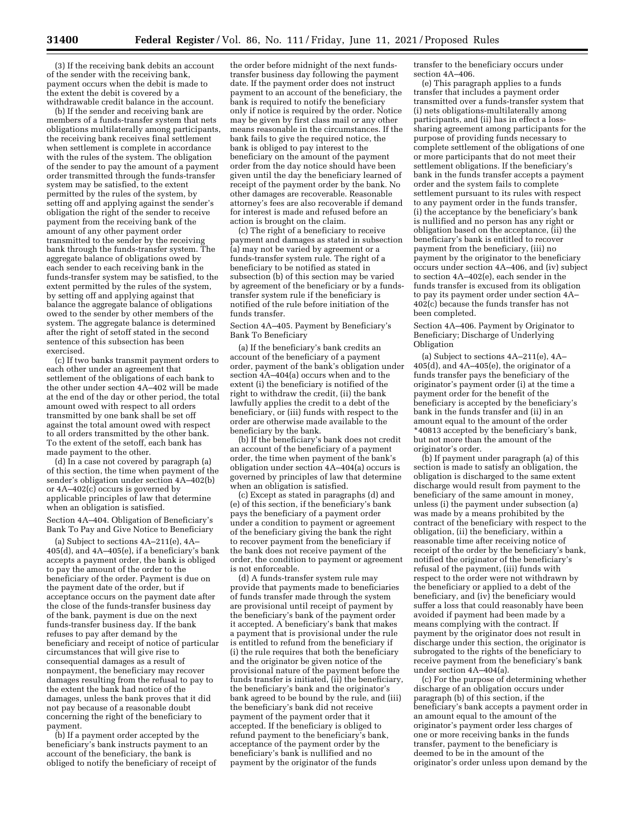(3) If the receiving bank debits an account of the sender with the receiving bank, payment occurs when the debit is made to the extent the debit is covered by a withdrawable credit balance in the account.

(b) If the sender and receiving bank are members of a funds-transfer system that nets obligations multilaterally among participants, the receiving bank receives final settlement when settlement is complete in accordance with the rules of the system. The obligation of the sender to pay the amount of a payment order transmitted through the funds-transfer system may be satisfied, to the extent permitted by the rules of the system, by setting off and applying against the sender's obligation the right of the sender to receive payment from the receiving bank of the amount of any other payment order transmitted to the sender by the receiving bank through the funds-transfer system. The aggregate balance of obligations owed by each sender to each receiving bank in the funds-transfer system may be satisfied, to the extent permitted by the rules of the system, by setting off and applying against that balance the aggregate balance of obligations owed to the sender by other members of the system. The aggregate balance is determined after the right of setoff stated in the second sentence of this subsection has been exercised.

(c) If two banks transmit payment orders to each other under an agreement that settlement of the obligations of each bank to the other under section 4A–402 will be made at the end of the day or other period, the total amount owed with respect to all orders transmitted by one bank shall be set off against the total amount owed with respect to all orders transmitted by the other bank. To the extent of the setoff, each bank has made payment to the other.

(d) In a case not covered by paragraph (a) of this section, the time when payment of the sender's obligation under section 4A–402(b) or 4A–402(c) occurs is governed by applicable principles of law that determine when an obligation is satisfied. Section 4A–404. Obligation of Beneficiary's Bank To Pay and Give Notice to Beneficiary

(a) Subject to sections 4A–211(e), 4A– 405(d), and 4A–405(e), if a beneficiary's bank accepts a payment order, the bank is obliged to pay the amount of the order to the beneficiary of the order. Payment is due on the payment date of the order, but if acceptance occurs on the payment date after the close of the funds-transfer business day of the bank, payment is due on the next funds-transfer business day. If the bank refuses to pay after demand by the beneficiary and receipt of notice of particular circumstances that will give rise to consequential damages as a result of nonpayment, the beneficiary may recover damages resulting from the refusal to pay to the extent the bank had notice of the damages, unless the bank proves that it did not pay because of a reasonable doubt concerning the right of the beneficiary to payment.

(b) If a payment order accepted by the beneficiary's bank instructs payment to an account of the beneficiary, the bank is obliged to notify the beneficiary of receipt of

the order before midnight of the next fundstransfer business day following the payment date. If the payment order does not instruct payment to an account of the beneficiary, the bank is required to notify the beneficiary only if notice is required by the order. Notice may be given by first class mail or any other means reasonable in the circumstances. If the bank fails to give the required notice, the bank is obliged to pay interest to the beneficiary on the amount of the payment order from the day notice should have been given until the day the beneficiary learned of receipt of the payment order by the bank. No other damages are recoverable. Reasonable attorney's fees are also recoverable if demand for interest is made and refused before an action is brought on the claim.

(c) The right of a beneficiary to receive payment and damages as stated in subsection (a) may not be varied by agreement or a funds-transfer system rule. The right of a beneficiary to be notified as stated in subsection (b) of this section may be varied by agreement of the beneficiary or by a fundstransfer system rule if the beneficiary is notified of the rule before initiation of the funds transfer.

Section 4A–405. Payment by Beneficiary's Bank To Beneficiary

(a) If the beneficiary's bank credits an account of the beneficiary of a payment order, payment of the bank's obligation under section 4A–404(a) occurs when and to the extent (i) the beneficiary is notified of the right to withdraw the credit, (ii) the bank lawfully applies the credit to a debt of the beneficiary, or (iii) funds with respect to the order are otherwise made available to the beneficiary by the bank.

(b) If the beneficiary's bank does not credit an account of the beneficiary of a payment order, the time when payment of the bank's obligation under section 4A–404(a) occurs is governed by principles of law that determine when an obligation is satisfied.

(c) Except as stated in paragraphs (d) and (e) of this section, if the beneficiary's bank pays the beneficiary of a payment order under a condition to payment or agreement of the beneficiary giving the bank the right to recover payment from the beneficiary if the bank does not receive payment of the order, the condition to payment or agreement is not enforceable.

(d) A funds-transfer system rule may provide that payments made to beneficiaries of funds transfer made through the system are provisional until receipt of payment by the beneficiary's bank of the payment order it accepted. A beneficiary's bank that makes a payment that is provisional under the rule is entitled to refund from the beneficiary if (i) the rule requires that both the beneficiary and the originator be given notice of the provisional nature of the payment before the funds transfer is initiated, (ii) the beneficiary, the beneficiary's bank and the originator's bank agreed to be bound by the rule, and (iii) the beneficiary's bank did not receive payment of the payment order that it accepted. If the beneficiary is obliged to refund payment to the beneficiary's bank, acceptance of the payment order by the beneficiary's bank is nullified and no payment by the originator of the funds

transfer to the beneficiary occurs under section 4A–406.

(e) This paragraph applies to a funds transfer that includes a payment order transmitted over a funds-transfer system that (i) nets obligations-multilaterally among participants, and (ii) has in effect a losssharing agreement among participants for the purpose of providing funds necessary to complete settlement of the obligations of one or more participants that do not meet their settlement obligations. If the beneficiary's bank in the funds transfer accepts a payment order and the system fails to complete settlement pursuant to its rules with respect to any payment order in the funds transfer, (i) the acceptance by the beneficiary's bank is nullified and no person has any right or obligation based on the acceptance, (ii) the beneficiary's bank is entitled to recover payment from the beneficiary, (iii) no payment by the originator to the beneficiary occurs under section 4A–406, and (iv) subject to section 4A–402(e), each sender in the funds transfer is excused from its obligation to pay its payment order under section 4A– 402(c) because the funds transfer has not been completed.

Section 4A–406. Payment by Originator to Beneficiary; Discharge of Underlying Obligation

(a) Subject to sections 4A–211(e), 4A– 405(d), and 4A–405(e), the originator of a funds transfer pays the beneficiary of the originator's payment order (i) at the time a payment order for the benefit of the beneficiary is accepted by the beneficiary's bank in the funds transfer and (ii) in an amount equal to the amount of the order \*40813 accepted by the beneficiary's bank, but not more than the amount of the originator's order.

(b) If payment under paragraph (a) of this section is made to satisfy an obligation, the obligation is discharged to the same extent discharge would result from payment to the beneficiary of the same amount in money, unless (i) the payment under subsection (a) was made by a means prohibited by the contract of the beneficiary with respect to the obligation, (ii) the beneficiary, within a reasonable time after receiving notice of receipt of the order by the beneficiary's bank, notified the originator of the beneficiary's refusal of the payment, (iii) funds with respect to the order were not withdrawn by the beneficiary or applied to a debt of the beneficiary, and  $(iv)$  the beneficiary would suffer a loss that could reasonably have been avoided if payment had been made by a means complying with the contract. If payment by the originator does not result in discharge under this section, the originator is subrogated to the rights of the beneficiary to receive payment from the beneficiary's bank under section 4A–404(a).

(c) For the purpose of determining whether discharge of an obligation occurs under paragraph (b) of this section, if the beneficiary's bank accepts a payment order in an amount equal to the amount of the originator's payment order less charges of one or more receiving banks in the funds transfer, payment to the beneficiary is deemed to be in the amount of the originator's order unless upon demand by the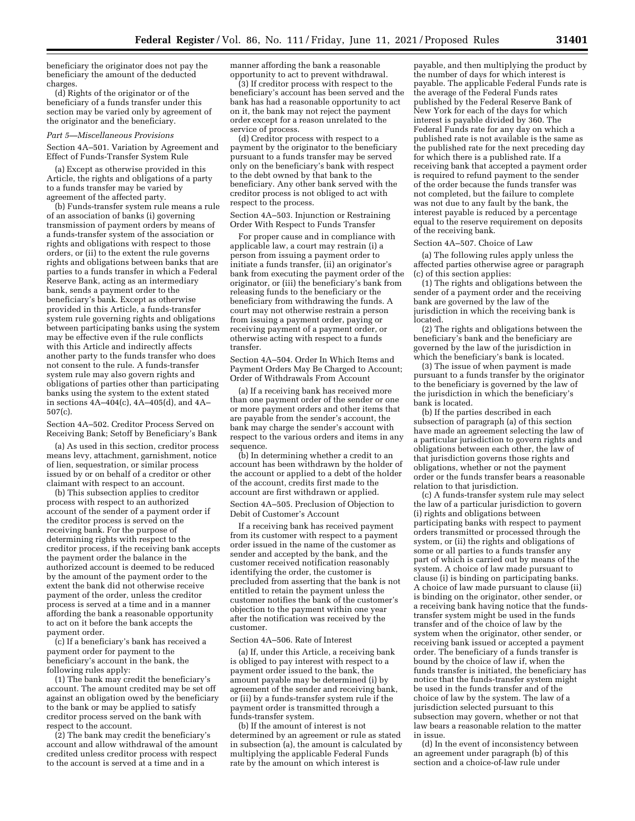beneficiary the originator does not pay the beneficiary the amount of the deducted charges.

(d) Rights of the originator or of the beneficiary of a funds transfer under this section may be varied only by agreement of the originator and the beneficiary.

#### *Part 5—Miscellaneous Provisions*

Section 4A–501. Variation by Agreement and Effect of Funds-Transfer System Rule

(a) Except as otherwise provided in this Article, the rights and obligations of a party to a funds transfer may be varied by agreement of the affected party.

(b) Funds-transfer system rule means a rule of an association of banks (i) governing transmission of payment orders by means of a funds-transfer system of the association or rights and obligations with respect to those orders, or (ii) to the extent the rule governs rights and obligations between banks that are parties to a funds transfer in which a Federal Reserve Bank, acting as an intermediary bank, sends a payment order to the beneficiary's bank. Except as otherwise provided in this Article, a funds-transfer system rule governing rights and obligations between participating banks using the system may be effective even if the rule conflicts with this Article and indirectly affects another party to the funds transfer who does not consent to the rule. A funds-transfer system rule may also govern rights and obligations of parties other than participating banks using the system to the extent stated in sections 4A–404(c), 4A–405(d), and 4A– 507(c).

Section 4A–502. Creditor Process Served on Receiving Bank; Setoff by Beneficiary's Bank

(a) As used in this section, creditor process means levy, attachment, garnishment, notice of lien, sequestration, or similar process issued by or on behalf of a creditor or other claimant with respect to an account.

(b) This subsection applies to creditor process with respect to an authorized account of the sender of a payment order if the creditor process is served on the receiving bank. For the purpose of determining rights with respect to the creditor process, if the receiving bank accepts the payment order the balance in the authorized account is deemed to be reduced by the amount of the payment order to the extent the bank did not otherwise receive payment of the order, unless the creditor process is served at a time and in a manner affording the bank a reasonable opportunity to act on it before the bank accepts the payment order.

(c) If a beneficiary's bank has received a payment order for payment to the beneficiary's account in the bank, the following rules apply:

(1) The bank may credit the beneficiary's account. The amount credited may be set off against an obligation owed by the beneficiary to the bank or may be applied to satisfy creditor process served on the bank with respect to the account.

(2) The bank may credit the beneficiary's account and allow withdrawal of the amount credited unless creditor process with respect to the account is served at a time and in a

manner affording the bank a reasonable opportunity to act to prevent withdrawal.

(3) If creditor process with respect to the beneficiary's account has been served and the bank has had a reasonable opportunity to act on it, the bank may not reject the payment order except for a reason unrelated to the service of process.

(d) Creditor process with respect to a payment by the originator to the beneficiary pursuant to a funds transfer may be served only on the beneficiary's bank with respect to the debt owned by that bank to the beneficiary. Any other bank served with the creditor process is not obliged to act with respect to the process.

Section 4A–503. Injunction or Restraining Order With Respect to Funds Transfer

For proper cause and in compliance with applicable law, a court may restrain (i) a person from issuing a payment order to initiate a funds transfer, (ii) an originator's bank from executing the payment order of the originator, or (iii) the beneficiary's bank from releasing funds to the beneficiary or the beneficiary from withdrawing the funds. A court may not otherwise restrain a person from issuing a payment order, paying or receiving payment of a payment order, or otherwise acting with respect to a funds transfer.

Section 4A–504. Order In Which Items and Payment Orders May Be Charged to Account; Order of Withdrawals From Account

(a) If a receiving bank has received more than one payment order of the sender or one or more payment orders and other items that are payable from the sender's account, the bank may charge the sender's account with respect to the various orders and items in any sequence.

(b) In determining whether a credit to an account has been withdrawn by the holder of the account or applied to a debt of the holder of the account, credits first made to the account are first withdrawn or applied.

Section 4A–505. Preclusion of Objection to Debit of Customer's Account

If a receiving bank has received payment from its customer with respect to a payment order issued in the name of the customer as sender and accepted by the bank, and the customer received notification reasonably identifying the order, the customer is precluded from asserting that the bank is not entitled to retain the payment unless the customer notifies the bank of the customer's objection to the payment within one year after the notification was received by the customer.

#### Section 4A–506. Rate of Interest

(a) If, under this Article, a receiving bank is obliged to pay interest with respect to a payment order issued to the bank, the amount payable may be determined (i) by agreement of the sender and receiving bank, or (ii) by a funds-transfer system rule if the payment order is transmitted through a funds-transfer system.

(b) If the amount of interest is not determined by an agreement or rule as stated in subsection (a), the amount is calculated by multiplying the applicable Federal Funds rate by the amount on which interest is

payable, and then multiplying the product by the number of days for which interest is payable. The applicable Federal Funds rate is the average of the Federal Funds rates published by the Federal Reserve Bank of New York for each of the days for which interest is payable divided by 360. The Federal Funds rate for any day on which a published rate is not available is the same as the published rate for the next preceding day for which there is a published rate. If a receiving bank that accepted a payment order is required to refund payment to the sender of the order because the funds transfer was not completed, but the failure to complete was not due to any fault by the bank, the interest payable is reduced by a percentage equal to the reserve requirement on deposits of the receiving bank.

#### Section 4A–507. Choice of Law

(a) The following rules apply unless the affected parties otherwise agree or paragraph (c) of this section applies:

(1) The rights and obligations between the sender of a payment order and the receiving bank are governed by the law of the jurisdiction in which the receiving bank is located.

(2) The rights and obligations between the beneficiary's bank and the beneficiary are governed by the law of the jurisdiction in which the beneficiary's bank is located.

(3) The issue of when payment is made pursuant to a funds transfer by the originator to the beneficiary is governed by the law of the jurisdiction in which the beneficiary's bank is located.

(b) If the parties described in each subsection of paragraph (a) of this section have made an agreement selecting the law of a particular jurisdiction to govern rights and obligations between each other, the law of that jurisdiction governs those rights and obligations, whether or not the payment order or the funds transfer bears a reasonable relation to that jurisdiction.

(c) A funds-transfer system rule may select the law of a particular jurisdiction to govern (i) rights and obligations between participating banks with respect to payment orders transmitted or processed through the system, or (ii) the rights and obligations of some or all parties to a funds transfer any part of which is carried out by means of the system. A choice of law made pursuant to clause (i) is binding on participating banks. A choice of law made pursuant to clause (ii) is binding on the originator, other sender, or a receiving bank having notice that the fundstransfer system might be used in the funds transfer and of the choice of law by the system when the originator, other sender, or receiving bank issued or accepted a payment order. The beneficiary of a funds transfer is bound by the choice of law if, when the funds transfer is initiated, the beneficiary has notice that the funds-transfer system might be used in the funds transfer and of the choice of law by the system. The law of a jurisdiction selected pursuant to this subsection may govern, whether or not that law bears a reasonable relation to the matter in issue.

(d) In the event of inconsistency between an agreement under paragraph (b) of this section and a choice-of-law rule under